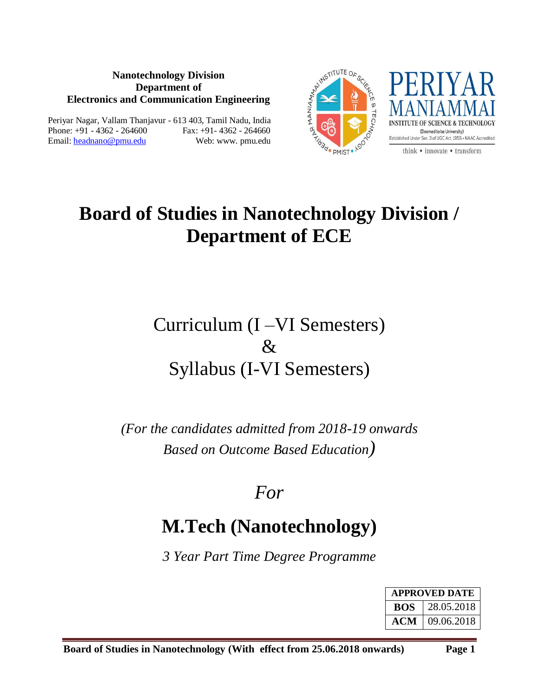#### **Nanotechnology Division Department of Electronics and Communication Engineering**

Periyar Nagar, Vallam Thanjavur - 613 403, Tamil Nadu, India Phone: +91 - 4362 - 264600 Fax: +91- 4362 - 264660 Email: headnano@pmu.edu Web: www. pmu.edu





think • innovate • transform

# **Board of Studies in Nanotechnology Division / Department of ECE**

# Curriculum (I –VI Semesters)  $\&$ Syllabus (I-VI Semesters)

*(For the candidates admitted from 2018-19 onwards Based on Outcome Based Education)*

# *For*

# **M.Tech (Nanotechnology)**

*3 Year Part Time Degree Programme*

| <b>APPROVED DATE</b> |            |  |  |  |
|----------------------|------------|--|--|--|
| <b>ROS</b>           | 28.05.2018 |  |  |  |
| ACM                  | 09.06.2018 |  |  |  |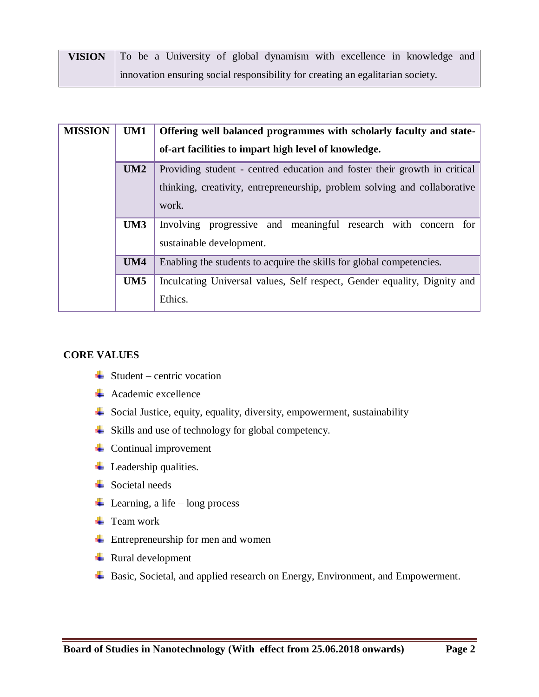| <b>VISION</b> To be a University of global dynamism with excellence in knowledge and |
|--------------------------------------------------------------------------------------|
| innovation ensuring social responsibility for creating an egalitarian society.       |

| <b>MISSION</b> | UM1        | Offering well balanced programmes with scholarly faculty and state-<br>of-art facilities to impart high level of knowledge.                                     |  |  |  |  |  |  |  |
|----------------|------------|-----------------------------------------------------------------------------------------------------------------------------------------------------------------|--|--|--|--|--|--|--|
|                | UM2        | Providing student - centred education and foster their growth in critical<br>thinking, creativity, entrepreneurship, problem solving and collaborative<br>work. |  |  |  |  |  |  |  |
|                | UM3        | Involving progressive and meaningful research with concern<br>for<br>sustainable development.                                                                   |  |  |  |  |  |  |  |
|                | <b>UM4</b> | Enabling the students to acquire the skills for global competencies.                                                                                            |  |  |  |  |  |  |  |
|                | UM5        | Inculcating Universal values, Self respect, Gender equality, Dignity and<br>Ethics.                                                                             |  |  |  |  |  |  |  |

### **CORE VALUES**

- $\triangleq$  Student centric vocation
- $\overline{\text{4}}$  Academic excellence
- $\overline{\phantom{a}}$  Social Justice, equity, equality, diversity, empowerment, sustainability
- Skills and use of technology for global competency.
- $\overline{\phantom{a}}$  Continual improvement
- $\overline{\phantom{a}}$  Leadership qualities.
- **Exercise Societal needs**
- $\overline{\phantom{a}}$  Learning, a life long process
- $\downarrow$  Team work
- **↓** Entrepreneurship for men and women
- $\overline{\phantom{a}}$  Rural development
- **↓** Basic, Societal, and applied research on Energy, Environment, and Empowerment.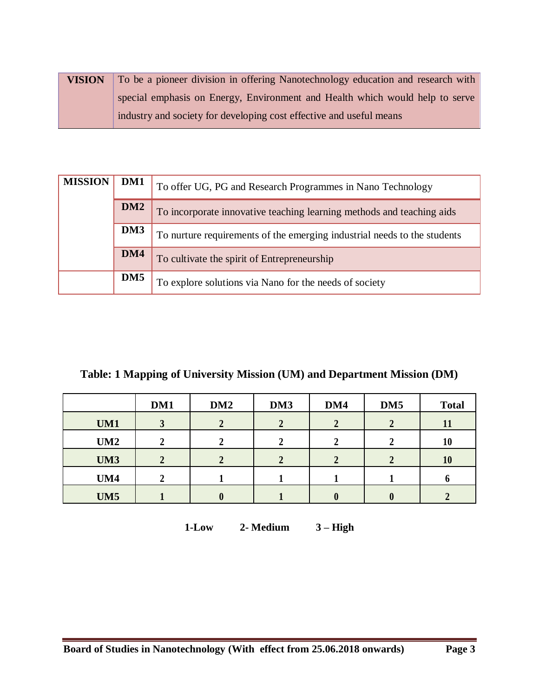| <b>VISION</b> | To be a pioneer division in offering Nanotechnology education and research with |
|---------------|---------------------------------------------------------------------------------|
|               | special emphasis on Energy, Environment and Health which would help to serve    |
|               | industry and society for developing cost effective and useful means             |

| <b>MISSION</b>                                                                  | DM1             | To offer UG, PG and Research Programmes in Nano Technology            |  |  |  |  |
|---------------------------------------------------------------------------------|-----------------|-----------------------------------------------------------------------|--|--|--|--|
|                                                                                 | DM <sub>2</sub> | To incorporate innovative teaching learning methods and teaching aids |  |  |  |  |
| DM3<br>To nurture requirements of the emerging industrial needs to the students |                 |                                                                       |  |  |  |  |
|                                                                                 | DM4             | To cultivate the spirit of Entrepreneurship                           |  |  |  |  |
|                                                                                 | DM <sub>5</sub> | To explore solutions via Nano for the needs of society                |  |  |  |  |

# **Table: 1 Mapping of University Mission (UM) and Department Mission (DM)**

|            | DM1 | DM <sub>2</sub>  | DM3 | DM4 | DM <sub>5</sub> | <b>Total</b> |
|------------|-----|------------------|-----|-----|-----------------|--------------|
| UM1        | ີ   |                  |     |     |                 | 11           |
| UM2        |     |                  |     |     |                 | 10           |
| UM3        |     |                  |     |     |                 | 10           |
| UM4        |     |                  |     |     |                 |              |
| <b>UM5</b> |     | $\boldsymbol{0}$ |     |     |                 |              |

**1-Low 2- Medium 3 – High**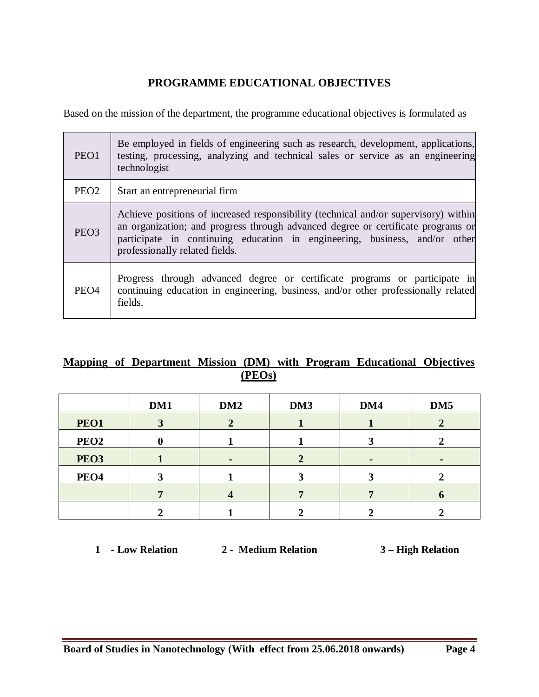# **PROGRAMME EDUCATIONAL OBJECTIVES**

Based on the mission of the department, the programme educational objectives is formulated as

| PEO1             | Be employed in fields of engineering such as research, development, applications,<br>testing, processing, analyzing and technical sales or service as an engineering<br>technologist                                                                                                    |
|------------------|-----------------------------------------------------------------------------------------------------------------------------------------------------------------------------------------------------------------------------------------------------------------------------------------|
| PEO <sub>2</sub> | Start an entrepreneurial firm                                                                                                                                                                                                                                                           |
| PEO <sub>3</sub> | Achieve positions of increased responsibility (technical and/or supervisory) within<br>an organization; and progress through advanced degree or certificate programs or<br>participate in continuing education in engineering, business, and/or other<br>professionally related fields. |
| PEO <sub>4</sub> | Progress through advanced degree or certificate programs or participate in<br>continuing education in engineering, business, and/or other professionally related<br>fields.                                                                                                             |

# **Mapping of Department Mission (DM) with Program Educational Objectives (PEOs)**

|                  | DM1 | DM <sub>2</sub> | DM3 | DM4 | DM <sub>5</sub> |
|------------------|-----|-----------------|-----|-----|-----------------|
| PEO1             |     |                 |     |     |                 |
| PEO <sub>2</sub> |     |                 |     |     |                 |
| PEO <sub>3</sub> |     |                 |     | ٠   |                 |
| PEO <sub>4</sub> |     |                 |     |     |                 |
|                  |     |                 |     |     |                 |
|                  |     |                 |     |     |                 |

**1 - Low Relation 2 - Medium Relation 3 – High Relation**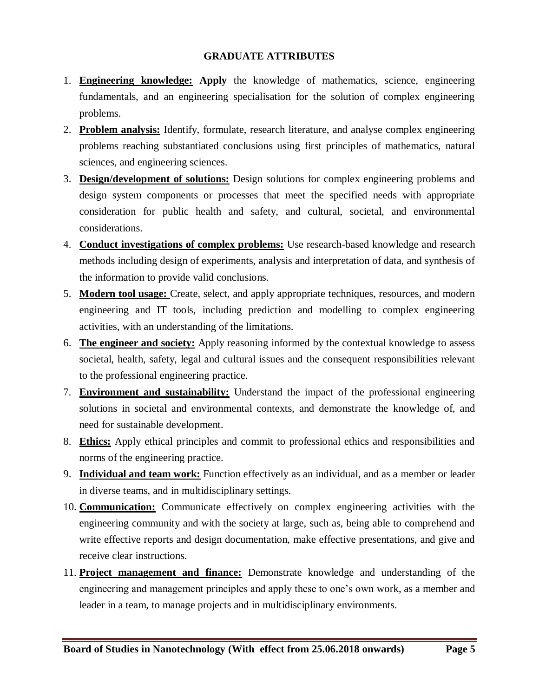#### **GRADUATE ATTRIBUTES**

- 1. **Engineering knowledge: Apply** the knowledge of mathematics, science, engineering fundamentals, and an engineering specialisation for the solution of complex engineering problems.
- 2. **Problem analysis:** Identify, formulate, research literature, and analyse complex engineering problems reaching substantiated conclusions using first principles of mathematics, natural sciences, and engineering sciences.
- 3. **Design/development of solutions:** Design solutions for complex engineering problems and design system components or processes that meet the specified needs with appropriate consideration for public health and safety, and cultural, societal, and environmental considerations.
- 4. **Conduct investigations of complex problems:** Use research-based knowledge and research methods including design of experiments, analysis and interpretation of data, and synthesis of the information to provide valid conclusions.
- 5. **Modern tool usage:** Create, select, and apply appropriate techniques, resources, and modern engineering and IT tools, including prediction and modelling to complex engineering activities, with an understanding of the limitations.
- 6. **The engineer and society:** Apply reasoning informed by the contextual knowledge to assess societal, health, safety, legal and cultural issues and the consequent responsibilities relevant to the professional engineering practice.
- 7. **Environment and sustainability:** Understand the impact of the professional engineering solutions in societal and environmental contexts, and demonstrate the knowledge of, and need for sustainable development.
- 8. **Ethics:** Apply ethical principles and commit to professional ethics and responsibilities and norms of the engineering practice.
- 9. **Individual and team work:** Function effectively as an individual, and as a member or leader in diverse teams, and in multidisciplinary settings.
- 10. **Communication:** Communicate effectively on complex engineering activities with the engineering community and with the society at large, such as, being able to comprehend and write effective reports and design documentation, make effective presentations, and give and receive clear instructions.
- 11. **Project management and finance:** Demonstrate knowledge and understanding of the engineering and management principles and apply these to one's own work, as a member and leader in a team, to manage projects and in multidisciplinary environments.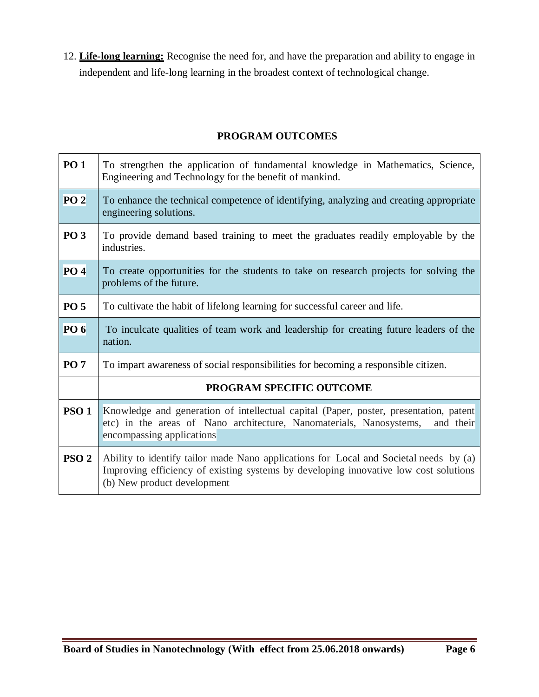12. **Life-long learning:** Recognise the need for, and have the preparation and ability to engage in independent and life-long learning in the broadest context of technological change.

### **PROGRAM OUTCOMES**

| <b>PO 1</b>      | To strengthen the application of fundamental knowledge in Mathematics, Science,<br>Engineering and Technology for the benefit of mankind.                                                                    |
|------------------|--------------------------------------------------------------------------------------------------------------------------------------------------------------------------------------------------------------|
| PO <sub>2</sub>  | To enhance the technical competence of identifying, analyzing and creating appropriate<br>engineering solutions.                                                                                             |
| <b>PO 3</b>      | To provide demand based training to meet the graduates readily employable by the<br>industries.                                                                                                              |
| PO <sub>4</sub>  | To create opportunities for the students to take on research projects for solving the<br>problems of the future.                                                                                             |
| <b>PO 5</b>      | To cultivate the habit of lifelong learning for successful career and life.                                                                                                                                  |
| <b>PO 6</b>      | To inculcate qualities of team work and leadership for creating future leaders of the<br>nation.                                                                                                             |
| <b>PO 7</b>      | To impart awareness of social responsibilities for becoming a responsible citizen.                                                                                                                           |
|                  | PROGRAM SPECIFIC OUTCOME                                                                                                                                                                                     |
| <b>PSO1</b>      | Knowledge and generation of intellectual capital (Paper, poster, presentation, patent<br>etc) in the areas of Nano architecture, Nanomaterials, Nanosystems,<br>and their<br>encompassing applications       |
| PSO <sub>2</sub> | Ability to identify tailor made Nano applications for Local and Societal needs by (a)<br>Improving efficiency of existing systems by developing innovative low cost solutions<br>(b) New product development |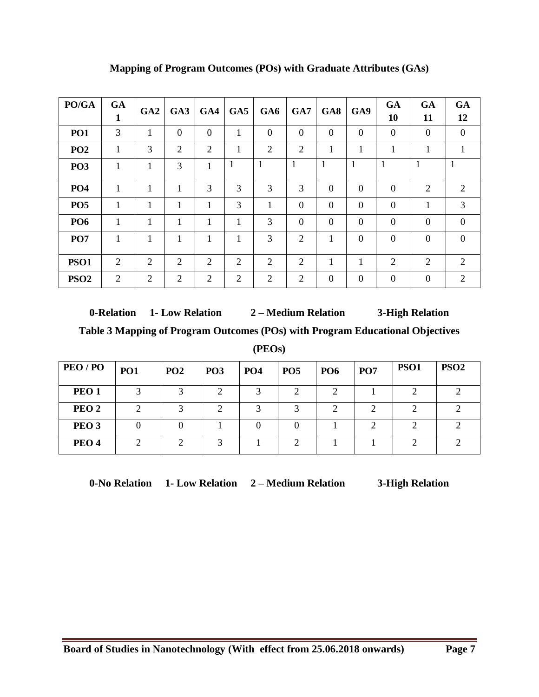| PO/GA            | <b>GA</b><br>1 | GA2            | GA3      | GA4            | GA5 | GA6            | GA7            | GA8            | GA9            | <b>GA</b><br>10 | <b>GA</b><br>11 | <b>GA</b><br>12 |
|------------------|----------------|----------------|----------|----------------|-----|----------------|----------------|----------------|----------------|-----------------|-----------------|-----------------|
| PO1              | 3              | 1              | $\theta$ | $\overline{0}$ | 1   | $\theta$       | $\overline{0}$ | $\overline{0}$ | $\overline{0}$ | $\overline{0}$  | $\mathbf{0}$    | $\mathbf{0}$    |
| PO <sub>2</sub>  | 1              | 3              | 2        | 2              | 1   | $\overline{2}$ | 2              | 1              | 1              | 1               | 1               | $\mathbf{1}$    |
| PO <sub>3</sub>  | 1              | 1              | 3        | $\mathbf{1}$   | 1   |                | 1              | 1              | 1              | 1               | $\mathbf{1}$    | 1               |
| PO <sub>4</sub>  | 1              | 1              | 1        | 3              | 3   | 3              | 3              | $\Omega$       | $\overline{0}$ | $\overline{0}$  | $\overline{2}$  | 2               |
| PO <sub>5</sub>  | 1              | 1              | 1        |                | 3   | 1              | $\overline{0}$ | $\overline{0}$ | $\mathbf{0}$   | $\overline{0}$  | 1               | 3               |
| PO <sub>6</sub>  | 1              | 1              | 1        | 1              | 1   | 3              | $\overline{0}$ | $\overline{0}$ | $\overline{0}$ | $\overline{0}$  | $\mathbf{0}$    | $\mathbf{0}$    |
| PO <sub>7</sub>  | 1              | 1              | 1        |                | 1   | 3              | $\overline{2}$ | 1              | $\overline{0}$ | $\overline{0}$  | $\overline{0}$  | $\overline{0}$  |
| <b>PSO1</b>      | $\overline{2}$ | $\overline{2}$ | 2        | $\overline{2}$ | 2   | $\overline{2}$ | 2              | 1              | 1              | $\overline{2}$  | $\overline{2}$  | 2               |
| PSO <sub>2</sub> | 2              | 2              | 2        | 2              | 2   | 2              | 2              | $\overline{0}$ | $\mathbf{0}$   | $\overline{0}$  | $\mathbf{0}$    | 2               |

**Mapping of Program Outcomes (POs) with Graduate Attributes (GAs)**

**0-Relation 1- Low Relation 2 – Medium Relation 3-High Relation Table 3 Mapping of Program Outcomes (POs) with Program Educational Objectives** 

**(PEOs)**

| PEO/PO           | PO1 | PO <sub>2</sub> | PO <sub>3</sub> | PO <sub>4</sub> | PO <sub>5</sub> | PO <sub>6</sub> | PO <sub>7</sub> | PSO <sub>1</sub> | PSO <sub>2</sub> |
|------------------|-----|-----------------|-----------------|-----------------|-----------------|-----------------|-----------------|------------------|------------------|
| PEO <sub>1</sub> | 3   |                 |                 |                 |                 |                 |                 |                  |                  |
| PEO <sub>2</sub> | ി   |                 | ◠               |                 | ◠               | ◠               |                 |                  |                  |
| PEO <sub>3</sub> |     |                 |                 |                 |                 |                 |                 |                  |                  |
| PEO <sub>4</sub> |     |                 | ⌒               |                 | ◠               |                 |                 |                  |                  |

**0-No Relation 1- Low Relation 2 – Medium Relation 3-High Relation**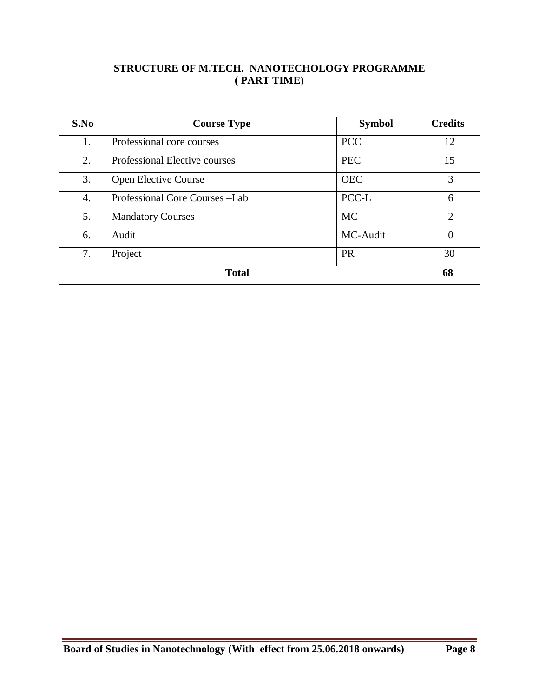### **STRUCTURE OF M.TECH. NANOTECHOLOGY PROGRAMME ( PART TIME)**

| S.No             | <b>Course Type</b>             | <b>Symbol</b> | <b>Credits</b> |  |  |  |  |
|------------------|--------------------------------|---------------|----------------|--|--|--|--|
| 1.               | Professional core courses      | <b>PCC</b>    | 12             |  |  |  |  |
| 2.               | Professional Elective courses  | <b>PEC</b>    | 15             |  |  |  |  |
| 3.               | <b>Open Elective Course</b>    | <b>OEC</b>    | 3              |  |  |  |  |
| $\overline{4}$ . | Professional Core Courses -Lab | PCC-L         | 6              |  |  |  |  |
| 5.               | <b>Mandatory Courses</b>       | <b>MC</b>     | $\overline{2}$ |  |  |  |  |
| 6.               | Audit                          | MC-Audit      | $\theta$       |  |  |  |  |
| 7.               | Project                        | <b>PR</b>     | 30             |  |  |  |  |
|                  | <b>Total</b>                   |               |                |  |  |  |  |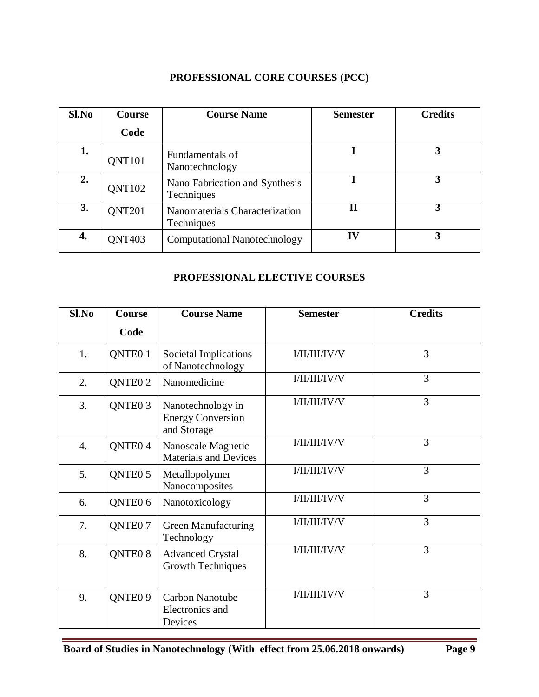## **PROFESSIONAL CORE COURSES (PCC)**

| Sl.No | <b>Course</b> | <b>Course Name</b>                           | <b>Semester</b> | <b>Credits</b> |
|-------|---------------|----------------------------------------------|-----------------|----------------|
|       | Code          |                                              |                 |                |
| 1.    | <b>QNT101</b> | Fundamentals of<br>Nanotechnology            |                 | 3              |
| 2.    | <b>QNT102</b> | Nano Fabrication and Synthesis<br>Techniques |                 | 3              |
| 3.    | <b>QNT201</b> | Nanomaterials Characterization<br>Techniques | П               |                |
| 4.    | <b>QNT403</b> | <b>Computational Nanotechnology</b>          | IV              |                |

### **PROFESSIONAL ELECTIVE COURSES**

| Sl.No            | Course              | <b>Course Name</b>                                           | <b>Semester</b> | <b>Credits</b> |
|------------------|---------------------|--------------------------------------------------------------|-----------------|----------------|
|                  | Code                |                                                              |                 |                |
| 1.               | QNTE <sub>0</sub> 1 | Societal Implications<br>of Nanotechnology                   | I/II/II/IV/V    | 3              |
| 2.               | QNTE <sub>0</sub> 2 | Nanomedicine                                                 | I/II/II/IV/V    | 3              |
| 3.               | QNTE <sub>0</sub> 3 | Nanotechnology in<br><b>Energy Conversion</b><br>and Storage | I/II/II/IV/V    | 3              |
| $\overline{4}$ . | QNTE <sub>0</sub> 4 | Nanoscale Magnetic<br><b>Materials and Devices</b>           | I/II/II/IV/V    | 3              |
| 5.               | QNTE <sub>0</sub> 5 | Metallopolymer<br>Nanocomposites                             | I/II/III/IV/V   | $\overline{3}$ |
| 6.               | QNTE <sub>0</sub> 6 | Nanotoxicology                                               | I/II/III/IV/V   | $\overline{3}$ |
| 7.               | QNTE <sub>0</sub> 7 | <b>Green Manufacturing</b><br>Technology                     | I/II/III/IV/V   | 3              |
| 8.               | QNTE <sub>0</sub> 8 | <b>Advanced Crystal</b><br><b>Growth Techniques</b>          | I/II/II/IV/V    | 3              |
| 9.               | QNTE <sub>09</sub>  | Carbon Nanotube<br>Electronics and<br>Devices                | I/II/II/IV/V    | 3              |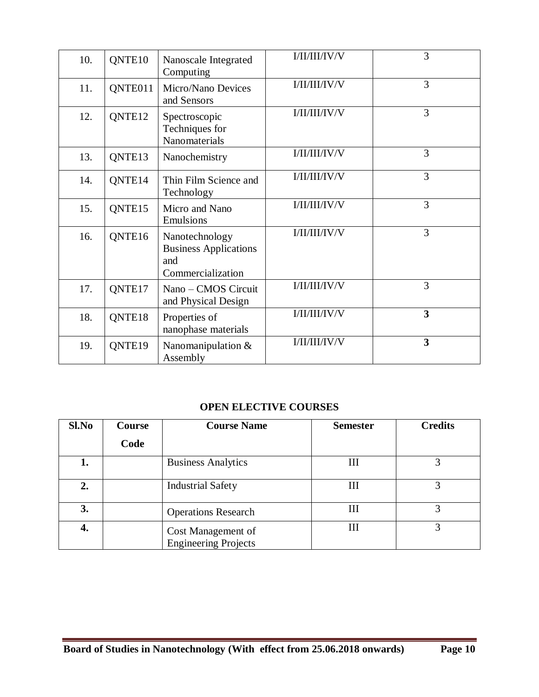| 10. | QNTE <sub>10</sub> | Nanoscale Integrated<br>Computing                                          | I/II/II/IV/V  | 3 |
|-----|--------------------|----------------------------------------------------------------------------|---------------|---|
| 11. | QNTE011            | Micro/Nano Devices<br>and Sensors                                          | I/II/III/IV/V | 3 |
| 12. | QNTE <sub>12</sub> | Spectroscopic<br>Techniques for<br>Nanomaterials                           | I/II/III/IV/V | 3 |
| 13. | QNTE <sub>13</sub> | Nanochemistry                                                              | I/II/III/IV/V | 3 |
| 14. | QNTE <sub>14</sub> | Thin Film Science and<br>Technology                                        | I/II/III/IV/V | 3 |
| 15. | QNTE15             | Micro and Nano<br>Emulsions                                                | I/II/II/IV/V  | 3 |
| 16. | QNTE <sub>16</sub> | Nanotechnology<br><b>Business Applications</b><br>and<br>Commercialization | I/II/II/IV/V  | 3 |
| 17. | QNTE <sub>17</sub> | Nano - CMOS Circuit<br>and Physical Design                                 | I/II/III/IV/V | 3 |
| 18. | QNTE <sub>18</sub> | Properties of<br>nanophase materials                                       | I/II/II/IV/V  | 3 |
| 19. | QNTE <sub>19</sub> | Nanomanipulation $&$<br>Assembly                                           | I/II/II/IV/V  | 3 |

## **OPEN ELECTIVE COURSES**

| Sl.No | Course | <b>Course Name</b>                                | <b>Semester</b> | <b>Credits</b> |
|-------|--------|---------------------------------------------------|-----------------|----------------|
|       | Code   |                                                   |                 |                |
| 1.    |        | <b>Business Analytics</b>                         | III             |                |
| 2.    |        | <b>Industrial Safety</b>                          | Ш               |                |
| 3.    |        | <b>Operations Research</b>                        | Ш               |                |
| 4.    |        | Cost Management of<br><b>Engineering Projects</b> | Ш               | 3              |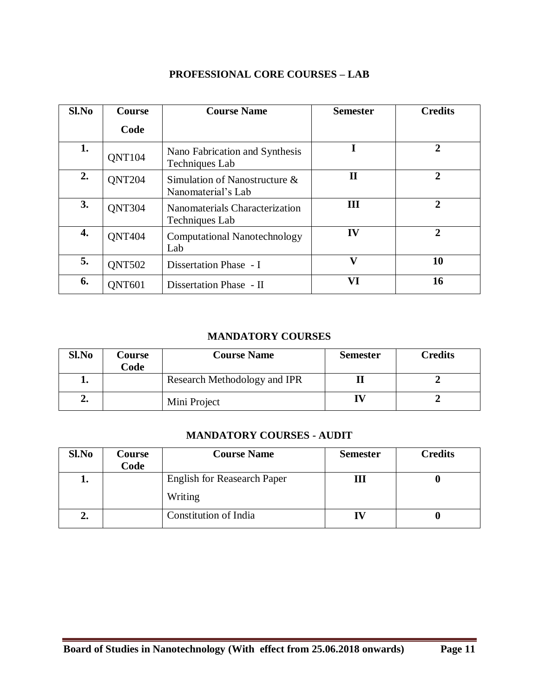| Sl.No | <b>Course</b> | <b>Course Name</b>                                  | <b>Semester</b> | <b>Credits</b> |
|-------|---------------|-----------------------------------------------------|-----------------|----------------|
|       | Code          |                                                     |                 |                |
| 1.    | <b>QNT104</b> | Nano Fabrication and Synthesis<br>Techniques Lab    | I               | $\overline{2}$ |
| 2.    | <b>QNT204</b> | Simulation of Nanostructure &<br>Nanomaterial's Lab | П               | $\overline{2}$ |
| 3.    | <b>QNT304</b> | Nanomaterials Characterization<br>Techniques Lab    | III             | $\mathbf{2}$   |
| 4.    | <b>ONT404</b> | <b>Computational Nanotechnology</b><br>Lab          | IV              | $\overline{2}$ |
| 5.    | <b>ONT502</b> | Dissertation Phase - I                              | V               | 10             |
| 6.    | <b>ONT601</b> | Dissertation Phase - II                             | VI              | 16             |

### **PROFESSIONAL CORE COURSES – LAB**

### **MANDATORY COURSES**

| Sl.No | Course<br>Code | <b>Course Name</b>           | <b>Semester</b> | <b>Credits</b> |
|-------|----------------|------------------------------|-----------------|----------------|
| ≖∙    |                | Research Methodology and IPR |                 |                |
| ۵.    |                | Mini Project                 |                 |                |

#### **MANDATORY COURSES - AUDIT**

| Sl.No | Course<br>Code | <b>Course Name</b>                            | <b>Semester</b> | <b>Credits</b> |
|-------|----------------|-----------------------------------------------|-----------------|----------------|
| ı.    |                | <b>English for Reasearch Paper</b><br>Writing | M               |                |
| ∠.    |                | Constitution of India                         |                 |                |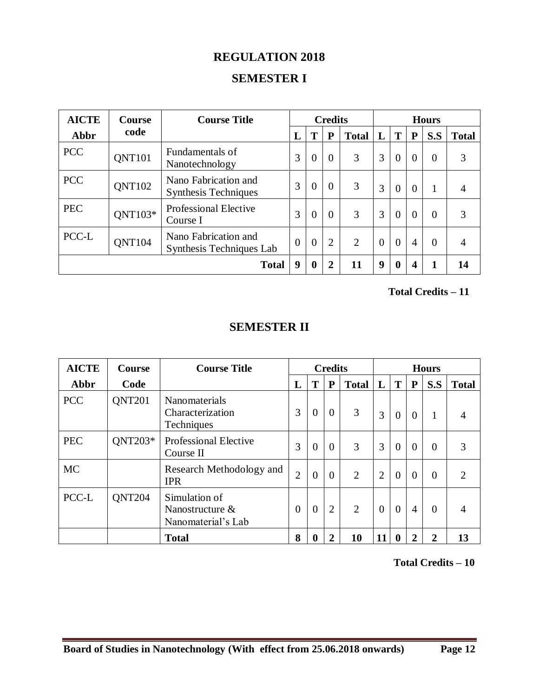# **REGULATION 2018**

# **SEMESTER I**

| <b>AICTE</b> | <b>Course</b> | <b>Course Title</b>                                 |                |                | <b>Credits</b> |              |          |          |          | <b>Hours</b> |              |
|--------------|---------------|-----------------------------------------------------|----------------|----------------|----------------|--------------|----------|----------|----------|--------------|--------------|
| Abbr         | code          |                                                     | L              | T              | P              | <b>Total</b> |          |          | P        | S.S          | <b>Total</b> |
| <b>PCC</b>   | <b>QNT101</b> | Fundamentals of<br>Nanotechnology                   | 3              | $\overline{0}$ | $\overline{0}$ | 3            | 3        | $\theta$ | $\cup$   | $\theta$     | 3            |
| <b>PCC</b>   | <b>QNT102</b> | Nano Fabrication and<br><b>Synthesis Techniques</b> | 3              | $\overline{0}$ | $\overline{0}$ | 3            | 3        | $\theta$ | $\theta$ |              | 4            |
| <b>PEC</b>   | QNT103*       | <b>Professional Elective</b><br>Course I            | 3              | $\theta$       | $\overline{0}$ | 3            | 3        | $\theta$ | $\Omega$ | $\theta$     | 3            |
| PCC-L        | <b>QNT104</b> | Nano Fabrication and<br>Synthesis Techniques Lab    | $\overline{0}$ | $\overline{0}$ | $\overline{2}$ | 2            | $\theta$ | $\theta$ | 4        | $\theta$     | 4            |
|              |               | <b>Total</b>                                        | 9              | $\bf{0}$       | $\overline{2}$ | 11           | 9        | 0        |          |              | 14           |

 **Total Credits – 11**

# **SEMESTER II**

| <b>AICTE</b> | <b>Course</b> | <b>Course Title</b>                                       | <b>Credits</b> |                |                |                |                |                | <b>Hours</b>   |                |                |  |
|--------------|---------------|-----------------------------------------------------------|----------------|----------------|----------------|----------------|----------------|----------------|----------------|----------------|----------------|--|
| Abbr         | Code          |                                                           | L              | T              | P              | <b>Total</b>   | L              | T              | ${\bf P}$      | S.S            | <b>Total</b>   |  |
| <b>PCC</b>   | <b>QNT201</b> | Nanomaterials<br>Characterization<br>Techniques           | 3              | $\overline{0}$ | $\theta$       | 3              | 3              | $\overline{0}$ | $\overline{0}$ | 1              | $\overline{4}$ |  |
| <b>PEC</b>   | QNT203*       | <b>Professional Elective</b><br>Course II                 | 3              | $\theta$       | $\theta$       | 3              | 3              | $\overline{0}$ | $\Omega$       | $\overline{0}$ | 3              |  |
| MC           |               | Research Methodology and<br><b>IPR</b>                    | $\overline{2}$ | $\overline{0}$ | $\theta$       | 2              | $\overline{2}$ | $\overline{0}$ | $\overline{0}$ | $\overline{0}$ | $\overline{2}$ |  |
| PCC-L        | <b>QNT204</b> | Simulation of<br>Nanostructure $\&$<br>Nanomaterial's Lab | $\overline{0}$ | $\theta$       | $\overline{2}$ | $\overline{2}$ | $\theta$       | $\theta$       | 4              | $\Omega$       | 4              |  |
|              |               | <b>Total</b>                                              | 8              | 0              | $\overline{2}$ | 10             |                | o              |                | 2              | 13             |  |

 **Total Credits – 10**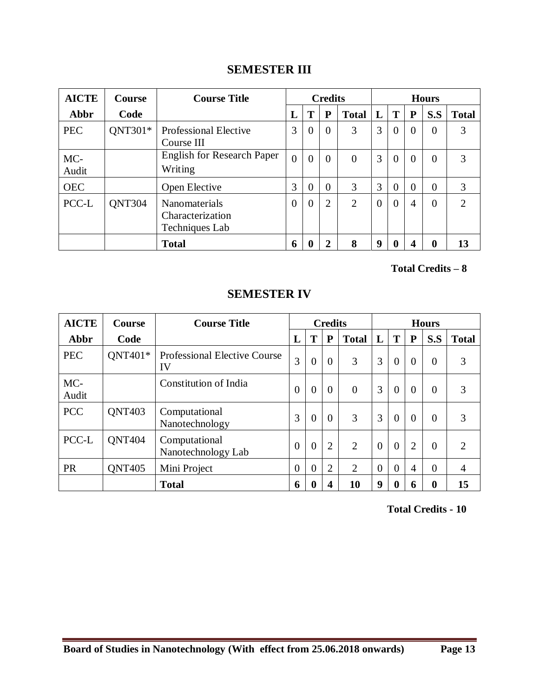# **SEMESTER III**

| <b>AICTE</b> | <b>Course</b> | <b>Course Title</b>                                        |          |                | <b>Credits</b> |                |          |                |          | <b>Hours</b>   |               |
|--------------|---------------|------------------------------------------------------------|----------|----------------|----------------|----------------|----------|----------------|----------|----------------|---------------|
| Abbr         | Code          |                                                            | L        | Т              | P              | <b>Total</b>   | L        | Т              | P        | S.S            | <b>Total</b>  |
| <b>PEC</b>   | QNT301*       | <b>Professional Elective</b><br>Course III                 | 3        | $\theta$       | $\theta$       | 3              | 3        | $\overline{0}$ | $\Omega$ | $\Omega$       | 3             |
| MC-<br>Audit |               | <b>English for Research Paper</b><br>Writing               | $\Omega$ | $\theta$       | $\theta$       | $\overline{0}$ | 3        | $\theta$       | $\Omega$ | $\overline{0}$ | 3             |
| <b>OEC</b>   |               | Open Elective                                              | 3        | $\overline{0}$ | $\theta$       | 3              | 3        | $\theta$       | $\Omega$ | $\overline{0}$ | 3             |
| PCC-L        | <b>QNT304</b> | <b>Nanomaterials</b><br>Characterization<br>Techniques Lab | $\theta$ | $\theta$       | $\overline{2}$ | $\overline{2}$ | $\Omega$ | $\theta$       | 4        | $\theta$       | $\mathcal{D}$ |
|              |               | <b>Total</b>                                               | 6        |                | 2              | 8              | 9        | $\mathbf 0$    |          | 0              | 13            |

 **Total Credits – 8**

| <b>AICTE</b> | <b>Course</b> | <b>Course Title</b>                       | <b>Credits</b> |                |                |                |                | <b>Hours</b>   |                |                  |                |  |  |
|--------------|---------------|-------------------------------------------|----------------|----------------|----------------|----------------|----------------|----------------|----------------|------------------|----------------|--|--|
| Abbr         | Code          |                                           | L              | T              | P              | <b>Total</b>   | L              | T              | $\mathbf P$    | S.S              | <b>Total</b>   |  |  |
| <b>PEC</b>   | $QNT401*$     | <b>Professional Elective Course</b><br>IV | 3              | $\overline{0}$ | $\overline{0}$ | 3              | 3              | $\overline{0}$ | $\Omega$       | $\theta$         | 3              |  |  |
| MC-<br>Audit |               | Constitution of India                     | $\overline{0}$ | $\overline{0}$ | $\theta$       | $\overline{0}$ | 3              | $\Omega$       | $\Omega$       | $\theta$         | 3              |  |  |
| <b>PCC</b>   | <b>QNT403</b> | Computational<br>Nanotechnology           | 3              | $\overline{0}$ | $\overline{0}$ | 3              | 3              | $\Omega$       | $\Omega$       | $\theta$         | 3              |  |  |
| PCC-L        | <b>QNT404</b> | Computational<br>Nanotechnology Lab       | $\overline{0}$ | $\overline{0}$ | $\overline{2}$ | $\overline{2}$ | $\Omega$       | $\Omega$       | $\overline{2}$ | $\theta$         | $\overline{2}$ |  |  |
| <b>PR</b>    | <b>ONT405</b> | Mini Project                              | $\overline{0}$ | $\theta$       | $\overline{2}$ | $\overline{2}$ | $\overline{0}$ | $\theta$       | 4              | $\theta$         | $\overline{4}$ |  |  |
|              |               | <b>Total</b>                              | 6              | 0              | 4              | 10             | 9              | $\bf{0}$       | 6              | $\boldsymbol{0}$ | 15             |  |  |

# **SEMESTER IV**

 **Total Credits - 10**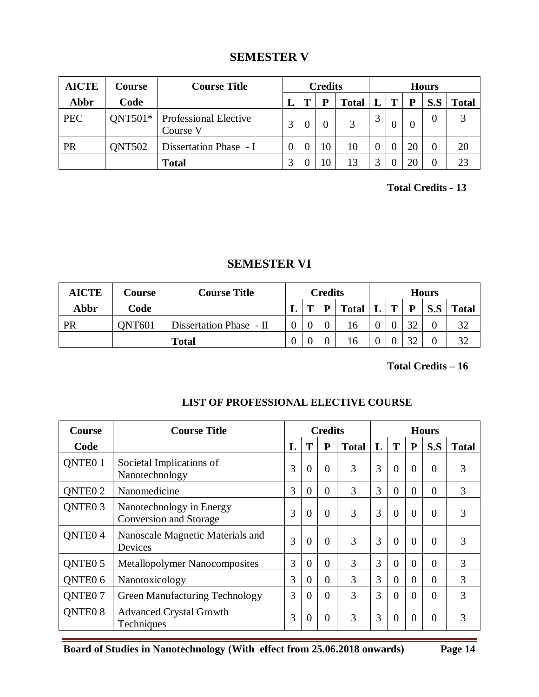# **SEMESTER V**

| <b>AICTE</b> | Course        | <b>Course Title</b>                      | <b>Credits</b> |  |    | <b>Hours</b> |          |   |                |          |              |
|--------------|---------------|------------------------------------------|----------------|--|----|--------------|----------|---|----------------|----------|--------------|
| Abbr         | Code          |                                          |                |  |    | <b>Total</b> |          | T | P              | S.S      | <b>Total</b> |
| <b>PEC</b>   | $QNT501*$     | <b>Professional Elective</b><br>Course V |                |  |    | 3            | 3        |   | $\overline{0}$ | $\theta$ | 3            |
| <b>PR</b>    | <b>QNT502</b> | Dissertation Phase - I                   |                |  | 10 | 10           | $\theta$ |   | 20             | 0        | 20           |
|              |               | <b>Total</b>                             |                |  |    | 13           | 2        |   | 20             | 0        | 23           |

 **Total Credits - 13**

# **SEMESTER VI**

| <b>AICTE</b> | Course        | <b>Course Title</b>     | <b>Credits</b> |   | <b>Hours</b> |              |   |          |     |              |
|--------------|---------------|-------------------------|----------------|---|--------------|--------------|---|----------|-----|--------------|
| Abbr         | Code          |                         |                | œ | D            | <b>Total</b> | m | P        | S.S | <b>Total</b> |
| PR           | <b>ONT601</b> | Dissertation Phase - II |                |   |              | 16           |   | $\Omega$ |     | 32           |
|              |               | <b>Total</b>            |                |   |              | 16           |   | $\cap$   |     | 32           |

 **Total Credits – 16**

| <b>Course</b>       | <b>Course Title</b>                                | <b>Credits</b> |                |                | <b>Hours</b> |   |          |          |          |              |
|---------------------|----------------------------------------------------|----------------|----------------|----------------|--------------|---|----------|----------|----------|--------------|
| Code                |                                                    | L              | T              | ${\bf P}$      | <b>Total</b> | L | T        | P        | S.S      | <b>Total</b> |
| QNTE0 1             | Societal Implications of<br>Nanotechnology         | 3              | $\overline{0}$ | $\Omega$       | 3            | 3 | $\Omega$ | $\Omega$ | $\theta$ | 3            |
| <b>ONTEO 2</b>      | Nanomedicine                                       | 3              | $\overline{0}$ | $\theta$       | 3            | 3 | $\Omega$ | $\theta$ | $\Omega$ | 3            |
| QNTE <sub>0</sub> 3 | Nanotechnology in Energy<br>Conversion and Storage | 3              | $\overline{0}$ | $\theta$       | 3            | 3 | $\Omega$ | $\Omega$ | $\theta$ | 3            |
| QNTE <sub>0</sub> 4 | Nanoscale Magnetic Materials and<br>Devices        | 3              | $\overline{0}$ | $\Omega$       | 3            | 3 | $\Omega$ | $\Omega$ | $\Omega$ | 3            |
| <b>ONTEO 5</b>      | <b>Metallopolymer Nanocomposites</b>               | 3              | $\overline{0}$ | $\theta$       | 3            | 3 | $\Omega$ | $\Omega$ | $\theta$ | 3            |
| QNTE <sub>0</sub> 6 | Nanotoxicology                                     | 3              | $\overline{0}$ | $\Omega$       | 3            | 3 | $\Omega$ | $\Omega$ | $\Omega$ | 3            |
| <b>ONTEO 7</b>      | <b>Green Manufacturing Technology</b>              | 3              | $\overline{0}$ | $\theta$       | 3            | 3 | $\theta$ | $\Omega$ | $\theta$ | 3            |
| QNTE <sub>0</sub> 8 | <b>Advanced Crystal Growth</b><br>Techniques       | 3              | $\overline{0}$ | $\overline{0}$ | 3            | 3 | $\Omega$ | $\Omega$ | $\Omega$ | 3            |

# **LIST OF PROFESSIONAL ELECTIVE COURSE**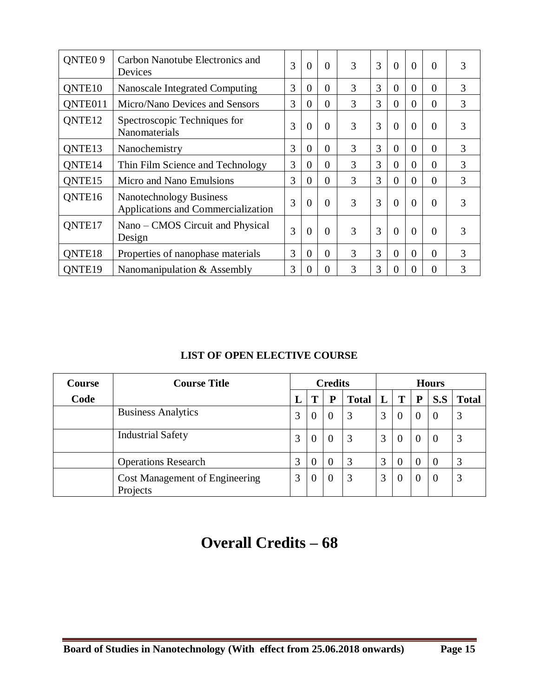| QNTE <sub>0</sub> 9 | Carbon Nanotube Electronics and<br>Devices                           | 3 | $\theta$       | $\theta$ | 3 | 3 | $\theta$       | $\theta$ | $\Omega$ | 3 |
|---------------------|----------------------------------------------------------------------|---|----------------|----------|---|---|----------------|----------|----------|---|
| QNTE <sub>10</sub>  | Nanoscale Integrated Computing                                       | 3 | $\overline{0}$ | $\Omega$ | 3 | 3 | $\Omega$       | $\theta$ | $\Omega$ | 3 |
| QNTE011             | Micro/Nano Devices and Sensors                                       | 3 | $\overline{0}$ | $\Omega$ | 3 | 3 | $\overline{0}$ | $\Omega$ | $\Omega$ | 3 |
| QNTE <sub>12</sub>  | Spectroscopic Techniques for<br>Nanomaterials                        | 3 | $\theta$       | $\theta$ | 3 | 3 | $\theta$       | $\Omega$ | $\Omega$ | 3 |
| ONTE13              | Nanochemistry                                                        | 3 | $\overline{0}$ | $\theta$ | 3 | 3 | $\overline{0}$ | $\theta$ | $\Omega$ | 3 |
| QNTE14              | Thin Film Science and Technology                                     | 3 | $\theta$       | $\Omega$ | 3 | 3 | $\Omega$       | $\theta$ | $\Omega$ | 3 |
| ONTE15              | Micro and Nano Emulsions                                             | 3 | $\overline{0}$ | $\theta$ | 3 | 3 | $\theta$       | $\Omega$ | $\Omega$ | 3 |
| QNTE16              | <b>Nanotechnology Business</b><br>Applications and Commercialization | 3 | $\Omega$       | $\Omega$ | 3 | 3 | $\Omega$       | $\Omega$ | $\Omega$ | 3 |
| QNTE17              | Nano – CMOS Circuit and Physical<br>Design                           | 3 | $\theta$       | $\theta$ | 3 | 3 | $\theta$       | $\Omega$ | $\Omega$ | 3 |
| QNTE18              | Properties of nanophase materials                                    | 3 | $\overline{0}$ | $\Omega$ | 3 | 3 | $\overline{0}$ | $\theta$ | $\Omega$ | 3 |
| ONTE <sub>19</sub>  | Nanomanipulation & Assembly                                          | 3 | $\theta$       | $\Omega$ | 3 | 3 | $\Omega$       |          | $\Omega$ | 3 |

# **LIST OF OPEN ELECTIVE COURSE**

| <b>Course</b> | <b>Course Title</b>                               | <b>Credits</b> |          |   | <b>Hours</b> |   |          |              |     |              |
|---------------|---------------------------------------------------|----------------|----------|---|--------------|---|----------|--------------|-----|--------------|
| Code          |                                                   | L              | Т        | P | <b>Total</b> |   | T        | P            | S.S | <b>Total</b> |
|               | <b>Business Analytics</b>                         | 3              | $\theta$ |   | 3            | 3 | $\theta$ | $\theta$     |     | 3            |
|               | <b>Industrial Safety</b>                          | 3              | $\Omega$ |   | 3            | 3 | $\theta$ | $\mathbf{U}$ | -0  | 3            |
|               | <b>Operations Research</b>                        | 3              | $\theta$ |   | 3            | 3 | $\theta$ | $\mathbf{U}$ | 0   | 3            |
|               | <b>Cost Management of Engineering</b><br>Projects | 3              | $\theta$ | 0 | 3            | 3 | 0        | O            | -0  | 3            |

# **Overall Credits – 68**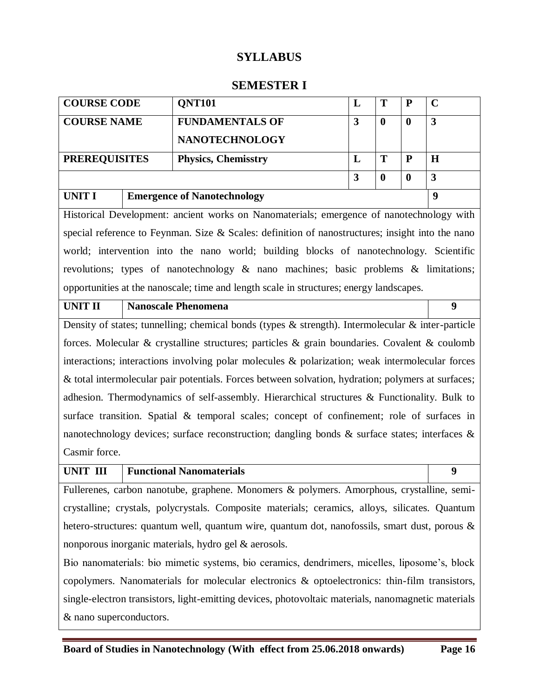# **SYLLABUS**

### **SEMESTER I**

| <b>COURSE CODE</b>   | <b>QNT101</b>                      |   | P |   |
|----------------------|------------------------------------|---|---|---|
| <b>COURSE NAME</b>   | <b>FUNDAMENTALS OF</b>             | 3 |   | 3 |
|                      | <b>NANOTECHNOLOGY</b>              |   |   |   |
| <b>PREREQUISITES</b> | <b>Physics, Chemisstry</b>         |   | P | H |
|                      |                                    | 3 |   | 3 |
| <b>UNIT I</b>        | <b>Emergence of Nanotechnology</b> |   |   | a |

Historical Development: ancient works on Nanomaterials; emergence of nanotechnology with special reference to Feynman. Size & Scales: definition of nanostructures; insight into the nano world; intervention into the nano world; building blocks of nanotechnology. Scientific revolutions; types of nanotechnology & nano machines; basic problems & limitations; opportunities at the nanoscale; time and length scale in structures; energy landscapes.

**UNIT II Nanoscale Phenomena 9**

Density of states; tunnelling; chemical bonds (types & strength). Intermolecular & inter-particle forces. Molecular & crystalline structures; particles & grain boundaries. Covalent & coulomb interactions; interactions involving polar molecules & polarization; weak intermolecular forces & total intermolecular pair potentials. Forces between solvation, hydration; polymers at surfaces; adhesion. Thermodynamics of self-assembly. Hierarchical structures & Functionality. Bulk to surface transition. Spatial & temporal scales; concept of confinement; role of surfaces in nanotechnology devices; surface reconstruction; dangling bonds  $\&$  surface states; interfaces  $\&$ Casmir force.

### **UNIT III Functional Nanomaterials 9**

Fullerenes, carbon nanotube, graphene. Monomers & polymers. Amorphous, crystalline, semicrystalline; crystals, polycrystals. Composite materials; ceramics, alloys, silicates. Quantum hetero-structures: quantum well, quantum wire, quantum dot, nanofossils, smart dust, porous & nonporous inorganic materials, hydro gel & aerosols.

Bio nanomaterials: bio mimetic systems, bio ceramics, dendrimers, micelles, liposome's, block copolymers. Nanomaterials for molecular electronics & optoelectronics: thin-film transistors, single-electron transistors, light-emitting devices, photovoltaic materials, nanomagnetic materials & nano superconductors.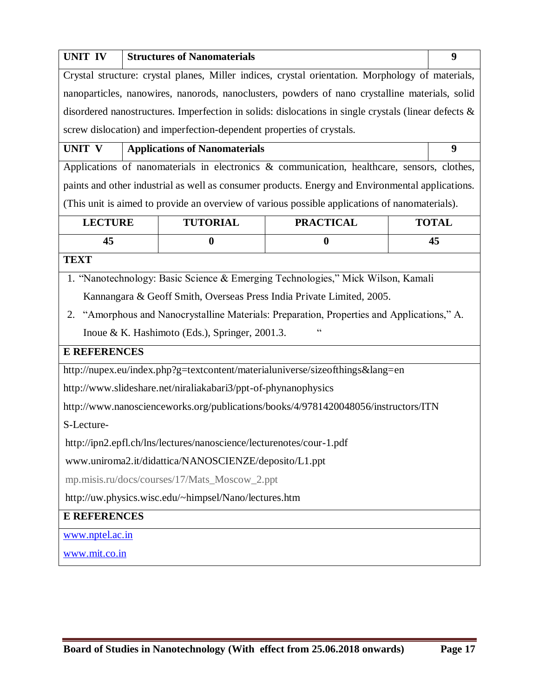| <b>UNIT IV</b>                                                                              |                                                                       | <b>Structures of Nanomaterials</b>                                   |                                                                                                         |  | 9            |  |  |  |  |
|---------------------------------------------------------------------------------------------|-----------------------------------------------------------------------|----------------------------------------------------------------------|---------------------------------------------------------------------------------------------------------|--|--------------|--|--|--|--|
|                                                                                             |                                                                       |                                                                      | Crystal structure: crystal planes, Miller indices, crystal orientation. Morphology of materials,        |  |              |  |  |  |  |
|                                                                                             |                                                                       |                                                                      | nanoparticles, nanowires, nanorods, nanoclusters, powders of nano crystalline materials, solid          |  |              |  |  |  |  |
|                                                                                             |                                                                       |                                                                      | disordered nanostructures. Imperfection in solids: dislocations in single crystals (linear defects $\&$ |  |              |  |  |  |  |
|                                                                                             | screw dislocation) and imperfection-dependent properties of crystals. |                                                                      |                                                                                                         |  |              |  |  |  |  |
| <b>UNIT V</b>                                                                               |                                                                       | <b>Applications of Nanomaterials</b>                                 |                                                                                                         |  | 9            |  |  |  |  |
| Applications of nanomaterials in electronics & communication, healthcare, sensors, clothes, |                                                                       |                                                                      |                                                                                                         |  |              |  |  |  |  |
|                                                                                             |                                                                       |                                                                      | paints and other industrial as well as consumer products. Energy and Environmental applications.        |  |              |  |  |  |  |
|                                                                                             |                                                                       |                                                                      | (This unit is aimed to provide an overview of various possible applications of nanomaterials).          |  |              |  |  |  |  |
| <b>LECTURE</b>                                                                              |                                                                       | <b>TUTORIAL</b>                                                      | <b>PRACTICAL</b>                                                                                        |  | <b>TOTAL</b> |  |  |  |  |
| 45                                                                                          |                                                                       | $\bf{0}$                                                             | $\bf{0}$                                                                                                |  | 45           |  |  |  |  |
| <b>TEXT</b>                                                                                 |                                                                       |                                                                      |                                                                                                         |  |              |  |  |  |  |
|                                                                                             |                                                                       |                                                                      | 1. "Nanotechnology: Basic Science & Emerging Technologies," Mick Wilson, Kamali                         |  |              |  |  |  |  |
|                                                                                             |                                                                       |                                                                      | Kannangara & Geoff Smith, Overseas Press India Private Limited, 2005.                                   |  |              |  |  |  |  |
| 2.                                                                                          |                                                                       |                                                                      | "Amorphous and Nanocrystalline Materials: Preparation, Properties and Applications," A.                 |  |              |  |  |  |  |
|                                                                                             |                                                                       | Inoue & K. Hashimoto (Eds.), Springer, 2001.3.                       | "                                                                                                       |  |              |  |  |  |  |
| <b>E REFERENCES</b>                                                                         |                                                                       |                                                                      |                                                                                                         |  |              |  |  |  |  |
|                                                                                             |                                                                       |                                                                      | http://nupex.eu/index.php?g=textcontent/materialuniverse/sizeofthings⟨=en                               |  |              |  |  |  |  |
|                                                                                             |                                                                       | http://www.slideshare.net/niraliakabari3/ppt-of-phynanophysics       |                                                                                                         |  |              |  |  |  |  |
|                                                                                             |                                                                       |                                                                      | http://www.nanoscienceworks.org/publications/books/4/9781420048056/instructors/ITN                      |  |              |  |  |  |  |
| S-Lecture-                                                                                  |                                                                       |                                                                      |                                                                                                         |  |              |  |  |  |  |
|                                                                                             |                                                                       | http://ipn2.epfl.ch/lns/lectures/nanoscience/lecturenotes/cour-1.pdf |                                                                                                         |  |              |  |  |  |  |
|                                                                                             |                                                                       | www.uniroma2.it/didattica/NANOSCIENZE/deposito/L1.ppt                |                                                                                                         |  |              |  |  |  |  |
| mp.misis.ru/docs/courses/17/Mats_Moscow_2.ppt                                               |                                                                       |                                                                      |                                                                                                         |  |              |  |  |  |  |
| http://uw.physics.wisc.edu/~himpsel/Nano/lectures.htm                                       |                                                                       |                                                                      |                                                                                                         |  |              |  |  |  |  |
| <b>E REFERENCES</b>                                                                         |                                                                       |                                                                      |                                                                                                         |  |              |  |  |  |  |
| www.nptel.ac.in                                                                             |                                                                       |                                                                      |                                                                                                         |  |              |  |  |  |  |
| www.mit.co.in                                                                               |                                                                       |                                                                      |                                                                                                         |  |              |  |  |  |  |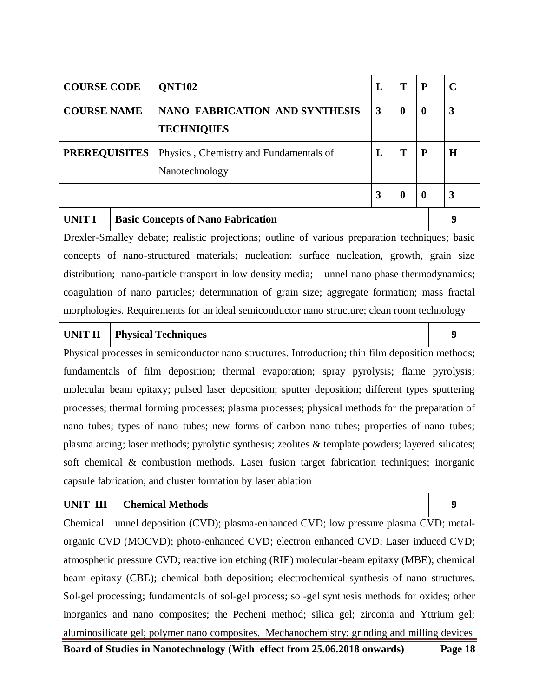| <b>COURSE CODE</b>   | <b>ONT102</b>                                              | L |   | $\mathbf P$      | $\mathbf C$ |
|----------------------|------------------------------------------------------------|---|---|------------------|-------------|
| <b>COURSE NAME</b>   | <b>NANO FABRICATION AND SYNTHESIS</b><br><b>TECHNIQUES</b> | 3 | 0 | $\bf{0}$         | 3           |
| <b>PREREQUISITES</b> | Physics, Chemistry and Fundamentals of<br>Nanotechnology   | L |   | P                | H           |
|                      |                                                            | 3 |   | $\boldsymbol{0}$ | 3           |
| UNIT I               | <b>Basic Concepts of Nano Fabrication</b>                  |   |   |                  | 9           |

Drexler-Smalley debate; realistic projections; outline of various preparation techniques; basic concepts of nano-structured materials; nucleation: surface nucleation, growth, grain size distribution; nano-particle transport in low density media; unnel nano phase thermodynamics; coagulation of nano particles; determination of grain size; aggregate formation; mass fractal morphologies. Requirements for an ideal semiconductor nano structure; clean room technology

#### UNIT II **Physical Techniques** 9

Physical processes in semiconductor nano structures. Introduction; thin film deposition methods; fundamentals of film deposition; thermal evaporation; spray pyrolysis; flame pyrolysis; molecular beam epitaxy; pulsed laser deposition; sputter deposition; different types sputtering processes; thermal forming processes; plasma processes; physical methods for the preparation of nano tubes; types of nano tubes; new forms of carbon nano tubes; properties of nano tubes; plasma arcing; laser methods; pyrolytic synthesis; zeolites & template powders; layered silicates; soft chemical & combustion methods. Laser fusion target fabrication techniques; inorganic capsule fabrication; and cluster formation by laser ablation

### **UNIT III Chemical Methods 9**

Chemical unnel deposition (CVD); plasma-enhanced CVD; low pressure plasma CVD; metalorganic CVD (MOCVD); photo-enhanced CVD; electron enhanced CVD; Laser induced CVD; atmospheric pressure CVD; reactive ion etching (RIE) molecular-beam epitaxy (MBE); chemical beam epitaxy (CBE); chemical bath deposition; electrochemical synthesis of nano structures. Sol-gel processing; fundamentals of sol-gel process; sol-gel synthesis methods for oxides; other inorganics and nano composites; the Pecheni method; silica gel; zirconia and Yttrium gel; aluminosilicate gel; polymer nano composites. Mechanochemistry: grinding and milling devices

**Board of Studies in Nanotechnology (With effect from 25.06.2018 onwards) Page 18**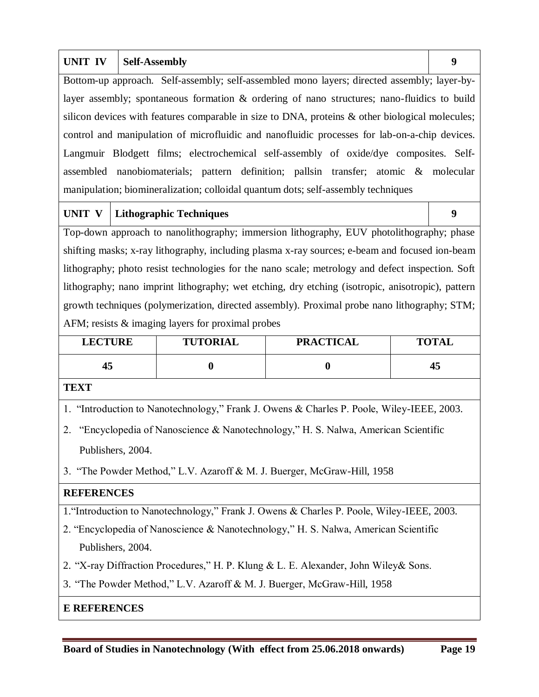| <b>UNIT IV</b>                                                                                 | <b>Self-Assembly</b>                                                                            | 9 |  |  |  |  |  |  |
|------------------------------------------------------------------------------------------------|-------------------------------------------------------------------------------------------------|---|--|--|--|--|--|--|
|                                                                                                | Bottom-up approach. Self-assembly; self-assembled mono layers; directed assembly; layer-by-     |   |  |  |  |  |  |  |
| layer assembly; spontaneous formation $\&$ ordering of nano structures; nano-fluidics to build |                                                                                                 |   |  |  |  |  |  |  |
|                                                                                                | silicon devices with features comparable in size to DNA, proteins & other biological molecules; |   |  |  |  |  |  |  |
|                                                                                                | control and manipulation of microfluidic and nanofluidic processes for lab-on-a-chip devices.   |   |  |  |  |  |  |  |
|                                                                                                | Langmuir Blodgett films; electrochemical self-assembly of oxide/dye composites. Self-           |   |  |  |  |  |  |  |
|                                                                                                | assembled nanobiomaterials; pattern definition; pallsin transfer; atomic & molecular            |   |  |  |  |  |  |  |
| manipulation; biomineralization; colloidal quantum dots; self-assembly techniques              |                                                                                                 |   |  |  |  |  |  |  |

## UNIT V | Lithographic Techniques 9

Top-down approach to nanolithography; immersion lithography, EUV photolithography; phase shifting masks; x-ray lithography, including plasma x-ray sources; e-beam and focused ion-beam lithography; photo resist technologies for the nano scale; metrology and defect inspection. Soft lithography; nano imprint lithography; wet etching, dry etching (isotropic, anisotropic), pattern growth techniques (polymerization, directed assembly). Proximal probe nano lithography; STM; AFM; resists & imaging layers for proximal probes

| <b>LECTURE</b> | <b>TUTORIAL</b> | <b>PRACTICAL</b> | <b>TOTAL</b> |
|----------------|-----------------|------------------|--------------|
| 43             |                 |                  | 43           |

**TEXT**

1. "Introduction to Nanotechnology," Frank J. Owens & Charles P. Poole, Wiley-IEEE, 2003.

2. "Encyclopedia of Nanoscience & Nanotechnology," H. S. Nalwa, American Scientific Publishers, 2004.

3. "The Powder Method," L.V. Azaroff & M. J. Buerger, McGraw-Hill, 1958

### **REFERENCES**

1."Introduction to Nanotechnology," Frank J. Owens & Charles P. Poole, Wiley-IEEE, 2003.

- 2. "Encyclopedia of Nanoscience & Nanotechnology," H. S. Nalwa, American Scientific Publishers, 2004.
- 2. "X-ray Diffraction Procedures," H. P. Klung & L. E. Alexander, John Wiley& Sons.
- 3. "The Powder Method," L.V. Azaroff & M. J. Buerger, McGraw-Hill, 1958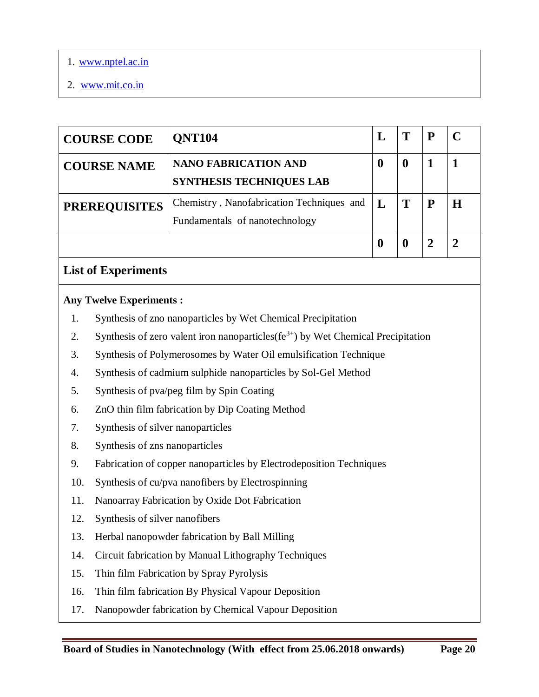- 1. www.nptel.ac.in
- 2. www.mit.co.in

| <b>COURSE CODE</b>   | <b>ONT104</b>                                                               |   | P |  |
|----------------------|-----------------------------------------------------------------------------|---|---|--|
| <b>COURSE NAME</b>   | <b>NANO FABRICATION AND</b><br><b>SYNTHESIS TECHNIQUES LAB</b>              | 0 |   |  |
| <b>PREREQUISITES</b> | Chemistry, Nanofabrication Techniques and<br>Fundamentals of nanotechnology | T | P |  |
|                      |                                                                             | O |   |  |

# **List of Experiments**

### **Any Twelve Experiments :**

- 1. Synthesis of zno nanoparticles by Wet Chemical Precipitation
- 2. Synthesis of zero valent iron nanoparticles( $fe^{3+}$ ) by Wet Chemical Precipitation
- 3. Synthesis of Polymerosomes by Water Oil emulsification Technique
- 4. Synthesis of cadmium sulphide nanoparticles by Sol-Gel Method
- 5. Synthesis of pva/peg film by Spin Coating
- 6. ZnO thin film fabrication by Dip Coating Method
- 7. Synthesis of silver nanoparticles
- 8. Synthesis of zns nanoparticles
- 9. Fabrication of copper nanoparticles by Electrodeposition Techniques
- 10. Synthesis of cu/pva nanofibers by Electrospinning
- 11. Nanoarray Fabrication by Oxide Dot Fabrication
- 12. Synthesis of silver nanofibers
- 13. Herbal nanopowder fabrication by Ball Milling
- 14. Circuit fabrication by Manual Lithography Techniques
- 15. Thin film Fabrication by Spray Pyrolysis
- 16. Thin film fabrication By Physical Vapour Deposition
- 17. Nanopowder fabrication by Chemical Vapour Deposition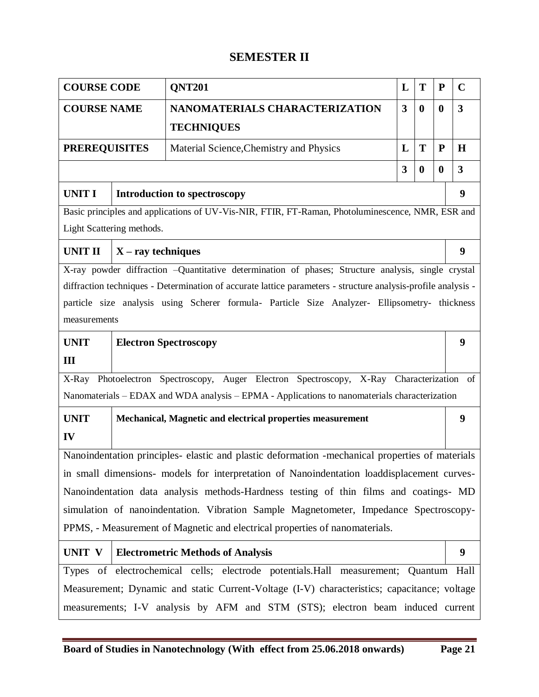# **SEMESTER II**

| <b>COURSE CODE</b>   |                                                                                                    | <b>QNT201</b>                                                                                                 | L | T                | ${\bf P}$ | $\mathbf C$             |  |  |  |
|----------------------|----------------------------------------------------------------------------------------------------|---------------------------------------------------------------------------------------------------------------|---|------------------|-----------|-------------------------|--|--|--|
| <b>COURSE NAME</b>   |                                                                                                    | NANOMATERIALS CHARACTERIZATION                                                                                | 3 | $\bf{0}$         | $\bf{0}$  | $\overline{\mathbf{3}}$ |  |  |  |
|                      |                                                                                                    | <b>TECHNIQUES</b>                                                                                             |   |                  |           |                         |  |  |  |
| <b>PREREQUISITES</b> |                                                                                                    | Material Science, Chemistry and Physics                                                                       | L | T                | ${\bf P}$ | $\bf H$                 |  |  |  |
|                      |                                                                                                    |                                                                                                               | 3 | $\boldsymbol{0}$ | $\bf{0}$  | 3                       |  |  |  |
| <b>UNIT I</b>        |                                                                                                    | <b>Introduction to spectroscopy</b>                                                                           |   |                  |           | 9                       |  |  |  |
|                      |                                                                                                    | Basic principles and applications of UV-Vis-NIR, FTIR, FT-Raman, Photoluminescence, NMR, ESR and              |   |                  |           |                         |  |  |  |
|                      | Light Scattering methods.                                                                          |                                                                                                               |   |                  |           |                         |  |  |  |
| <b>UNIT II</b>       | $X - ray$ techniques                                                                               |                                                                                                               |   |                  |           | 9                       |  |  |  |
|                      | X-ray powder diffraction -Quantitative determination of phases; Structure analysis, single crystal |                                                                                                               |   |                  |           |                         |  |  |  |
|                      |                                                                                                    | diffraction techniques - Determination of accurate lattice parameters - structure analysis-profile analysis - |   |                  |           |                         |  |  |  |
|                      |                                                                                                    | particle size analysis using Scherer formula- Particle Size Analyzer- Ellipsometry- thickness                 |   |                  |           |                         |  |  |  |
| measurements         |                                                                                                    |                                                                                                               |   |                  |           |                         |  |  |  |
| <b>UNIT</b>          |                                                                                                    | <b>Electron Spectroscopy</b>                                                                                  |   |                  |           | 9                       |  |  |  |
| III                  |                                                                                                    |                                                                                                               |   |                  |           |                         |  |  |  |
| X-Ray                |                                                                                                    | Photoelectron Spectroscopy, Auger Electron Spectroscopy, X-Ray Characterization                               |   |                  |           | of                      |  |  |  |
|                      |                                                                                                    | Nanomaterials – EDAX and WDA analysis – EPMA - Applications to nanomaterials characterization                 |   |                  |           |                         |  |  |  |
| <b>UNIT</b>          |                                                                                                    | Mechanical, Magnetic and electrical properties measurement                                                    |   |                  |           | 9                       |  |  |  |
| IV                   |                                                                                                    |                                                                                                               |   |                  |           |                         |  |  |  |
|                      |                                                                                                    | Nanoindentation principles- elastic and plastic deformation -mechanical properties of materials               |   |                  |           |                         |  |  |  |
|                      |                                                                                                    | in small dimensions- models for interpretation of Nanoindentation loaddisplacement curves-                    |   |                  |           |                         |  |  |  |
|                      |                                                                                                    | Nanoindentation data analysis methods-Hardness testing of thin films and coatings- MD                         |   |                  |           |                         |  |  |  |
|                      |                                                                                                    | simulation of nanoindentation. Vibration Sample Magnetometer, Impedance Spectroscopy-                         |   |                  |           |                         |  |  |  |
|                      | PPMS, - Measurement of Magnetic and electrical properties of nanomaterials.                        |                                                                                                               |   |                  |           |                         |  |  |  |
| UNIT V               |                                                                                                    | <b>Electrometric Methods of Analysis</b>                                                                      |   |                  |           | 9                       |  |  |  |
|                      |                                                                                                    | Types of electrochemical cells; electrode potentials. Hall measurement; Quantum Hall                          |   |                  |           |                         |  |  |  |
|                      |                                                                                                    | Measurement; Dynamic and static Current-Voltage (I-V) characteristics; capacitance; voltage                   |   |                  |           |                         |  |  |  |
|                      |                                                                                                    | measurements; I-V analysis by AFM and STM (STS); electron beam induced current                                |   |                  |           |                         |  |  |  |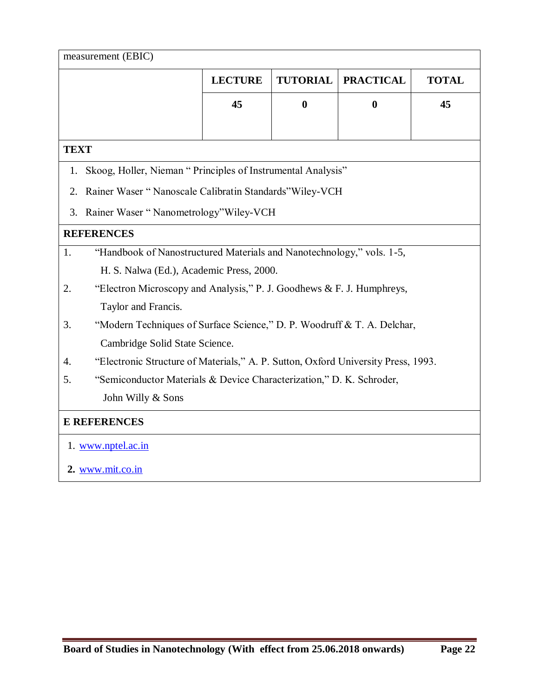|             | measurement (EBIC)                                                                |                |                  |                  |              |
|-------------|-----------------------------------------------------------------------------------|----------------|------------------|------------------|--------------|
|             |                                                                                   | <b>LECTURE</b> | <b>TUTORIAL</b>  | <b>PRACTICAL</b> | <b>TOTAL</b> |
|             |                                                                                   | 45             | $\boldsymbol{0}$ | $\boldsymbol{0}$ | 45           |
|             |                                                                                   |                |                  |                  |              |
| <b>TEXT</b> |                                                                                   |                |                  |                  |              |
| 1.          | Skoog, Holler, Nieman "Principles of Instrumental Analysis"                       |                |                  |                  |              |
| 2.          | Rainer Waser "Nanoscale Calibratin Standards" Wiley-VCH                           |                |                  |                  |              |
| 3.          | Rainer Waser "Nanometrology" Wiley-VCH                                            |                |                  |                  |              |
|             | <b>REFERENCES</b>                                                                 |                |                  |                  |              |
| 1.          | "Handbook of Nanostructured Materials and Nanotechnology," vols. 1-5,             |                |                  |                  |              |
|             | H. S. Nalwa (Ed.), Academic Press, 2000.                                          |                |                  |                  |              |
| 2.          | "Electron Microscopy and Analysis," P. J. Goodhews & F. J. Humphreys,             |                |                  |                  |              |
|             | Taylor and Francis.                                                               |                |                  |                  |              |
| 3.          | "Modern Techniques of Surface Science," D. P. Woodruff & T. A. Delchar,           |                |                  |                  |              |
|             | Cambridge Solid State Science.                                                    |                |                  |                  |              |
| 4.          | "Electronic Structure of Materials," A. P. Sutton, Oxford University Press, 1993. |                |                  |                  |              |
| 5.          | "Semiconductor Materials & Device Characterization," D. K. Schroder,              |                |                  |                  |              |
|             | John Willy & Sons                                                                 |                |                  |                  |              |
|             | <b>E REFERENCES</b>                                                               |                |                  |                  |              |
|             | 1. www.nptel.ac.in                                                                |                |                  |                  |              |
|             |                                                                                   |                |                  |                  |              |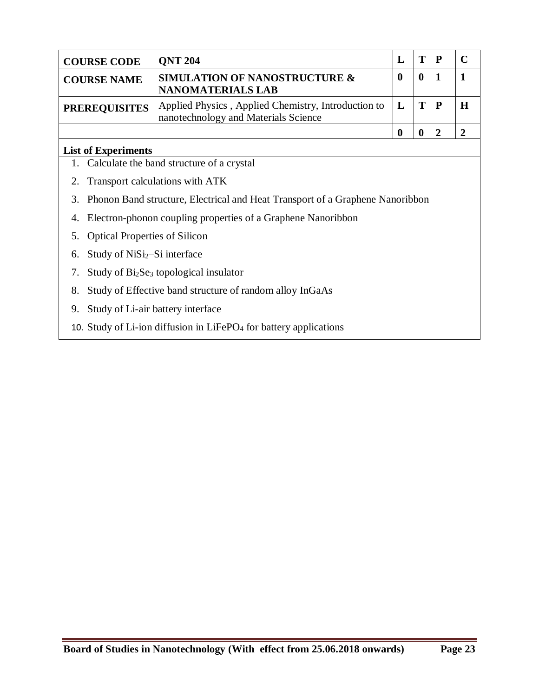| <b>COURSE CODE</b>   | <b>ONT 204</b>                                                                              | Т     |   |
|----------------------|---------------------------------------------------------------------------------------------|-------|---|
| <b>COURSE NAME</b>   | <b>SIMULATION OF NANOSTRUCTURE &amp;</b><br><b>NANOMATERIALS LAB</b>                        |       |   |
| <b>PREREQUISITES</b> | Applied Physics, Applied Chemistry, Introduction to<br>nanotechnology and Materials Science | T   P | H |
|                      |                                                                                             |       |   |

### **List of Experiments**

- 1. Calculate the band structure of a crystal
- 2. Transport calculations with ATK
- 3. Phonon Band structure, Electrical and Heat Transport of a Graphene Nanoribbon
- 4. Electron-phonon coupling properties of a Graphene Nanoribbon
- 5. Optical Properties of Silicon
- 6. Study of  $NiSi<sub>2</sub>-Si$  interface
- 7. Study of Bi<sub>2</sub>Se<sub>3</sub> topological insulator
- 8. Study of Effective band structure of random alloy InGaAs
- 9. Study of Li-air battery interface
- 10. Study of Li-ion diffusion in LiFePO<sub>4</sub> for battery applications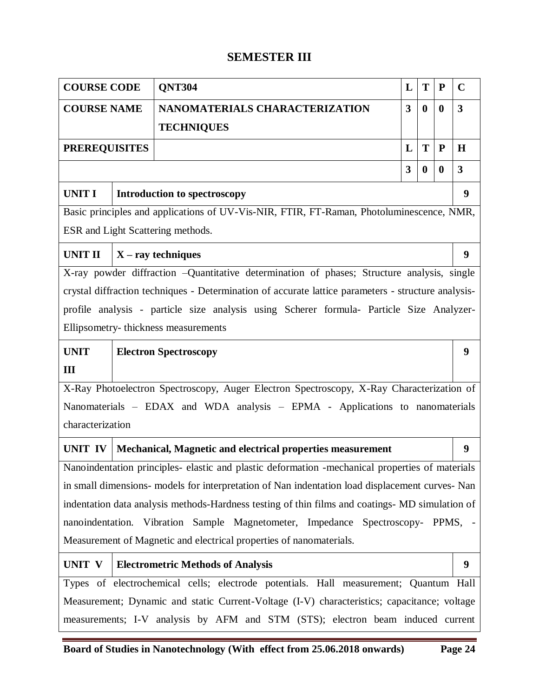# **SEMESTER III**

| <b>COURSE CODE</b>   |                              | <b>QNT304</b>                                                                                       | L                       | T                | $\mathbf P$ | $\mathbf C$  |
|----------------------|------------------------------|-----------------------------------------------------------------------------------------------------|-------------------------|------------------|-------------|--------------|
| <b>COURSE NAME</b>   |                              | NANOMATERIALS CHARACTERIZATION                                                                      | $\overline{\mathbf{3}}$ | $\bf{0}$         | $\bf{0}$    | 3            |
|                      |                              | <b>TECHNIQUES</b>                                                                                   |                         |                  |             |              |
| <b>PREREQUISITES</b> |                              |                                                                                                     | L                       | T                | ${\bf P}$   | H            |
|                      |                              |                                                                                                     | 3                       | $\boldsymbol{0}$ | $\bf{0}$    | $\mathbf{3}$ |
| <b>UNIT I</b>        |                              | <b>Introduction to spectroscopy</b>                                                                 |                         |                  |             | 9            |
|                      |                              | Basic principles and applications of UV-Vis-NIR, FTIR, FT-Raman, Photoluminescence, NMR,            |                         |                  |             |              |
|                      |                              | ESR and Light Scattering methods.                                                                   |                         |                  |             |              |
| <b>UNIT II</b>       |                              | $X - ray$ techniques                                                                                |                         |                  |             | 9            |
|                      |                              | X-ray powder diffraction -Quantitative determination of phases; Structure analysis, single          |                         |                  |             |              |
|                      |                              | crystal diffraction techniques - Determination of accurate lattice parameters - structure analysis- |                         |                  |             |              |
|                      |                              | profile analysis - particle size analysis using Scherer formula- Particle Size Analyzer-            |                         |                  |             |              |
|                      |                              | Ellipsometry-thickness measurements                                                                 |                         |                  |             |              |
| <b>UNIT</b>          | <b>Electron Spectroscopy</b> |                                                                                                     |                         |                  |             |              |
| III                  |                              |                                                                                                     |                         |                  |             |              |
|                      |                              | X-Ray Photoelectron Spectroscopy, Auger Electron Spectroscopy, X-Ray Characterization of            |                         |                  |             |              |
|                      |                              | Nanomaterials - EDAX and WDA analysis - EPMA - Applications to nanomaterials                        |                         |                  |             |              |
| characterization     |                              |                                                                                                     |                         |                  |             |              |
| <b>UNIT IV</b>       |                              | Mechanical, Magnetic and electrical properties measurement                                          |                         |                  |             | 9            |
|                      |                              | Nanoindentation principles- elastic and plastic deformation -mechanical properties of materials     |                         |                  |             |              |
|                      |                              | in small dimensions- models for interpretation of Nan indentation load displacement curves- Nan     |                         |                  |             |              |
|                      |                              | indentation data analysis methods-Hardness testing of thin films and coatings- MD simulation of     |                         |                  |             |              |
|                      |                              | nanoindentation. Vibration Sample Magnetometer, Impedance Spectroscopy- PPMS, -                     |                         |                  |             |              |
|                      |                              | Measurement of Magnetic and electrical properties of nanomaterials.                                 |                         |                  |             |              |
| <b>UNIT V</b>        |                              | <b>Electrometric Methods of Analysis</b>                                                            |                         |                  |             | 9            |
|                      |                              | Types of electrochemical cells; electrode potentials. Hall measurement; Quantum Hall                |                         |                  |             |              |
|                      |                              | Measurement; Dynamic and static Current-Voltage (I-V) characteristics; capacitance; voltage         |                         |                  |             |              |
|                      |                              | measurements; I-V analysis by AFM and STM (STS); electron beam induced current                      |                         |                  |             |              |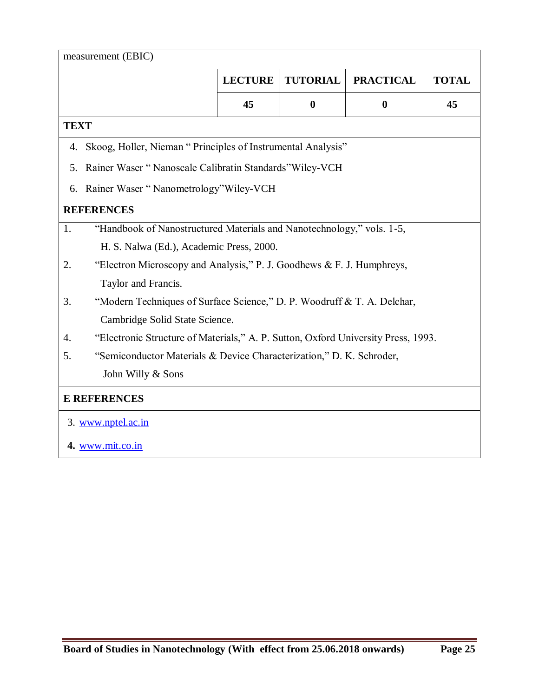|             | measurement (EBIC)                                                                |                |                  |                  |              |  |  |  |
|-------------|-----------------------------------------------------------------------------------|----------------|------------------|------------------|--------------|--|--|--|
|             |                                                                                   | <b>LECTURE</b> | <b>TUTORIAL</b>  | <b>PRACTICAL</b> | <b>TOTAL</b> |  |  |  |
|             |                                                                                   | 45             | $\boldsymbol{0}$ | $\boldsymbol{0}$ | 45           |  |  |  |
| <b>TEXT</b> |                                                                                   |                |                  |                  |              |  |  |  |
| 4.          | Skoog, Holler, Nieman "Principles of Instrumental Analysis"                       |                |                  |                  |              |  |  |  |
| 5.          | Rainer Waser "Nanoscale Calibratin Standards" Wiley-VCH                           |                |                  |                  |              |  |  |  |
| 6.          | Rainer Waser "Nanometrology" Wiley-VCH                                            |                |                  |                  |              |  |  |  |
|             | <b>REFERENCES</b>                                                                 |                |                  |                  |              |  |  |  |
| 1.          | "Handbook of Nanostructured Materials and Nanotechnology," vols. 1-5,             |                |                  |                  |              |  |  |  |
|             | H. S. Nalwa (Ed.), Academic Press, 2000.                                          |                |                  |                  |              |  |  |  |
| 2.          | "Electron Microscopy and Analysis," P. J. Goodhews & F. J. Humphreys,             |                |                  |                  |              |  |  |  |
|             | Taylor and Francis.                                                               |                |                  |                  |              |  |  |  |
| 3.          | "Modern Techniques of Surface Science," D. P. Woodruff & T. A. Delchar,           |                |                  |                  |              |  |  |  |
|             | Cambridge Solid State Science.                                                    |                |                  |                  |              |  |  |  |
| 4.          | "Electronic Structure of Materials," A. P. Sutton, Oxford University Press, 1993. |                |                  |                  |              |  |  |  |
| 5.          | "Semiconductor Materials & Device Characterization," D. K. Schroder,              |                |                  |                  |              |  |  |  |
|             | John Willy & Sons                                                                 |                |                  |                  |              |  |  |  |
|             | <b>E REFERENCES</b>                                                               |                |                  |                  |              |  |  |  |
|             | 3. www.nptel.ac.in                                                                |                |                  |                  |              |  |  |  |
|             | 4. www.mit.co.in                                                                  |                |                  |                  |              |  |  |  |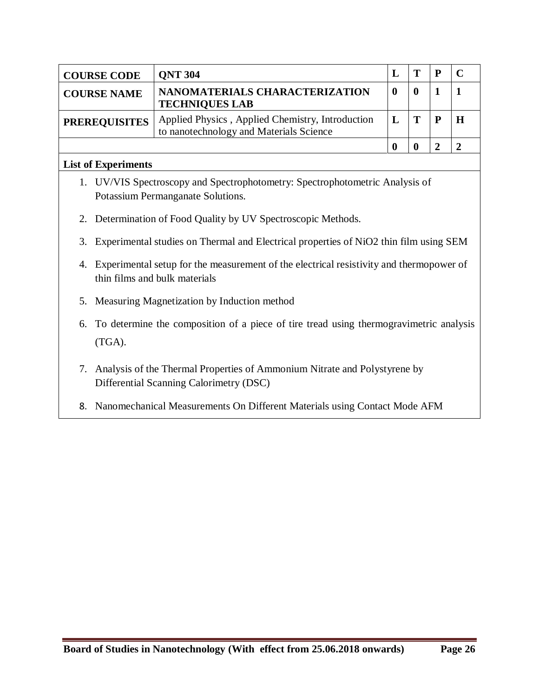| <b>COURSE CODE</b>   | <b>ONT 304</b>                                                                              |  |  |
|----------------------|---------------------------------------------------------------------------------------------|--|--|
| <b>COURSE NAME</b>   | NANOMATERIALS CHARACTERIZATION<br><b>TECHNIQUES LAB</b>                                     |  |  |
| <b>PREREQUISITES</b> | Applied Physics, Applied Chemistry, Introduction<br>to nanotechnology and Materials Science |  |  |
|                      |                                                                                             |  |  |

### **List of Experiments**

- 1. UV/VIS Spectroscopy and Spectrophotometry: Spectrophotometric Analysis of Potassium Permanganate Solutions.
- 2. Determination of Food Quality by UV Spectroscopic Methods.
- 3. Experimental studies on Thermal and Electrical properties of NiO2 thin film using SEM
- 4. Experimental setup for the measurement of the electrical resistivity and thermopower of thin films and bulk materials
- 5. Measuring Magnetization by Induction method
- 6. To determine the composition of a piece of tire tread using thermogravimetric analysis (TGA).
- 7. Analysis of the Thermal Properties of Ammonium Nitrate and Polystyrene by Differential Scanning Calorimetry (DSC)
- 8. Nanomechanical Measurements On Different Materials using Contact Mode AFM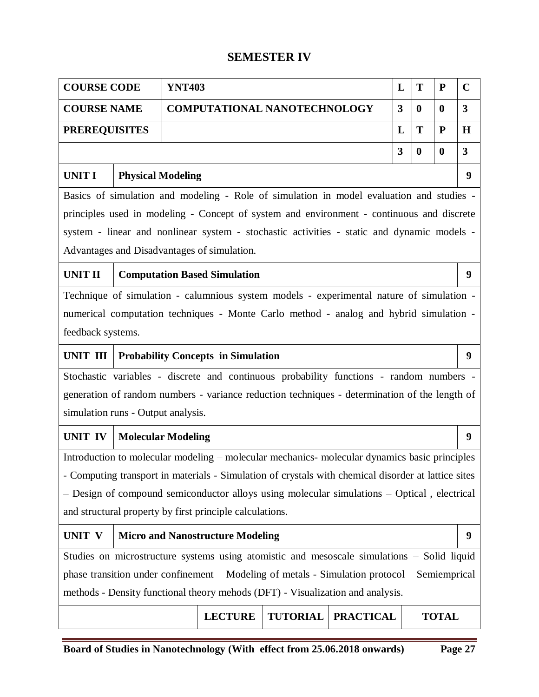# **SEMESTER IV**

| <b>COURSE CODE</b>                 |                           | <b>YNT403</b> |                                                          |                                                                                                     |                  | L            | T        | ${\bf P}$        | $\mathbf C$             |
|------------------------------------|---------------------------|---------------|----------------------------------------------------------|-----------------------------------------------------------------------------------------------------|------------------|--------------|----------|------------------|-------------------------|
| <b>COURSE NAME</b>                 |                           |               |                                                          | <b>COMPUTATIONAL NANOTECHNOLOGY</b>                                                                 |                  | $\mathbf{3}$ | $\bf{0}$ | $\bf{0}$         | $\overline{\mathbf{3}}$ |
| <b>PREREQUISITES</b>               |                           |               |                                                          |                                                                                                     |                  | L            | T        | ${\bf P}$        | $\mathbf H$             |
|                                    |                           |               |                                                          |                                                                                                     |                  | $\mathbf{3}$ | $\bf{0}$ | $\boldsymbol{0}$ | $\overline{\mathbf{3}}$ |
| UNIT I                             | <b>Physical Modeling</b>  |               |                                                          |                                                                                                     |                  |              |          |                  | 9                       |
|                                    |                           |               |                                                          | Basics of simulation and modeling - Role of simulation in model evaluation and studies -            |                  |              |          |                  |                         |
|                                    |                           |               |                                                          | principles used in modeling - Concept of system and environment - continuous and discrete           |                  |              |          |                  |                         |
|                                    |                           |               |                                                          | system - linear and nonlinear system - stochastic activities - static and dynamic models -          |                  |              |          |                  |                         |
|                                    |                           |               | Advantages and Disadvantages of simulation.              |                                                                                                     |                  |              |          |                  |                         |
| <b>UNIT II</b>                     |                           |               | <b>Computation Based Simulation</b>                      |                                                                                                     |                  |              |          |                  | 9                       |
|                                    |                           |               |                                                          | Technique of simulation - calumnious system models - experimental nature of simulation -            |                  |              |          |                  |                         |
|                                    |                           |               |                                                          | numerical computation techniques - Monte Carlo method - analog and hybrid simulation -              |                  |              |          |                  |                         |
| feedback systems.                  |                           |               |                                                          |                                                                                                     |                  |              |          |                  |                         |
| UNIT III                           |                           |               | <b>Probability Concepts in Simulation</b>                |                                                                                                     |                  |              |          |                  | 9                       |
|                                    |                           |               |                                                          | Stochastic variables - discrete and continuous probability functions - random numbers -             |                  |              |          |                  |                         |
|                                    |                           |               |                                                          | generation of random numbers - variance reduction techniques - determination of the length of       |                  |              |          |                  |                         |
| simulation runs - Output analysis. |                           |               |                                                          |                                                                                                     |                  |              |          |                  |                         |
| UNIT IV                            | <b>Molecular Modeling</b> |               |                                                          |                                                                                                     |                  |              |          |                  | 9                       |
|                                    |                           |               |                                                          | Introduction to molecular modeling - molecular mechanics- molecular dynamics basic principles       |                  |              |          |                  |                         |
|                                    |                           |               |                                                          | - Computing transport in materials - Simulation of crystals with chemical disorder at lattice sites |                  |              |          |                  |                         |
|                                    |                           |               |                                                          | - Design of compound semiconductor alloys using molecular simulations - Optical, electrical         |                  |              |          |                  |                         |
|                                    |                           |               | and structural property by first principle calculations. |                                                                                                     |                  |              |          |                  |                         |
| <b>UNIT V</b>                      |                           |               | <b>Micro and Nanostructure Modeling</b>                  |                                                                                                     |                  |              |          |                  | 9                       |
|                                    |                           |               |                                                          | Studies on microstructure systems using atomistic and mesoscale simulations – Solid liquid          |                  |              |          |                  |                         |
|                                    |                           |               |                                                          | phase transition under confinement – Modeling of metals - Simulation protocol – Semiemprical        |                  |              |          |                  |                         |
|                                    |                           |               |                                                          | methods - Density functional theory mehods (DFT) - Visualization and analysis.                      |                  |              |          |                  |                         |
|                                    |                           |               | <b>LECTURE</b>                                           | <b>TUTORIAL</b>                                                                                     | <b>PRACTICAL</b> |              |          | <b>TOTAL</b>     |                         |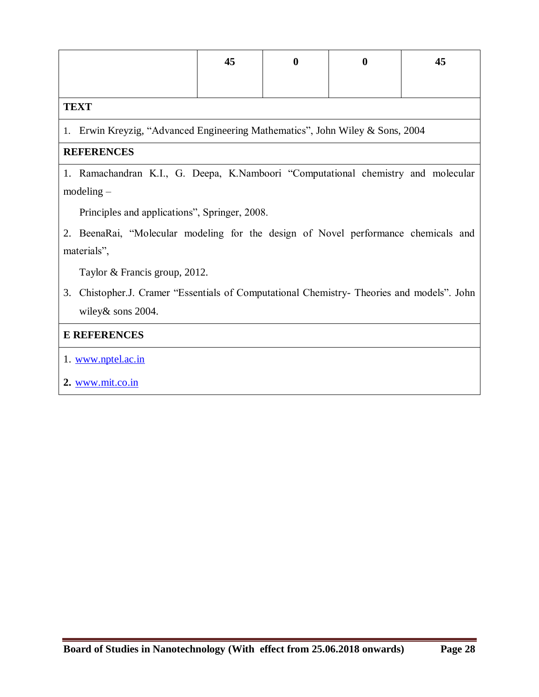|                                                                                                   | 45                                                                                      | $\boldsymbol{0}$ | $\boldsymbol{0}$ | 45 |  |  |  |  |  |
|---------------------------------------------------------------------------------------------------|-----------------------------------------------------------------------------------------|------------------|------------------|----|--|--|--|--|--|
| <b>TEXT</b>                                                                                       |                                                                                         |                  |                  |    |  |  |  |  |  |
| 1. Erwin Kreyzig, "Advanced Engineering Mathematics", John Wiley & Sons, 2004                     |                                                                                         |                  |                  |    |  |  |  |  |  |
| <b>REFERENCES</b>                                                                                 |                                                                                         |                  |                  |    |  |  |  |  |  |
| 1. Ramachandran K.I., G. Deepa, K.Namboori "Computational chemistry and molecular<br>$modeling -$ |                                                                                         |                  |                  |    |  |  |  |  |  |
| Principles and applications", Springer, 2008.                                                     |                                                                                         |                  |                  |    |  |  |  |  |  |
| 2. BeenaRai, "Molecular modeling for the design of Novel performance chemicals and<br>materials", |                                                                                         |                  |                  |    |  |  |  |  |  |
| Taylor & Francis group, 2012.                                                                     |                                                                                         |                  |                  |    |  |  |  |  |  |
| 3.<br>wiley & sons 2004.                                                                          | Chistopher.J. Cramer "Essentials of Computational Chemistry- Theories and models". John |                  |                  |    |  |  |  |  |  |
| <b>E REFERENCES</b>                                                                               |                                                                                         |                  |                  |    |  |  |  |  |  |
| 1. www.nptel.ac.in                                                                                |                                                                                         |                  |                  |    |  |  |  |  |  |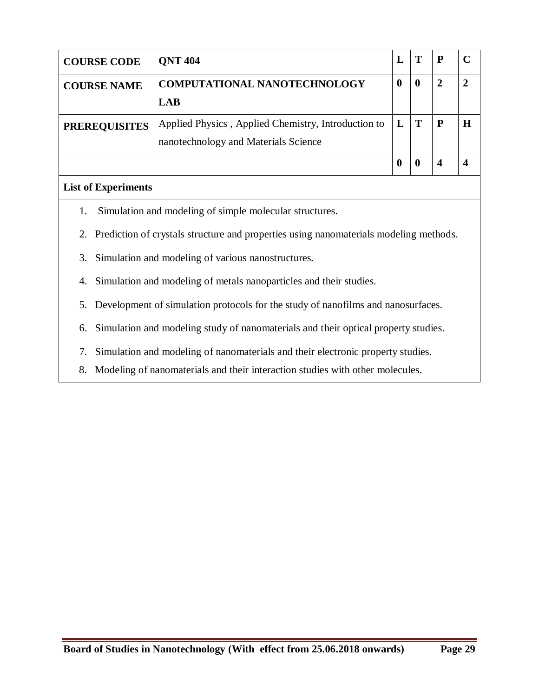| <b>COURSE CODE</b>   | <b>ONT 404</b>                                      |                  | Т            | $\mathbf{P}$ |   |
|----------------------|-----------------------------------------------------|------------------|--------------|--------------|---|
| <b>COURSE NAME</b>   | <b>COMPUTATIONAL NANOTECHNOLOGY</b>                 | $\boldsymbol{0}$ | $\mathbf 0$  | 2            | 7 |
|                      | <b>LAB</b>                                          |                  |              |              |   |
| <b>PREREQUISITES</b> | Applied Physics, Applied Chemistry, Introduction to | $\bf{L}$         | $\mathbf{T}$ | $\mathbf{P}$ | Н |
|                      | nanotechnology and Materials Science                |                  |              |              |   |
|                      |                                                     | $\boldsymbol{0}$ |              |              |   |

## **List of Experiments**

- 1. Simulation and modeling of simple molecular structures.
- 2. Prediction of crystals structure and properties using nanomaterials modeling methods.
- 3. Simulation and modeling of various nanostructures.
- 4. Simulation and modeling of metals nanoparticles and their studies.
- 5. Development of simulation protocols for the study of nanofilms and nanosurfaces.
- 6. Simulation and modeling study of nanomaterials and their optical property studies.
- 7. Simulation and modeling of nanomaterials and their electronic property studies.
- 8. Modeling of nanomaterials and their interaction studies with other molecules.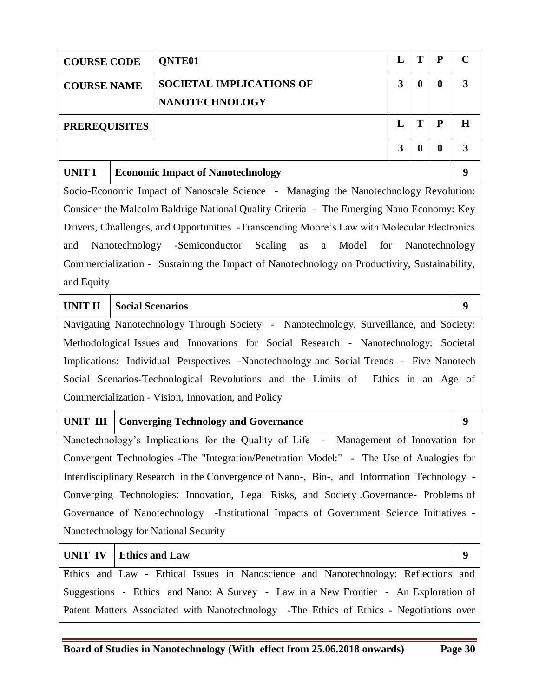| <b>COURSE CODE</b>   |                                                                                     | QNTE01                                                                                          | L | T        | ${\bf P}$ | $\mathbf C$    |  |  |
|----------------------|-------------------------------------------------------------------------------------|-------------------------------------------------------------------------------------------------|---|----------|-----------|----------------|--|--|
| <b>COURSE NAME</b>   |                                                                                     | <b>SOCIETAL IMPLICATIONS OF</b>                                                                 | 3 | $\bf{0}$ | $\bf{0}$  | $\mathbf{3}$   |  |  |
|                      |                                                                                     | <b>NANOTECHNOLOGY</b>                                                                           |   |          |           |                |  |  |
| <b>PREREQUISITES</b> |                                                                                     |                                                                                                 | L | T        | ${\bf P}$ | $\mathbf H$    |  |  |
|                      | 3<br>$\boldsymbol{0}$<br>$\boldsymbol{0}$                                           |                                                                                                 |   |          |           |                |  |  |
| <b>UNIT I</b>        |                                                                                     | <b>Economic Impact of Nanotechnology</b>                                                        |   |          |           | 9              |  |  |
|                      |                                                                                     | Socio-Economic Impact of Nanoscale Science - Managing the Nanotechnology Revolution:            |   |          |           |                |  |  |
|                      |                                                                                     | Consider the Malcolm Baldrige National Quality Criteria - The Emerging Nano Economy: Key        |   |          |           |                |  |  |
|                      |                                                                                     | Drivers, Ch\allenges, and Opportunities -Transcending Moore's Law with Molecular Electronics    |   |          |           |                |  |  |
| and                  |                                                                                     | Nanotechnology -Semiconductor Scaling<br>Model<br>for<br>as<br>a                                |   |          |           | Nanotechnology |  |  |
|                      |                                                                                     | Commercialization - Sustaining the Impact of Nanotechnology on Productivity, Sustainability,    |   |          |           |                |  |  |
| and Equity           |                                                                                     |                                                                                                 |   |          |           |                |  |  |
| <b>UNIT II</b>       | <b>Social Scenarios</b>                                                             |                                                                                                 |   |          |           | 9              |  |  |
|                      |                                                                                     | Navigating Nanotechnology Through Society - Nanotechnology, Surveillance, and Society:          |   |          |           |                |  |  |
|                      |                                                                                     | Methodological Issues and Innovations for Social Research - Nanotechnology: Societal            |   |          |           |                |  |  |
|                      |                                                                                     | Implications: Individual Perspectives -Nanotechnology and Social Trends - Five Nanotech         |   |          |           |                |  |  |
|                      |                                                                                     | Social Scenarios-Technological Revolutions and the Limits of Ethics in an Age of                |   |          |           |                |  |  |
|                      |                                                                                     | Commercialization - Vision, Innovation, and Policy                                              |   |          |           |                |  |  |
| UNIT III             |                                                                                     | <b>Converging Technology and Governance</b>                                                     |   |          |           | 9              |  |  |
|                      |                                                                                     | Nanotechnology's Implications for the Quality of Life<br>Management of Innovation for<br>$\sim$ |   |          |           |                |  |  |
|                      |                                                                                     | Convergent Technologies - The "Integration/Penetration Model:" - The Use of Analogies for       |   |          |           |                |  |  |
|                      |                                                                                     | Interdisciplinary Research in the Convergence of Nano-, Bio-, and Information Technology -      |   |          |           |                |  |  |
|                      |                                                                                     | Converging Technologies: Innovation, Legal Risks, and Society Governance- Problems of           |   |          |           |                |  |  |
|                      |                                                                                     | Governance of Nanotechnology -Institutional Impacts of Government Science Initiatives -         |   |          |           |                |  |  |
|                      |                                                                                     | Nanotechnology for National Security                                                            |   |          |           |                |  |  |
| UNIT IV              | <b>Ethics and Law</b>                                                               |                                                                                                 |   |          |           | 9              |  |  |
|                      |                                                                                     | Ethics and Law - Ethical Issues in Nanoscience and Nanotechnology: Reflections and              |   |          |           |                |  |  |
|                      | Suggestions - Ethics and Nano: A Survey - Law in a New Frontier - An Exploration of |                                                                                                 |   |          |           |                |  |  |
|                      |                                                                                     | Patent Matters Associated with Nanotechnology -The Ethics of Ethics - Negotiations over         |   |          |           |                |  |  |
|                      |                                                                                     |                                                                                                 |   |          |           |                |  |  |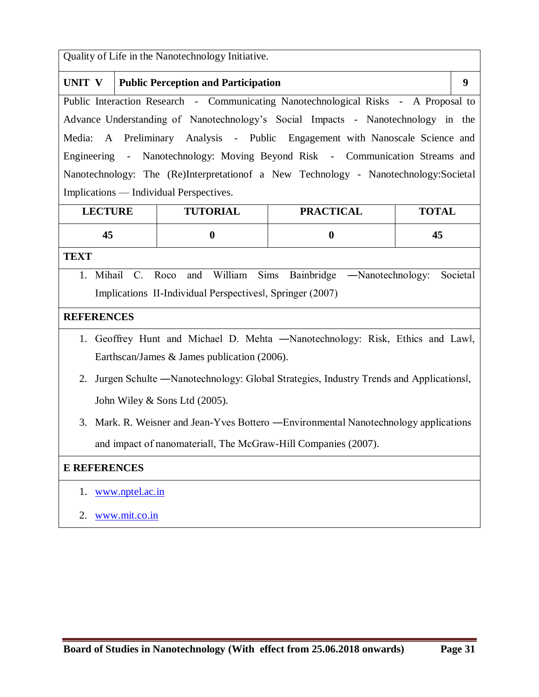Quality of Life in the Nanotechnology Initiative.

|                                                                                     | UNIT $V$   Public Perception and Participation                                        | 9 |  |  |  |  |  |
|-------------------------------------------------------------------------------------|---------------------------------------------------------------------------------------|---|--|--|--|--|--|
| Public Interaction Research - Communicating Nanotechnological Risks - A Proposal to |                                                                                       |   |  |  |  |  |  |
|                                                                                     | Advance Understanding of Nanotechnology's Social Impacts - Nanotechnology in the      |   |  |  |  |  |  |
|                                                                                     | Media: A Preliminary Analysis - Public Engagement with Nanoscale Science and          |   |  |  |  |  |  |
|                                                                                     | Engineering - Nanotechnology: Moving Beyond Risk - Communication Streams and          |   |  |  |  |  |  |
|                                                                                     | Nanotechnology: The (Re)Interpretation of a New Technology - Nanotechnology: Societal |   |  |  |  |  |  |
|                                                                                     | Implications — Individual Perspectives.                                               |   |  |  |  |  |  |

| <b>LECTURE</b> | <b>TUTORIAL</b> | <b>PRACTICAL</b> | <b>TOTAL</b> |
|----------------|-----------------|------------------|--------------|
| 43             |                 |                  | 43           |

**TEXT**

1. Mihail C. Roco and William Sims Bainbridge ―Nanotechnology: Societal Implications II-Individual Perspectives‖, Springer (2007)

#### **REFERENCES**

- 1. Geoffrey Hunt and Michael D. Mehta ―Nanotechnology: Risk, Ethics and Law‖, Earthscan/James & James publication (2006).
- 2. Jurgen Schulte ―Nanotechnology: Global Strategies, Industry Trends and Applications‖, John Wiley & Sons Ltd (2005).
- 3. Mark. R. Weisner and Jean-Yves Bottero ―Environmental Nanotechnology applications and impact of nanomaterial‖, The McGraw-Hill Companies (2007).

- 1. www.nptel.ac.in
- 2. www.mit.co.in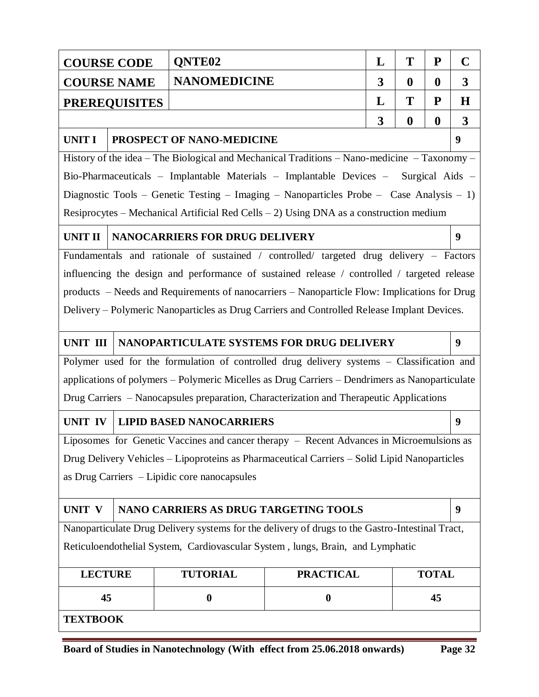|                 | <b>COURSE CODE</b>   | QNTE <sub>02</sub>                           |                                                                                                 | L | T                | P                | $\mathbf C$      |  |
|-----------------|----------------------|----------------------------------------------|-------------------------------------------------------------------------------------------------|---|------------------|------------------|------------------|--|
|                 | <b>COURSE NAME</b>   | <b>NANOMEDICINE</b>                          |                                                                                                 | 3 | $\boldsymbol{0}$ | $\bf{0}$         | 3                |  |
|                 | <b>PREREQUISITES</b> |                                              |                                                                                                 | L | Т                | ${\bf P}$        | H                |  |
|                 |                      |                                              |                                                                                                 | 3 | $\boldsymbol{0}$ | $\boldsymbol{0}$ | $\overline{3}$   |  |
| <b>UNIT I</b>   |                      | PROSPECT OF NANO-MEDICINE                    |                                                                                                 |   |                  |                  | $\boldsymbol{9}$ |  |
|                 |                      |                                              | History of the idea – The Biological and Mechanical Traditions – Nano-medicine – Taxonomy –     |   |                  |                  |                  |  |
|                 |                      |                                              | Bio-Pharmaceuticals - Implantable Materials - Implantable Devices - Surgical Aids -             |   |                  |                  |                  |  |
|                 |                      |                                              | Diagnostic Tools - Genetic Testing - Imaging - Nanoparticles Probe - Case Analysis - 1)         |   |                  |                  |                  |  |
|                 |                      |                                              | Resiprocytes – Mechanical Artificial Red Cells – 2) Using DNA as a construction medium          |   |                  |                  |                  |  |
| <b>UNIT II</b>  |                      | NANOCARRIERS FOR DRUG DELIVERY               |                                                                                                 |   |                  |                  | 9                |  |
|                 |                      |                                              | Fundamentals and rationale of sustained / controlled/ targeted drug delivery - Factors          |   |                  |                  |                  |  |
|                 |                      |                                              | influencing the design and performance of sustained release / controlled / targeted release     |   |                  |                  |                  |  |
|                 |                      |                                              | products – Needs and Requirements of nanocarriers – Nanoparticle Flow: Implications for Drug    |   |                  |                  |                  |  |
|                 |                      |                                              | Delivery – Polymeric Nanoparticles as Drug Carriers and Controlled Release Implant Devices.     |   |                  |                  |                  |  |
| <b>UNIT III</b> |                      |                                              | NANOPARTICULATE SYSTEMS FOR DRUG DELIVERY                                                       |   |                  |                  | 9                |  |
|                 |                      |                                              | Polymer used for the formulation of controlled drug delivery systems - Classification and       |   |                  |                  |                  |  |
|                 |                      |                                              | applications of polymers - Polymeric Micelles as Drug Carriers - Dendrimers as Nanoparticulate  |   |                  |                  |                  |  |
|                 |                      |                                              | Drug Carriers – Nanocapsules preparation, Characterization and Therapeutic Applications         |   |                  |                  |                  |  |
| <b>UNIT IV</b>  |                      | <b>LIPID BASED NANOCARRIERS</b>              |                                                                                                 |   |                  |                  | 9                |  |
|                 |                      |                                              | Liposomes for Genetic Vaccines and cancer therapy - Recent Advances in Microemulsions as        |   |                  |                  |                  |  |
|                 |                      |                                              | Drug Delivery Vehicles - Lipoproteins as Pharmaceutical Carriers - Solid Lipid Nanoparticles    |   |                  |                  |                  |  |
|                 |                      | as Drug Carriers - Lipidic core nanocapsules |                                                                                                 |   |                  |                  |                  |  |
| UNIT V          |                      | NANO CARRIERS AS DRUG TARGETING TOOLS        |                                                                                                 |   |                  |                  | 9                |  |
|                 |                      |                                              | Nanoparticulate Drug Delivery systems for the delivery of drugs to the Gastro-Intestinal Tract, |   |                  |                  |                  |  |
|                 |                      |                                              | Reticuloendothelial System, Cardiovascular System, lungs, Brain, and Lymphatic                  |   |                  |                  |                  |  |
| <b>LECTURE</b>  |                      | <b>TUTORIAL</b>                              | <b>PRACTICAL</b>                                                                                |   |                  | <b>TOTAL</b>     |                  |  |
| 45              |                      | $\boldsymbol{0}$                             | $\boldsymbol{0}$                                                                                |   |                  | 45               |                  |  |
|                 | <b>TEXTBOOK</b>      |                                              |                                                                                                 |   |                  |                  |                  |  |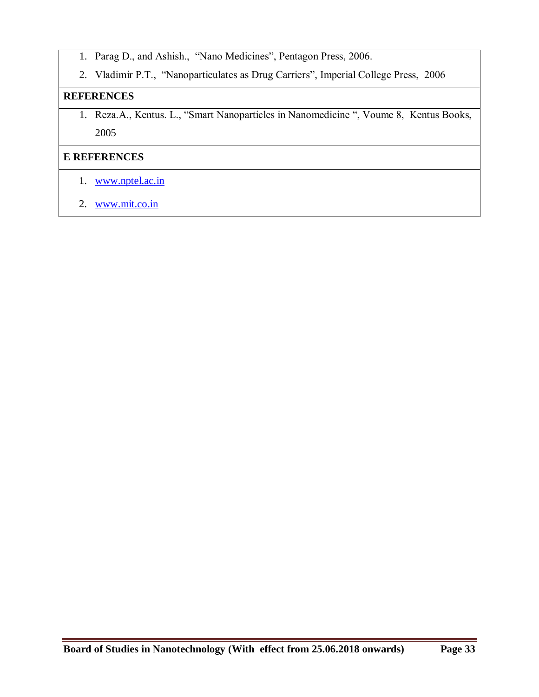- 1. Parag D., and Ashish., "Nano Medicines", Pentagon Press, 2006.
- 2. Vladimir P.T., "Nanoparticulates as Drug Carriers", Imperial College Press, 2006

#### **REFERENCES**

1. Reza.A., Kentus. L., "Smart Nanoparticles in Nanomedicine ", Voume 8, Kentus Books, 2005

- 1. www.nptel.ac.in
- 2. www.mit.co.in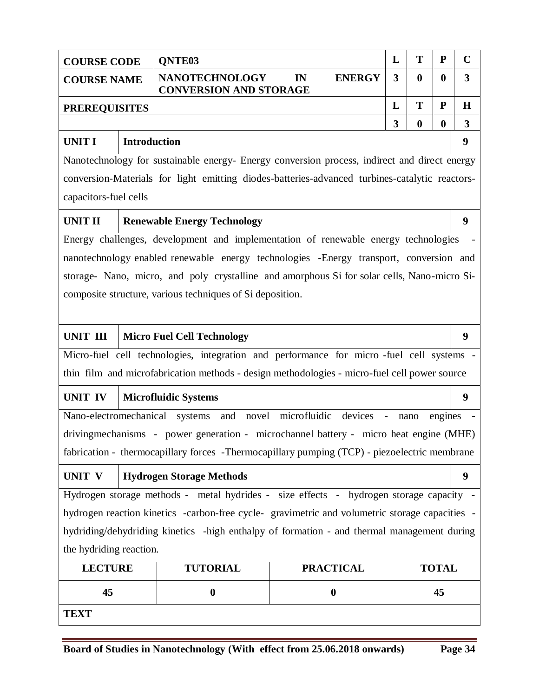| <b>COURSE CODE</b>                            |                     | QNTE03                                                                                         |    |                                       | L              | T                | ${\bf P}$        | $\mathbf C$  |
|-----------------------------------------------|---------------------|------------------------------------------------------------------------------------------------|----|---------------------------------------|----------------|------------------|------------------|--------------|
| <b>COURSE NAME</b>                            |                     | <b>NANOTECHNOLOGY</b><br><b>CONVERSION AND STORAGE</b>                                         | IN | <b>ENERGY</b>                         | $\overline{3}$ | $\bf{0}$         | $\boldsymbol{0}$ | 3            |
| <b>PREREQUISITES</b>                          |                     |                                                                                                |    |                                       | L              | T                | ${\bf P}$        | $\bf H$      |
|                                               |                     |                                                                                                |    |                                       | 3              | $\boldsymbol{0}$ | $\boldsymbol{0}$ | $\mathbf{3}$ |
| <b>UNIT I</b>                                 | <b>Introduction</b> |                                                                                                |    |                                       |                |                  | 9                |              |
|                                               |                     | Nanotechnology for sustainable energy- Energy conversion process, indirect and direct energy   |    |                                       |                |                  |                  |              |
|                                               |                     | conversion-Materials for light emitting diodes-batteries-advanced turbines-catalytic reactors- |    |                                       |                |                  |                  |              |
| capacitors-fuel cells                         |                     |                                                                                                |    |                                       |                |                  |                  |              |
| <b>UNIT II</b>                                |                     | <b>Renewable Energy Technology</b>                                                             |    |                                       |                |                  |                  | 9            |
|                                               |                     | Energy challenges, development and implementation of renewable energy technologies             |    |                                       |                |                  |                  |              |
|                                               |                     | nanotechnology enabled renewable energy technologies -Energy transport, conversion and         |    |                                       |                |                  |                  |              |
|                                               |                     | storage- Nano, micro, and poly crystalline and amorphous Si for solar cells, Nano-micro Si-    |    |                                       |                |                  |                  |              |
|                                               |                     | composite structure, various techniques of Si deposition.                                      |    |                                       |                |                  |                  |              |
|                                               |                     |                                                                                                |    |                                       |                |                  |                  |              |
| UNIT III<br><b>Micro Fuel Cell Technology</b> |                     |                                                                                                |    |                                       |                | 9                |                  |              |
|                                               |                     | Micro-fuel cell technologies, integration and performance for micro-fuel cell systems -        |    |                                       |                |                  |                  |              |
|                                               |                     | thin film and microfabrication methods - design methodologies - micro-fuel cell power source   |    |                                       |                |                  |                  |              |
| UNIT IV                                       |                     | <b>Microfluidic Systems</b>                                                                    |    |                                       |                |                  |                  | 9            |
|                                               |                     | Nano-electromechanical systems                                                                 |    | and novel microfluidic devices - nano |                |                  | engines          |              |
|                                               |                     | drivingmechanisms - power generation - microchannel battery - micro heat engine (MHE)          |    |                                       |                |                  |                  |              |
|                                               |                     | fabrication - thermocapillary forces -Thermocapillary pumping (TCP) - piezoelectric membrane   |    |                                       |                |                  |                  |              |
| UNIT V                                        |                     | <b>Hydrogen Storage Methods</b>                                                                |    |                                       |                |                  |                  | 9            |
|                                               |                     | Hydrogen storage methods - metal hydrides - size effects - hydrogen storage capacity -         |    |                                       |                |                  |                  |              |
|                                               |                     | hydrogen reaction kinetics -carbon-free cycle-gravimetric and volumetric storage capacities -  |    |                                       |                |                  |                  |              |
|                                               |                     | hydriding/dehydriding kinetics -high enthalpy of formation - and thermal management during     |    |                                       |                |                  |                  |              |
| the hydriding reaction.                       |                     |                                                                                                |    |                                       |                |                  |                  |              |
| <b>LECTURE</b>                                |                     | <b>TUTORIAL</b>                                                                                |    | <b>PRACTICAL</b>                      |                |                  | <b>TOTAL</b>     |              |
| 45                                            |                     | $\boldsymbol{0}$                                                                               |    | $\boldsymbol{0}$                      |                |                  | 45               |              |
| <b>TEXT</b>                                   |                     |                                                                                                |    |                                       |                |                  |                  |              |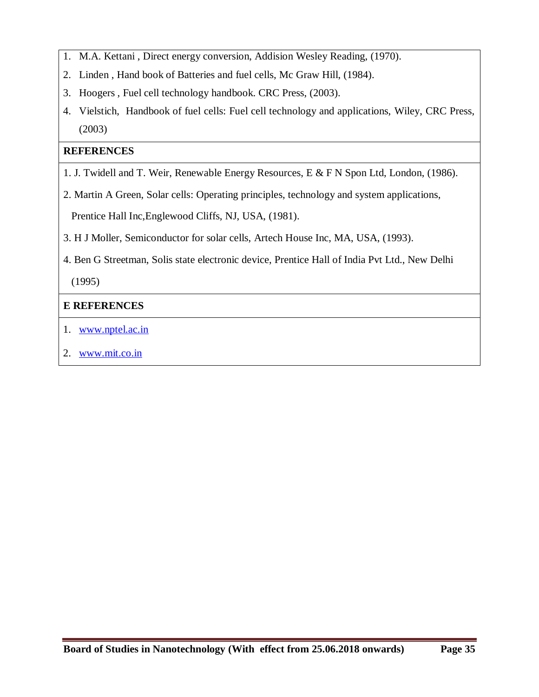- 1. M.A. Kettani , Direct energy conversion, Addision Wesley Reading, (1970).
- 2. Linden , Hand book of Batteries and fuel cells, Mc Graw Hill, (1984).
- 3. Hoogers , Fuel cell technology handbook. CRC Press, (2003).
- 4. Vielstich, Handbook of fuel cells: Fuel cell technology and applications, Wiley, CRC Press, (2003)

## **REFERENCES**

- 1. J. Twidell and T. Weir, Renewable Energy Resources, E & F N Spon Ltd, London, (1986).
- 2. Martin A Green, Solar cells: Operating principles, technology and system applications,

Prentice Hall Inc,Englewood Cliffs, NJ, USA, (1981).

- 3. H J Moller, Semiconductor for solar cells, Artech House Inc, MA, USA, (1993).
- 4. Ben G Streetman, Solis state electronic device, Prentice Hall of India Pvt Ltd., New Delhi

(1995)

- 1. www.nptel.ac.in
- 2. www.mit.co.in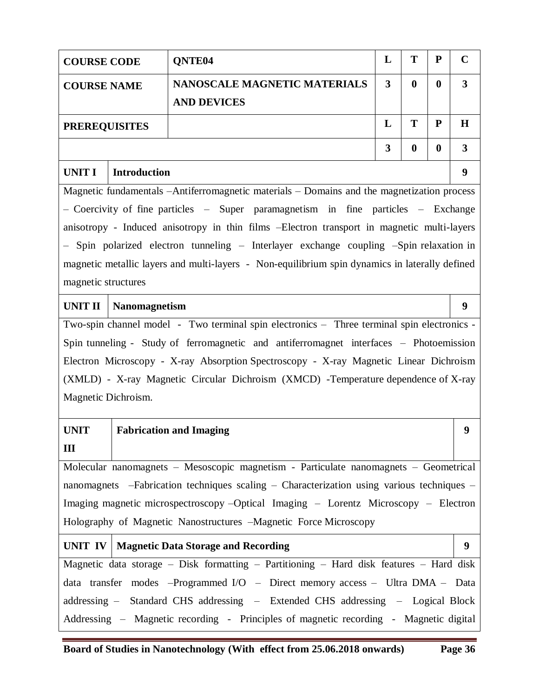|                                                                                         | T<br>${\bf P}$<br>L<br>QNTE <sub>04</sub><br><b>COURSE CODE</b>                |                                                                                                |   |                  |                  |   |  |  |
|-----------------------------------------------------------------------------------------|--------------------------------------------------------------------------------|------------------------------------------------------------------------------------------------|---|------------------|------------------|---|--|--|
| <b>COURSE NAME</b>                                                                      |                                                                                | NANOSCALE MAGNETIC MATERIALS<br><b>AND DEVICES</b>                                             | 3 | $\boldsymbol{0}$ | $\boldsymbol{0}$ | 3 |  |  |
| T<br>L<br><b>PREREQUISITES</b>                                                          |                                                                                |                                                                                                |   |                  |                  |   |  |  |
|                                                                                         |                                                                                |                                                                                                | 3 | $\bf{0}$         | $\bf{0}$         | 3 |  |  |
| <b>UNIT I</b>                                                                           | <b>Introduction</b>                                                            |                                                                                                |   |                  |                  | 9 |  |  |
|                                                                                         |                                                                                | Magnetic fundamentals -Antiferromagnetic materials - Domains and the magnetization process     |   |                  |                  |   |  |  |
|                                                                                         |                                                                                | - Coercivity of fine particles - Super paramagnetism in fine particles - Exchange              |   |                  |                  |   |  |  |
|                                                                                         |                                                                                | anisotropy - Induced anisotropy in thin films -Electron transport in magnetic multi-layers     |   |                  |                  |   |  |  |
|                                                                                         |                                                                                | - Spin polarized electron tunneling - Interlayer exchange coupling -Spin relaxation in         |   |                  |                  |   |  |  |
|                                                                                         |                                                                                | magnetic metallic layers and multi-layers - Non-equilibrium spin dynamics in laterally defined |   |                  |                  |   |  |  |
| magnetic structures                                                                     |                                                                                |                                                                                                |   |                  |                  |   |  |  |
| <b>UNIT II</b>                                                                          | <b>Nanomagnetism</b>                                                           |                                                                                                |   |                  |                  | 9 |  |  |
|                                                                                         |                                                                                | Two-spin channel model - Two terminal spin electronics - Three terminal spin electronics -     |   |                  |                  |   |  |  |
|                                                                                         |                                                                                | Spin tunneling - Study of ferromagnetic and antiferromagnet interfaces - Photoemission         |   |                  |                  |   |  |  |
|                                                                                         |                                                                                | Electron Microscopy - X-ray Absorption Spectroscopy - X-ray Magnetic Linear Dichroism          |   |                  |                  |   |  |  |
|                                                                                         |                                                                                | (XMLD) - X-ray Magnetic Circular Dichroism (XMCD) -Temperature dependence of X-ray             |   |                  |                  |   |  |  |
| Magnetic Dichroism.                                                                     |                                                                                |                                                                                                |   |                  |                  |   |  |  |
| <b>UNIT</b>                                                                             |                                                                                | <b>Fabrication and Imaging</b>                                                                 |   |                  |                  | 9 |  |  |
| Ш                                                                                       |                                                                                |                                                                                                |   |                  |                  |   |  |  |
|                                                                                         |                                                                                | Molecular nanomagnets - Mesoscopic magnetism - Particulate nanomagnets - Geometrical           |   |                  |                  |   |  |  |
|                                                                                         |                                                                                | nanomagnets -Fabrication techniques scaling - Characterization using various techniques -      |   |                  |                  |   |  |  |
|                                                                                         |                                                                                | Imaging magnetic microspectroscopy - Optical Imaging - Lorentz Microscopy - Electron           |   |                  |                  |   |  |  |
|                                                                                         |                                                                                | Holography of Magnetic Nanostructures -Magnetic Force Microscopy                               |   |                  |                  |   |  |  |
| <b>Magnetic Data Storage and Recording</b><br>UNIT IV                                   |                                                                                |                                                                                                |   |                  |                  | 9 |  |  |
| Magnetic data storage - Disk formatting - Partitioning - Hard disk features - Hard disk |                                                                                |                                                                                                |   |                  |                  |   |  |  |
|                                                                                         | data transfer modes -Programmed I/O - Direct memory access - Ultra DMA - Data  |                                                                                                |   |                  |                  |   |  |  |
|                                                                                         | addressing - Standard CHS addressing - Extended CHS addressing - Logical Block |                                                                                                |   |                  |                  |   |  |  |
| Addressing – Magnetic recording - Principles of magnetic recording - Magnetic digital   |                                                                                |                                                                                                |   |                  |                  |   |  |  |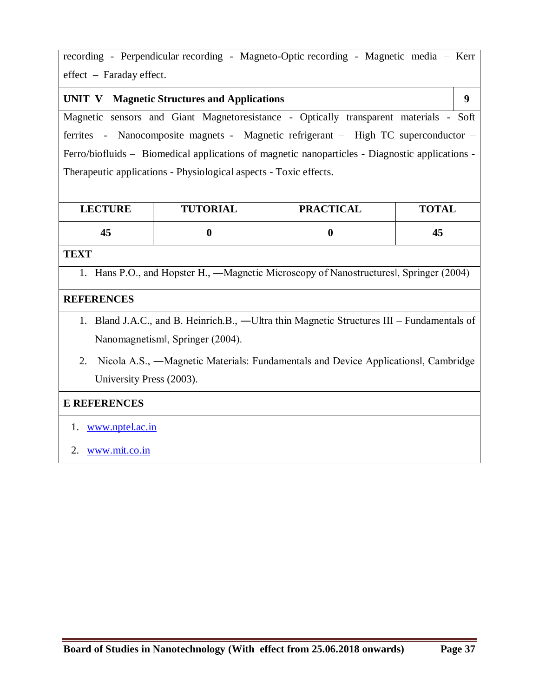recording - Perpendicular recording - Magneto-Optic recording - Magnetic media – Kerr effect – Faraday effect.

|                                                                                                 | <b>UNIT V   Magnetic Structures and Applications</b>                                  |  |  |  |  |  |
|-------------------------------------------------------------------------------------------------|---------------------------------------------------------------------------------------|--|--|--|--|--|
|                                                                                                 | Magnetic sensors and Giant Magnetoresistance - Optically transparent materials - Soft |  |  |  |  |  |
|                                                                                                 | ferrites - Nanocomposite magnets - Magnetic refrigerant – High TC superconductor –    |  |  |  |  |  |
| Ferro/biofluids – Biomedical applications of magnetic nanoparticles - Diagnostic applications - |                                                                                       |  |  |  |  |  |
| Therapeutic applications - Physiological aspects - Toxic effects.                               |                                                                                       |  |  |  |  |  |

| <b>LECTURE</b> | <b>TUTORIAL</b> | <b>PRACTICAL</b> | <b>TOTAL</b> |
|----------------|-----------------|------------------|--------------|
| 43             |                 |                  | 45           |

**TEXT**

1. Hans P.O., and Hopster H., ―Magnetic Microscopy of Nanostructures‖, Springer (2004)

### **REFERENCES**

- 1. Bland J.A.C., and B. Heinrich.B., ―Ultra thin Magnetic Structures III Fundamentals of Nanomagnetism‖, Springer (2004).
- 2. Nicola A.S., ―Magnetic Materials: Fundamentals and Device Applications‖, Cambridge University Press (2003).

- 1. www.nptel.ac.in
- 2. www.mit.co.in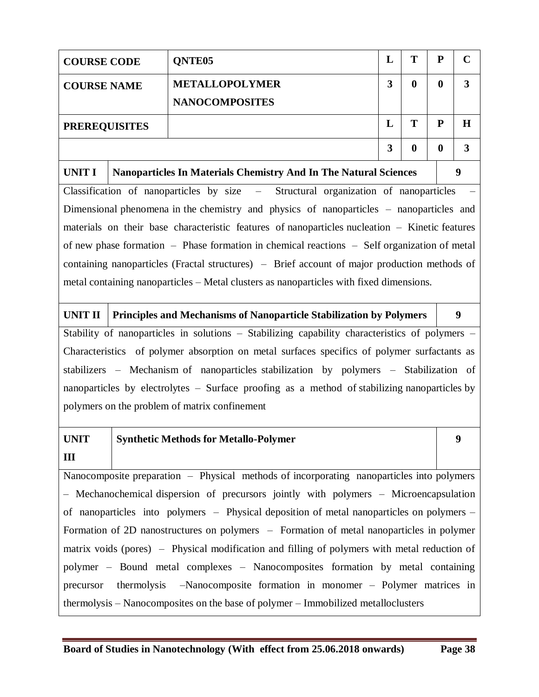| <b>COURSE CODE</b>                                                                           |                                                                          | QNTE <sub>05</sub>                                                                             | L                                           | T        | ${\bf P}$        | $\mathbf C$      |  |
|----------------------------------------------------------------------------------------------|--------------------------------------------------------------------------|------------------------------------------------------------------------------------------------|---------------------------------------------|----------|------------------|------------------|--|
| <b>COURSE NAME</b>                                                                           |                                                                          | <b>METALLOPOLYMER</b>                                                                          | $\overline{\mathbf{3}}$<br>$\boldsymbol{0}$ |          |                  |                  |  |
|                                                                                              |                                                                          | <b>NANOCOMPOSITES</b>                                                                          |                                             |          |                  |                  |  |
| <b>PREREQUISITES</b>                                                                         |                                                                          |                                                                                                | L                                           | T        | ${\bf P}$        | $\bf H$          |  |
|                                                                                              |                                                                          |                                                                                                | $\overline{\mathbf{3}}$                     | $\bf{0}$ | $\boldsymbol{0}$ | $\mathbf{3}$     |  |
| <b>UNIT I</b>                                                                                |                                                                          | Nanoparticles In Materials Chemistry And In The Natural Sciences                               |                                             |          |                  | $\boldsymbol{9}$ |  |
|                                                                                              |                                                                          | Classification of nanoparticles by size - Structural organization of nanoparticles             |                                             |          |                  |                  |  |
|                                                                                              |                                                                          | Dimensional phenomena in the chemistry and physics of nanoparticles – nanoparticles and        |                                             |          |                  |                  |  |
|                                                                                              |                                                                          | materials on their base characteristic features of nanoparticles nucleation – Kinetic features |                                             |          |                  |                  |  |
|                                                                                              |                                                                          | of new phase formation – Phase formation in chemical reactions – Self organization of metal    |                                             |          |                  |                  |  |
|                                                                                              |                                                                          | containing nanoparticles (Fractal structures) – Brief account of major production methods of   |                                             |          |                  |                  |  |
|                                                                                              |                                                                          | metal containing nanoparticles – Metal clusters as nanoparticles with fixed dimensions.        |                                             |          |                  |                  |  |
| <b>UNIT II</b>                                                                               |                                                                          | Principles and Mechanisms of Nanoparticle Stabilization by Polymers                            |                                             |          |                  | $\boldsymbol{9}$ |  |
|                                                                                              |                                                                          | Stability of nanoparticles in solutions - Stabilizing capability characteristics of polymers - |                                             |          |                  |                  |  |
|                                                                                              |                                                                          | Characteristics of polymer absorption on metal surfaces specifics of polymer surfactants as    |                                             |          |                  |                  |  |
|                                                                                              |                                                                          | stabilizers - Mechanism of nanoparticles stabilization by polymers - Stabilization of          |                                             |          |                  |                  |  |
|                                                                                              |                                                                          | nanoparticles by electrolytes – Surface proofing as a method of stabilizing nanoparticles by   |                                             |          |                  |                  |  |
|                                                                                              |                                                                          | polymers on the problem of matrix confinement                                                  |                                             |          |                  |                  |  |
| <b>UNIT</b>                                                                                  |                                                                          | <b>Synthetic Methods for Metallo-Polymer</b>                                                   |                                             |          |                  | $\boldsymbol{9}$ |  |
| Ш                                                                                            |                                                                          |                                                                                                |                                             |          |                  |                  |  |
|                                                                                              |                                                                          | Nanocomposite preparation - Physical methods of incorporating nanoparticles into polymers      |                                             |          |                  |                  |  |
| - Mechanochemical dispersion of precursors jointly with polymers - Microencapsulation        |                                                                          |                                                                                                |                                             |          |                  |                  |  |
| of nanoparticles into polymers – Physical deposition of metal nanoparticles on polymers –    |                                                                          |                                                                                                |                                             |          |                  |                  |  |
| Formation of 2D nanostructures on polymers - Formation of metal nanoparticles in polymer     |                                                                          |                                                                                                |                                             |          |                  |                  |  |
| matrix voids (pores) – Physical modification and filling of polymers with metal reduction of |                                                                          |                                                                                                |                                             |          |                  |                  |  |
| polymer - Bound metal complexes - Nanocomposites formation by metal containing               |                                                                          |                                                                                                |                                             |          |                  |                  |  |
| precursor                                                                                    | -Nanocomposite formation in monomer - Polymer matrices in<br>thermolysis |                                                                                                |                                             |          |                  |                  |  |
| thermolysis – Nanocomposites on the base of polymer – Immobilized metalloclusters            |                                                                          |                                                                                                |                                             |          |                  |                  |  |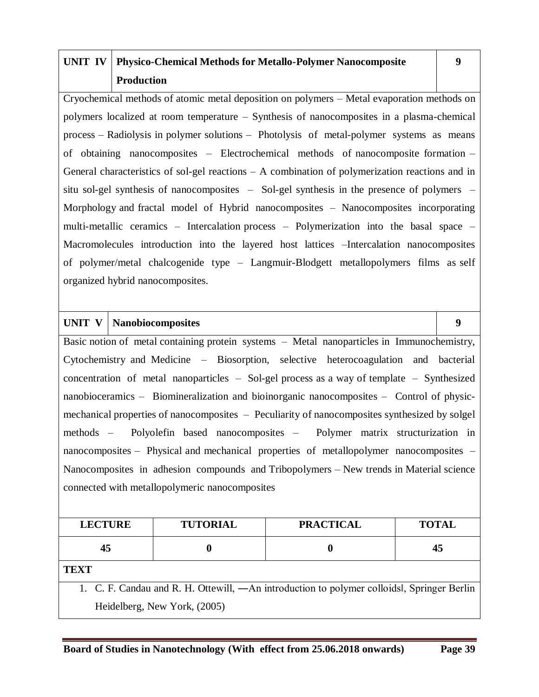# **UNIT IV Physico-Chemical Methods for Metallo-Polymer Nanocomposite Production**

Cryochemical methods of atomic metal deposition on polymers – Metal evaporation methods on polymers localized at room temperature – Synthesis of nanocomposites in a plasma-chemical process – Radiolysis in polymer solutions – Photolysis of metal-polymer systems as means of obtaining nanocomposites – Electrochemical methods of nanocomposite formation – General characteristics of sol-gel reactions – A combination of polymerization reactions and in situ sol-gel synthesis of nanocomposites – Sol-gel synthesis in the presence of polymers – Morphology and fractal model of Hybrid nanocomposites – Nanocomposites incorporating multi-metallic ceramics – Intercalation process – Polymerization into the basal space – Macromolecules introduction into the layered host lattices –Intercalation nanocomposites of polymer/metal chalcogenide type – Langmuir-Blodgett metallopolymers films as self organized hybrid nanocomposites.

### **UNIT V Nanobiocomposites 9**

Basic notion of metal containing protein systems – Metal nanoparticles in Immunochemistry, Cytochemistry and Medicine – Biosorption, selective heterocoagulation and bacterial concentration of metal nanoparticles – Sol-gel process as a way of template – Synthesized nanobioceramics – Biomineralization and bioinorganic nanocomposites – Control of physicmechanical properties of nanocomposites – Peculiarity of nanocomposites synthesized by solgel methods – Polyolefin based nanocomposites – Polymer matrix structurization in nanocomposites – Physical and mechanical properties of metallopolymer nanocomposites – Nanocomposites in adhesion compounds and Tribopolymers – New trends in Material science connected with metallopolymeric nanocomposites

| <b>LECTURE</b>                                                                           | <b>TUTORIAL</b> | <b>PRACTICAL</b> | <b>TOTAL</b> |  |  |  |  |  |
|------------------------------------------------------------------------------------------|-----------------|------------------|--------------|--|--|--|--|--|
| 45                                                                                       |                 |                  | 45           |  |  |  |  |  |
| <b>TEXT</b>                                                                              |                 |                  |              |  |  |  |  |  |
| 1. C. F. Candau and R. H. Ottewill, —An introduction to polymer colloids Springer Berlin |                 |                  |              |  |  |  |  |  |
| Heidelberg, New York, (2005)                                                             |                 |                  |              |  |  |  |  |  |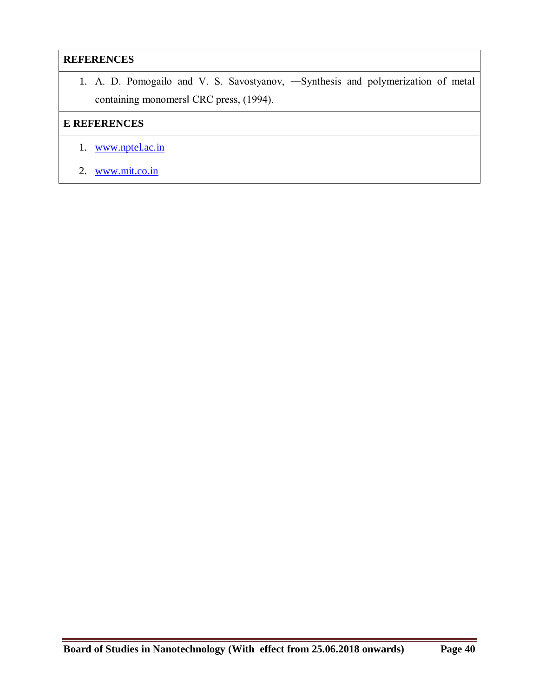### **REFERENCES**

1. A. D. Pomogailo and V. S. Savostyanov, ―Synthesis and polymerization of metal containing monomers‖ CRC press, (1994).

- 1. www.nptel.ac.in
- 2. www.mit.co.in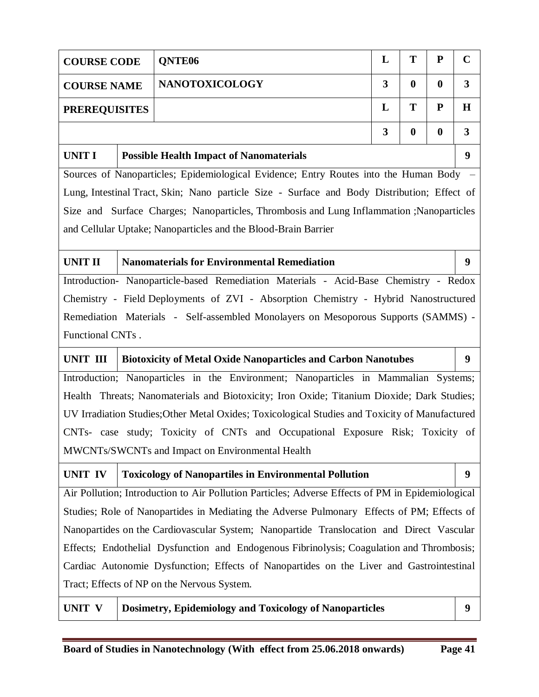| <b>COURSE CODE</b>                                                                       |                              | <b>ONTE06</b>         | L | т | P           |   |  |
|------------------------------------------------------------------------------------------|------------------------------|-----------------------|---|---|-------------|---|--|
| <b>COURSE NAME</b>                                                                       |                              | <b>NANOTOXICOLOGY</b> | 3 |   | $\mathbf 0$ |   |  |
| <b>PREREQUISITES</b>                                                                     |                              |                       |   | т | P           | H |  |
|                                                                                          | 3<br>$\bf{0}$<br>$\mathbf 0$ |                       |   |   |             |   |  |
| <b>UNIT I</b><br><b>Possible Health Impact of Nanomaterials</b>                          |                              |                       |   |   |             |   |  |
| Sources of Nanoparticles; Epidemiological Evidence; Entry Routes into the Human Body     |                              |                       |   |   |             |   |  |
| Lung Integrinal Treat Claim: Nano negriela Giza Curbece and Dady Distribution: Effect of |                              |                       |   |   |             |   |  |

Lung, Intestinal Tract, Skin; Nano particle Size - Surface and Body Distribution; Effect of Size and Surface Charges; Nanoparticles, Thrombosis and Lung Inflammation ;Nanoparticles and Cellular Uptake; Nanoparticles and the Blood-Brain Barrier

**UNIT II Nanomaterials for Environmental Remediation 9** Introduction- Nanoparticle-based Remediation Materials - Acid-Base Chemistry - Redox Chemistry - Field Deployments of ZVI - Absorption Chemistry - Hybrid Nanostructured Remediation Materials - Self-assembled Monolayers on Mesoporous Supports (SAMMS) - Functional CNTs .

#### **UNIT III Biotoxicity of Metal Oxide Nanoparticles and Carbon Nanotubes 9**

Introduction; Nanoparticles in the Environment; Nanoparticles in Mammalian Systems; Health Threats; Nanomaterials and Biotoxicity; Iron Oxide; Titanium Dioxide; Dark Studies; UV Irradiation Studies;Other Metal Oxides; Toxicological Studies and Toxicity of Manufactured CNTs- case study; Toxicity of CNTs and Occupational Exposure Risk; Toxicity of MWCNTs/SWCNTs and Impact on Environmental Health

# **UNIT IV Toxicology of Nanopartiles in Environmental Pollution 9**

Air Pollution; Introduction to Air Pollution Particles; Adverse Effects of PM in Epidemiological Studies; Role of Nanopartides in Mediating the Adverse Pulmonary Effects of PM; Effects of Nanopartides on the Cardiovascular System; Nanopartide Translocation and Direct Vascular Effects; Endothelial Dysfunction and Endogenous Fibrinolysis; Coagulation and Thrombosis; Cardiac Autonomie Dysfunction; Effects of Nanopartides on the Liver and Gastrointestinal Tract; Effects of NP on the Nervous System.

**UNIT V Dosimetry, Epidemiology and Toxicology of Nanoparticles 9**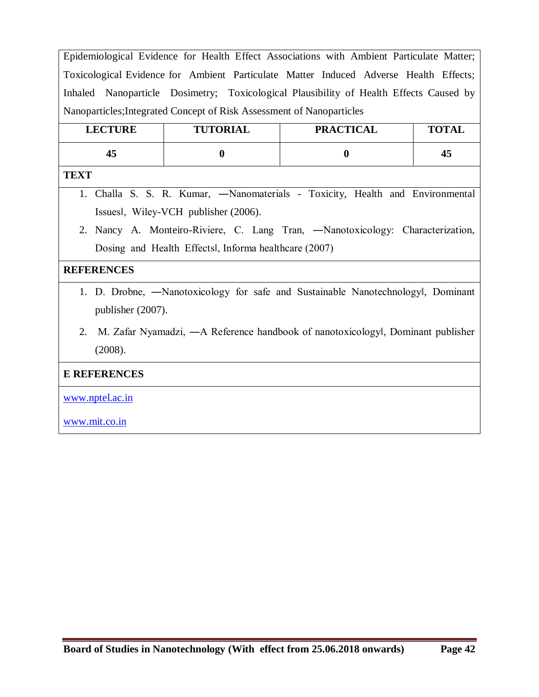Epidemiological Evidence for Health Effect Associations with Ambient Particulate Matter; Toxicological Evidence for Ambient Particulate Matter Induced Adverse Health Effects; Inhaled Nanoparticle Dosimetry; Toxicological Plausibility of Health Effects Caused by Nanoparticles;Integrated Concept of Risk Assessment of Nanoparticles

| <b>LECTURE</b> |    |  | <b>TUTORIAL</b> |                                     | <b>PRACTICAL</b> | <b>TOTAL</b> |  |                                                                               |
|----------------|----|--|-----------------|-------------------------------------|------------------|--------------|--|-------------------------------------------------------------------------------|
|                | 45 |  |                 |                                     |                  |              |  | 45                                                                            |
| <b>TEXT</b>    |    |  |                 |                                     |                  |              |  |                                                                               |
|                |    |  |                 |                                     |                  |              |  | 1. Challa S. S. R. Kumar, —Nanomaterials - Toxicity, Health and Environmental |
|                |    |  |                 | Issues, Wiley-VCH publisher (2006). |                  |              |  |                                                                               |

2. Nancy A. Monteiro-Riviere, C. Lang Tran, ―Nanotoxicology: Characterization, Dosing and Health Effects‖, Informa healthcare (2007)

#### **REFERENCES**

- 1. D. Drobne, ―Nanotoxicology for safe and Sustainable Nanotechnology‖, Dominant publisher (2007).
- 2. M. Zafar Nyamadzi, ―A Reference handbook of nanotoxicology‖, Dominant publisher (2008).

### **E REFERENCES**

www.nptel.ac.in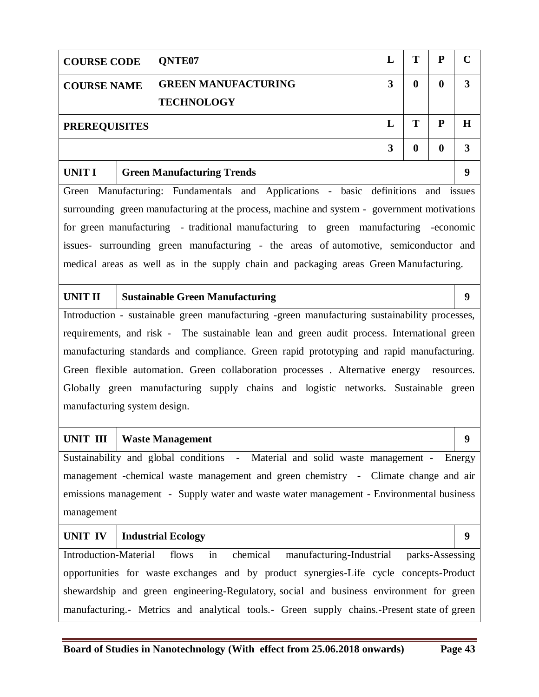| <b>COURSE CODE</b>                                                                         |                                                                                                     | QNTE07                                                                                        | L                            | T                | ${\bf P}$        | $\mathbf C$      |  |
|--------------------------------------------------------------------------------------------|-----------------------------------------------------------------------------------------------------|-----------------------------------------------------------------------------------------------|------------------------------|------------------|------------------|------------------|--|
| <b>COURSE NAME</b>                                                                         |                                                                                                     | <b>GREEN MANUFACTURING</b>                                                                    | $\mathbf{3}$<br>$\mathbf{0}$ |                  |                  |                  |  |
|                                                                                            |                                                                                                     | <b>TECHNOLOGY</b>                                                                             |                              |                  |                  |                  |  |
| <b>PREREQUISITES</b>                                                                       | T                                                                                                   | ${\bf P}$                                                                                     | $\bf H$                      |                  |                  |                  |  |
|                                                                                            |                                                                                                     |                                                                                               | $\mathbf{3}$                 | $\boldsymbol{0}$ | $\boldsymbol{0}$ | 3                |  |
| UNIT I                                                                                     |                                                                                                     | <b>Green Manufacturing Trends</b>                                                             |                              |                  |                  | 9                |  |
|                                                                                            |                                                                                                     | Green Manufacturing: Fundamentals and Applications - basic definitions and issues             |                              |                  |                  |                  |  |
|                                                                                            |                                                                                                     | surrounding green manufacturing at the process, machine and system - government motivations   |                              |                  |                  |                  |  |
|                                                                                            |                                                                                                     | for green manufacturing - traditional manufacturing to green manufacturing -economic          |                              |                  |                  |                  |  |
|                                                                                            |                                                                                                     | issues- surrounding green manufacturing - the areas of automotive, semiconductor and          |                              |                  |                  |                  |  |
|                                                                                            |                                                                                                     | medical areas as well as in the supply chain and packaging areas Green Manufacturing.         |                              |                  |                  |                  |  |
| <b>UNIT II</b>                                                                             |                                                                                                     | <b>Sustainable Green Manufacturing</b>                                                        |                              |                  |                  | $\boldsymbol{9}$ |  |
|                                                                                            |                                                                                                     | Introduction - sustainable green manufacturing -green manufacturing sustainability processes, |                              |                  |                  |                  |  |
|                                                                                            |                                                                                                     | requirements, and risk - The sustainable lean and green audit process. International green    |                              |                  |                  |                  |  |
|                                                                                            |                                                                                                     | manufacturing standards and compliance. Green rapid prototyping and rapid manufacturing.      |                              |                  |                  |                  |  |
|                                                                                            |                                                                                                     | Green flexible automation. Green collaboration processes . Alternative energy resources.      |                              |                  |                  |                  |  |
|                                                                                            |                                                                                                     | Globally green manufacturing supply chains and logistic networks. Sustainable green           |                              |                  |                  |                  |  |
| manufacturing system design.                                                               |                                                                                                     |                                                                                               |                              |                  |                  |                  |  |
| UNIT III                                                                                   |                                                                                                     | <b>Waste Management</b>                                                                       |                              |                  |                  | 9                |  |
|                                                                                            |                                                                                                     | Sustainability and global conditions - Material and solid waste management - Energy           |                              |                  |                  |                  |  |
|                                                                                            |                                                                                                     | management -chemical waste management and green chemistry - Climate change and air            |                              |                  |                  |                  |  |
|                                                                                            |                                                                                                     | emissions management - Supply water and waste water management - Environmental business       |                              |                  |                  |                  |  |
| management                                                                                 |                                                                                                     |                                                                                               |                              |                  |                  |                  |  |
| 9<br><b>UNIT IV</b><br><b>Industrial Ecology</b>                                           |                                                                                                     |                                                                                               |                              |                  |                  |                  |  |
|                                                                                            | <b>Introduction-Material</b><br>chemical<br>in<br>manufacturing-Industrial parks-Assessing<br>flows |                                                                                               |                              |                  |                  |                  |  |
| opportunities for waste exchanges and by product synergies-Life cycle concepts-Product     |                                                                                                     |                                                                                               |                              |                  |                  |                  |  |
|                                                                                            | shewardship and green engineering-Regulatory, social and business environment for green             |                                                                                               |                              |                  |                  |                  |  |
| manufacturing.- Metrics and analytical tools.- Green supply chains.-Present state of green |                                                                                                     |                                                                                               |                              |                  |                  |                  |  |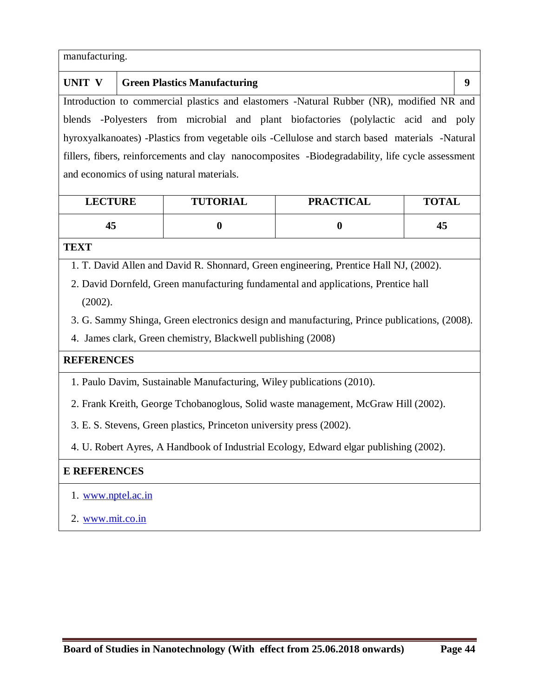| manufacturing.                                                                                   |                                                                                          |  |  |  |  |  |
|--------------------------------------------------------------------------------------------------|------------------------------------------------------------------------------------------|--|--|--|--|--|
| UNIT V                                                                                           | <b>Green Plastics Manufacturing</b>                                                      |  |  |  |  |  |
|                                                                                                  | Introduction to commercial plastics and elastomers -Natural Rubber (NR), modified NR and |  |  |  |  |  |
|                                                                                                  | blends -Polyesters from microbial and plant biofactories (polylactic acid and poly       |  |  |  |  |  |
| hyroxyalkanoates) -Plastics from vegetable oils -Cellulose and starch based materials -Natural   |                                                                                          |  |  |  |  |  |
| fillers, fibers, reinforcements and clay nanocomposites -Biodegradability, life cycle assessment |                                                                                          |  |  |  |  |  |
| and economics of using natural materials.                                                        |                                                                                          |  |  |  |  |  |

| <b>LECTURE</b> | <b>TUTORIAL</b> | <b>PRACTICAL</b> | <b>TOTAL</b> |
|----------------|-----------------|------------------|--------------|
| 43             |                 |                  | 45           |

## **TEXT**

1. T. David Allen and David R. Shonnard, Green engineering, Prentice Hall NJ, (2002).

2. David Dornfeld, Green manufacturing fundamental and applications, Prentice hall (2002).

3. G. Sammy Shinga, Green electronics design and manufacturing, Prince publications, (2008).

4. James clark, Green chemistry, Blackwell publishing (2008)

### **REFERENCES**

- 1. Paulo Davim, Sustainable Manufacturing, Wiley publications (2010).
- 2. Frank Kreith, George Tchobanoglous, Solid waste management, McGraw Hill (2002).
- 3. E. S. Stevens, Green plastics, Princeton university press (2002).

4. U. Robert Ayres, A Handbook of Industrial Ecology, Edward elgar publishing (2002).

- 1. www.nptel.ac.in
- 2. www.mit.co.in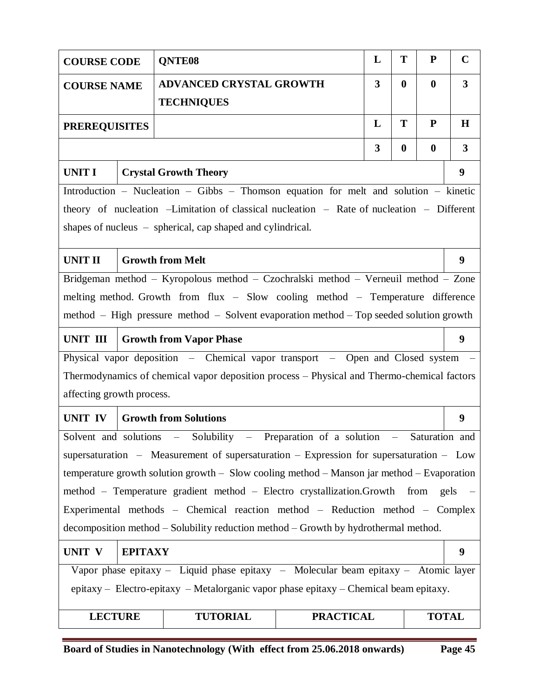| T<br>L<br>P<br>QNTE08<br><b>COURSE CODE</b>                                         |  |                                                                                                  |                  |   |          |                  |                         |  |  |
|-------------------------------------------------------------------------------------|--|--------------------------------------------------------------------------------------------------|------------------|---|----------|------------------|-------------------------|--|--|
| <b>COURSE NAME</b>                                                                  |  | ADVANCED CRYSTAL GROWTH                                                                          |                  | 3 | $\bf{0}$ | $\boldsymbol{0}$ | $\overline{\mathbf{3}}$ |  |  |
|                                                                                     |  | <b>TECHNIQUES</b>                                                                                |                  |   |          |                  |                         |  |  |
| T<br>L<br>P<br><b>PREREQUISITES</b>                                                 |  |                                                                                                  |                  |   |          |                  |                         |  |  |
| 3<br>$\bf{0}$<br>$\boldsymbol{0}$                                                   |  |                                                                                                  |                  |   |          |                  |                         |  |  |
| <b>UNIT I</b>                                                                       |  | <b>Crystal Growth Theory</b>                                                                     |                  |   |          |                  | 9                       |  |  |
|                                                                                     |  | Introduction – Nucleation – Gibbs – Thomson equation for melt and solution – kinetic             |                  |   |          |                  |                         |  |  |
|                                                                                     |  | theory of nucleation -Limitation of classical nucleation - Rate of nucleation - Different        |                  |   |          |                  |                         |  |  |
|                                                                                     |  | shapes of nucleus – spherical, cap shaped and cylindrical.                                       |                  |   |          |                  |                         |  |  |
| <b>UNIT II</b>                                                                      |  | <b>Growth from Melt</b>                                                                          |                  |   |          |                  | 9                       |  |  |
|                                                                                     |  | Bridgeman method - Kyropolous method - Czochralski method - Verneuil method - Zone               |                  |   |          |                  |                         |  |  |
|                                                                                     |  | melting method. Growth from flux - Slow cooling method - Temperature difference                  |                  |   |          |                  |                         |  |  |
|                                                                                     |  | method – High pressure method – Solvent evaporation method – Top seeded solution growth          |                  |   |          |                  |                         |  |  |
| UNIT III                                                                            |  | <b>Growth from Vapor Phase</b>                                                                   |                  |   |          |                  | 9                       |  |  |
|                                                                                     |  | Physical vapor deposition - Chemical vapor transport - Open and Closed system -                  |                  |   |          |                  |                         |  |  |
|                                                                                     |  | Thermodynamics of chemical vapor deposition process – Physical and Thermo-chemical factors       |                  |   |          |                  |                         |  |  |
| affecting growth process.                                                           |  |                                                                                                  |                  |   |          |                  |                         |  |  |
| <b>UNIT IV</b>                                                                      |  | <b>Growth from Solutions</b>                                                                     |                  |   |          |                  | 9                       |  |  |
|                                                                                     |  | Solvent and solutions – Solubility – Preparation of a solution – Saturation and                  |                  |   |          |                  |                         |  |  |
|                                                                                     |  | supersaturation – Measurement of supersaturation – Expression for supersaturation – $Low$        |                  |   |          |                  |                         |  |  |
|                                                                                     |  | temperature growth solution growth $-$ Slow cooling method $-$ Manson jar method $-$ Evaporation |                  |   |          |                  |                         |  |  |
|                                                                                     |  | method - Temperature gradient method - Electro crystallization.Growth from                       |                  |   |          | gels             | $\sim$ $-$              |  |  |
|                                                                                     |  | Experimental methods - Chemical reaction method - Reduction method - Complex                     |                  |   |          |                  |                         |  |  |
| decomposition method – Solubility reduction method – Growth by hydrothermal method. |  |                                                                                                  |                  |   |          |                  |                         |  |  |
| <b>EPITAXY</b><br><b>UNIT V</b><br>9                                                |  |                                                                                                  |                  |   |          |                  |                         |  |  |
|                                                                                     |  | Vapor phase epitaxy - Liquid phase epitaxy - Molecular beam epitaxy - Atomic layer               |                  |   |          |                  |                         |  |  |
|                                                                                     |  | epitaxy - Electro-epitaxy - Metalorganic vapor phase epitaxy - Chemical beam epitaxy.            |                  |   |          |                  |                         |  |  |
| <b>LECTURE</b>                                                                      |  | <b>TUTORIAL</b>                                                                                  | <b>PRACTICAL</b> |   |          | <b>TOTAL</b>     |                         |  |  |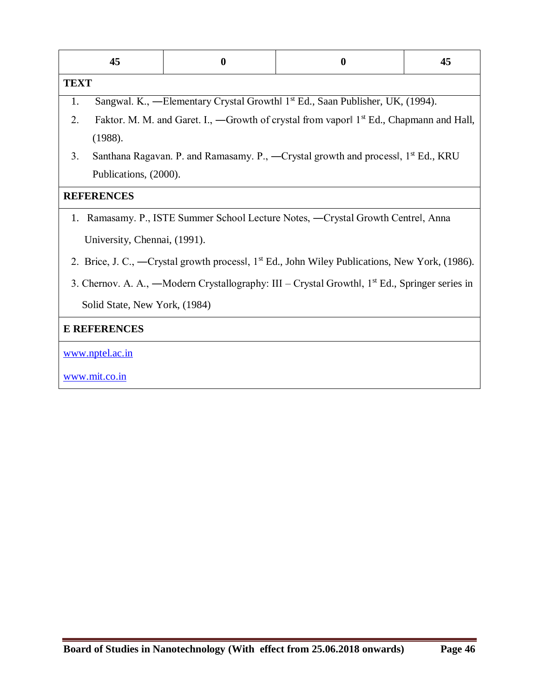| 45                            | $\boldsymbol{0}$ | $\boldsymbol{0}$                                                                                           | 45 |  |  |  |  |  |
|-------------------------------|------------------|------------------------------------------------------------------------------------------------------------|----|--|--|--|--|--|
| <b>TEXT</b>                   |                  |                                                                                                            |    |  |  |  |  |  |
| 1.                            |                  | Sangwal. K., -Elementary Crystal Growth 1 <sup>st</sup> Ed., Saan Publisher, UK, (1994).                   |    |  |  |  |  |  |
| 2.                            |                  | Faktor. M. M. and Garet. I., —Growth of crystal from vapor 1 <sup>st</sup> Ed., Chapmann and Hall,         |    |  |  |  |  |  |
| (1988).                       |                  |                                                                                                            |    |  |  |  |  |  |
| 3.                            |                  | Santhana Ragavan. P. and Ramasamy. P., —Crystal growth and process, 1 <sup>st</sup> Ed., KRU               |    |  |  |  |  |  |
| Publications, (2000).         |                  |                                                                                                            |    |  |  |  |  |  |
| <b>REFERENCES</b>             |                  |                                                                                                            |    |  |  |  |  |  |
|                               |                  | 1. Ramasamy. P., ISTE Summer School Lecture Notes, —Crystal Growth Centrel, Anna                           |    |  |  |  |  |  |
| University, Chennai, (1991).  |                  |                                                                                                            |    |  |  |  |  |  |
|                               |                  | 2. Brice, J. C., —Crystal growth process, 1 <sup>st</sup> Ed., John Wiley Publications, New York, (1986).  |    |  |  |  |  |  |
|                               |                  | 3. Chernov. A. A., -Modern Crystallography: III - Crystal Growthl, 1 <sup>st</sup> Ed., Springer series in |    |  |  |  |  |  |
| Solid State, New York, (1984) |                  |                                                                                                            |    |  |  |  |  |  |
| <b>E REFERENCES</b>           |                  |                                                                                                            |    |  |  |  |  |  |
| www.nptel.ac.in               |                  |                                                                                                            |    |  |  |  |  |  |
| www.mit.co.in                 |                  |                                                                                                            |    |  |  |  |  |  |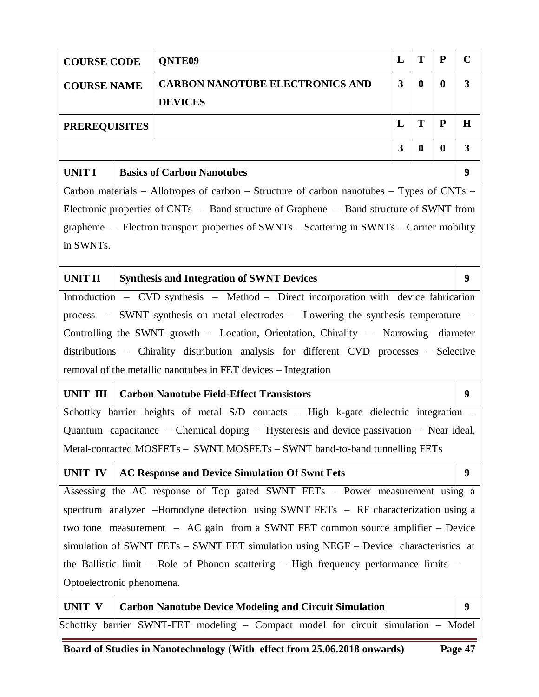|                                                                                   | T<br>L<br>${\bf P}$<br>QNTE09<br><b>COURSE CODE</b> |                                                                                                |                         |          |          |                         |  |
|-----------------------------------------------------------------------------------|-----------------------------------------------------|------------------------------------------------------------------------------------------------|-------------------------|----------|----------|-------------------------|--|
| <b>COURSE NAME</b>                                                                |                                                     | <b>CARBON NANOTUBE ELECTRONICS AND</b>                                                         | $\overline{\mathbf{3}}$ | $\bf{0}$ | $\bf{0}$ | $\overline{\mathbf{3}}$ |  |
|                                                                                   |                                                     | <b>DEVICES</b>                                                                                 |                         |          |          |                         |  |
| <b>PREREQUISITES</b>                                                              |                                                     |                                                                                                | L                       | T        | P        | $\bf H$                 |  |
|                                                                                   | 3<br>$\boldsymbol{0}$<br>$\bf{0}$                   |                                                                                                |                         |          |          |                         |  |
| <b>UNIT I</b>                                                                     | <b>Basics of Carbon Nanotubes</b>                   |                                                                                                |                         |          |          |                         |  |
|                                                                                   |                                                     | Carbon materials – Allotropes of carbon – Structure of carbon nanotubes – Types of CNTs –      |                         |          |          |                         |  |
|                                                                                   |                                                     | Electronic properties of CNTs - Band structure of Graphene - Band structure of SWNT from       |                         |          |          |                         |  |
|                                                                                   |                                                     | grapheme – Electron transport properties of $SWNTs$ – Scattering in $SWNTs$ – Carrier mobility |                         |          |          |                         |  |
| in SWNTs.                                                                         |                                                     |                                                                                                |                         |          |          |                         |  |
| <b>UNIT II</b>                                                                    |                                                     | <b>Synthesis and Integration of SWNT Devices</b>                                               |                         |          |          | 9                       |  |
|                                                                                   |                                                     | Introduction - CVD synthesis - Method - Direct incorporation with device fabrication           |                         |          |          |                         |  |
|                                                                                   |                                                     | process – SWNT synthesis on metal electrodes – Lowering the synthesis temperature              |                         |          |          |                         |  |
|                                                                                   |                                                     | Controlling the SWNT growth – Location, Orientation, Chirality – Narrowing diameter            |                         |          |          |                         |  |
|                                                                                   |                                                     | distributions – Chirality distribution analysis for different CVD processes – Selective        |                         |          |          |                         |  |
|                                                                                   |                                                     | removal of the metallic nanotubes in FET devices – Integration                                 |                         |          |          |                         |  |
| UNIT III                                                                          |                                                     | <b>Carbon Nanotube Field-Effect Transistors</b>                                                |                         |          |          | 9                       |  |
|                                                                                   |                                                     | Schottky barrier heights of metal S/D contacts - High k-gate dielectric integration -          |                         |          |          |                         |  |
|                                                                                   |                                                     | Quantum capacitance – Chemical doping – Hysteresis and device passivation – Near ideal,        |                         |          |          |                         |  |
|                                                                                   |                                                     | Metal-contacted MOSFETs - SWNT MOSFETs - SWNT band-to-band tunnelling FETs                     |                         |          |          |                         |  |
| UNIT IV                                                                           |                                                     | <b>AC Response and Device Simulation Of Swnt Fets</b>                                          |                         |          |          | 9                       |  |
|                                                                                   |                                                     | Assessing the AC response of Top gated SWNT FETs - Power measurement using a                   |                         |          |          |                         |  |
|                                                                                   |                                                     | spectrum analyzer -Homodyne detection using SWNT FETs - RF characterization using a            |                         |          |          |                         |  |
|                                                                                   |                                                     | two tone measurement $-$ AC gain from a SWNT FET common source amplifier $-$ Device            |                         |          |          |                         |  |
|                                                                                   |                                                     | simulation of SWNT FETs - SWNT FET simulation using NEGF - Device characteristics at           |                         |          |          |                         |  |
|                                                                                   |                                                     | the Ballistic limit – Role of Phonon scattering – High frequency performance limits –          |                         |          |          |                         |  |
| Optoelectronic phenomena.                                                         |                                                     |                                                                                                |                         |          |          |                         |  |
| UNIT V                                                                            |                                                     | <b>Carbon Nanotube Device Modeling and Circuit Simulation</b>                                  |                         |          |          | 9                       |  |
| Schottky barrier SWNT-FET modeling - Compact model for circuit simulation - Model |                                                     |                                                                                                |                         |          |          |                         |  |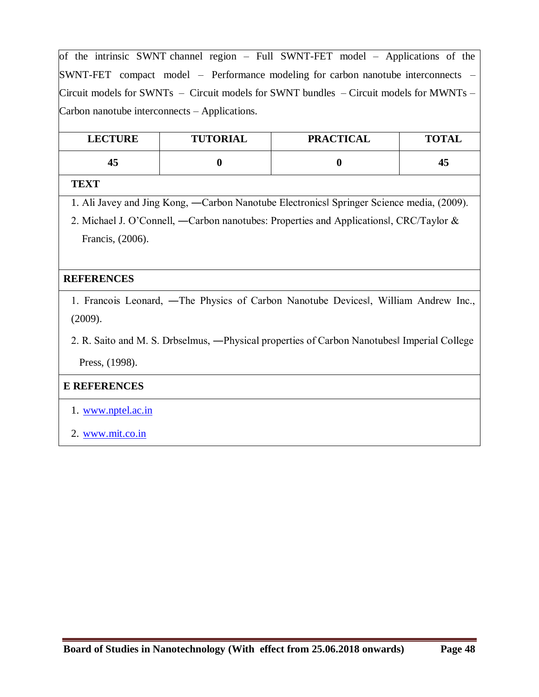of the intrinsic SWNT channel region – Full SWNT-FET model – Applications of the SWNT-FET compact model – Performance modeling for carbon nanotube interconnects – Circuit models for SWNTs – Circuit models for SWNT bundles – Circuit models for MWNTs – Carbon nanotube interconnects – Applications.

| <b>LECTURE</b> | <b>TUTORIAL</b> | <b>PRACTICAL</b> | <b>TOTAL</b> |
|----------------|-----------------|------------------|--------------|
| 45             |                 |                  | 45           |

#### **TEXT**

- 1. Ali Javey and Jing Kong, ―Carbon Nanotube Electronics‖ Springer Science media, (2009).
- 2. Michael J. O'Connell, ―Carbon nanotubes: Properties and Applications‖, CRC/Taylor & Francis, (2006).

### **REFERENCES**

- 1. Francois Leonard, ―The Physics of Carbon Nanotube Devices‖, William Andrew Inc., (2009).
- 2. R. Saito and M. S. Drbselmus, ―Physical properties of Carbon Nanotubes‖ Imperial College
	- Press, (1998).

- 1. www.nptel.ac.in
- 2. www.mit.co.in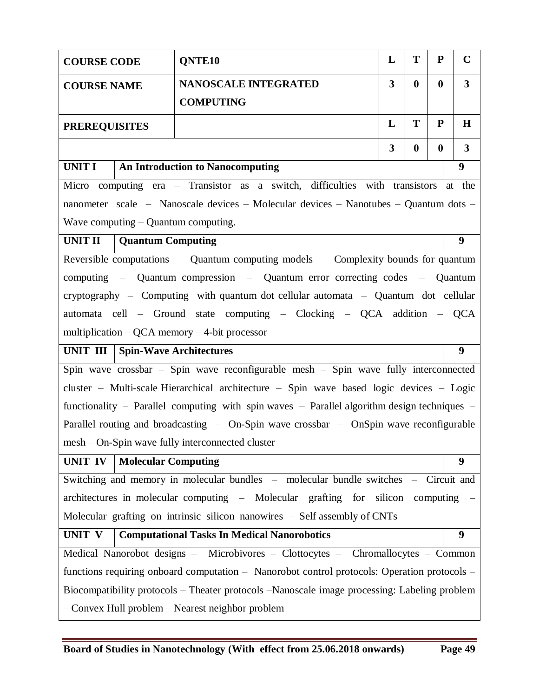| <b>COURSE CODE</b>                          |                                                                         | QNTE <sub>10</sub>                                                                           | L                       | T        | ${\bf P}$ | $\mathbf C$      |  |
|---------------------------------------------|-------------------------------------------------------------------------|----------------------------------------------------------------------------------------------|-------------------------|----------|-----------|------------------|--|
| <b>COURSE NAME</b>                          | $\overline{\mathbf{3}}$<br>$\bf{0}$<br>$\bf{0}$<br>NANOSCALE INTEGRATED |                                                                                              |                         |          |           |                  |  |
|                                             | <b>COMPUTING</b>                                                        |                                                                                              |                         |          |           |                  |  |
| T<br>${\bf P}$<br>L<br><b>PREREQUISITES</b> |                                                                         |                                                                                              |                         |          |           | $\bf H$          |  |
|                                             |                                                                         |                                                                                              | $\overline{\mathbf{3}}$ | $\bf{0}$ | $\bf{0}$  | $\mathbf{3}$     |  |
| UNIT I                                      |                                                                         | <b>An Introduction to Nanocomputing</b>                                                      |                         |          |           | $\boldsymbol{9}$ |  |
|                                             |                                                                         | Micro computing era - Transistor as a switch, difficulties with transistors                  |                         |          |           | at the           |  |
|                                             |                                                                         | nanometer scale – Nanoscale devices – Molecular devices – Nanotubes – Quantum dots –         |                         |          |           |                  |  |
|                                             |                                                                         | Wave computing $-$ Quantum computing.                                                        |                         |          |           |                  |  |
| <b>UNIT II</b>                              | <b>Quantum Computing</b>                                                |                                                                                              |                         |          |           | 9                |  |
|                                             |                                                                         | Reversible computations $-$ Quantum computing models $-$ Complexity bounds for quantum       |                         |          |           |                  |  |
|                                             |                                                                         | computing – Quantum compression – Quantum error correcting codes – Quantum                   |                         |          |           |                  |  |
|                                             |                                                                         | cryptography – Computing with quantum dot cellular automata – Quantum dot cellular           |                         |          |           |                  |  |
|                                             |                                                                         | automata cell – Ground state computing – Clocking – QCA addition – QCA                       |                         |          |           |                  |  |
|                                             |                                                                         | multiplication $-$ QCA memory $-$ 4-bit processor                                            |                         |          |           |                  |  |
| UNIT III                                    |                                                                         | <b>Spin-Wave Architectures</b>                                                               |                         |          |           | 9                |  |
|                                             |                                                                         | Spin wave crossbar - Spin wave reconfigurable mesh - Spin wave fully interconnected          |                         |          |           |                  |  |
|                                             |                                                                         | cluster – Multi-scale Hierarchical architecture – Spin wave based logic devices – Logic      |                         |          |           |                  |  |
|                                             |                                                                         | functionality – Parallel computing with spin waves – Parallel algorithm design techniques –  |                         |          |           |                  |  |
|                                             |                                                                         | Parallel routing and broadcasting $-$ On-Spin wave crossbar $-$ OnSpin wave reconfigurable   |                         |          |           |                  |  |
|                                             |                                                                         | mesh – On-Spin wave fully interconnected cluster                                             |                         |          |           |                  |  |
| UNIT IV                                     | <b>Molecular Computing</b>                                              |                                                                                              |                         |          |           | 9                |  |
|                                             |                                                                         | Switching and memory in molecular bundles - molecular bundle switches - Circuit and          |                         |          |           |                  |  |
|                                             |                                                                         | architectures in molecular computing – Molecular grafting for silicon computing              |                         |          |           |                  |  |
|                                             |                                                                         | Molecular grafting on intrinsic silicon nanowires – Self assembly of CNTs                    |                         |          |           |                  |  |
| UNIT V                                      |                                                                         | <b>Computational Tasks In Medical Nanorobotics</b>                                           |                         |          |           | 9                |  |
|                                             |                                                                         | Medical Nanorobot designs - Microbivores - Clottocytes - Chromallocytes - Common             |                         |          |           |                  |  |
|                                             |                                                                         | functions requiring onboard computation - Nanorobot control protocols: Operation protocols - |                         |          |           |                  |  |
|                                             |                                                                         | Biocompatibility protocols – Theater protocols –Nanoscale image processing: Labeling problem |                         |          |           |                  |  |
|                                             |                                                                         | - Convex Hull problem - Nearest neighbor problem                                             |                         |          |           |                  |  |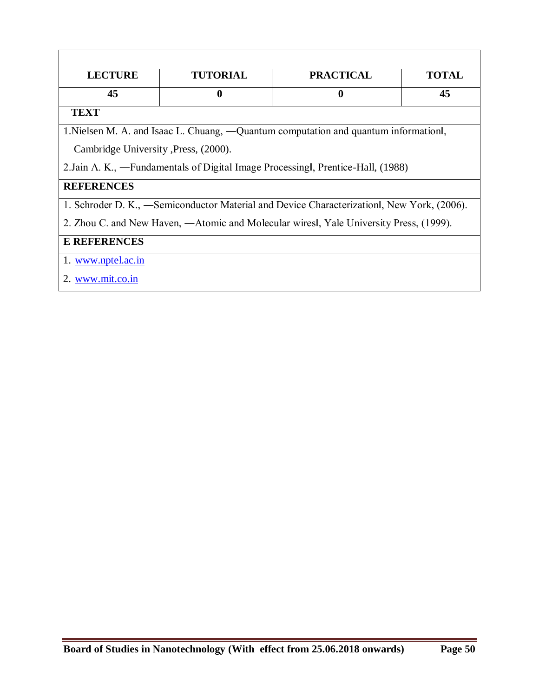| <b>LECTURE</b>                        | <b>TUTORIAL</b> | <b>PRACTICAL</b>                                                                          | <b>TOTAL</b> |
|---------------------------------------|-----------------|-------------------------------------------------------------------------------------------|--------------|
| 45                                    | $\mathbf 0$     | $\boldsymbol{0}$                                                                          | 45           |
|                                       |                 |                                                                                           |              |
| <b>TEXT</b>                           |                 |                                                                                           |              |
|                                       |                 | 1. Nielsen M. A. and Isaac L. Chuang, —Quantum computation and quantum information.       |              |
| Cambridge University , Press, (2000). |                 |                                                                                           |              |
|                                       |                 | 2. Jain A. K., —Fundamentals of Digital Image Processing, Prentice-Hall, (1988)           |              |
| <b>REFERENCES</b>                     |                 |                                                                                           |              |
|                                       |                 | 1. Schroder D. K., -Semiconductor Material and Device Characterization, New York, (2006). |              |
|                                       |                 | 2. Zhou C. and New Haven, —Atomic and Molecular wires, Yale University Press, (1999).     |              |
| <b>E REFERENCES</b>                   |                 |                                                                                           |              |
| 1. www.nptel.ac.in                    |                 |                                                                                           |              |
| 2. www.mit.co.in                      |                 |                                                                                           |              |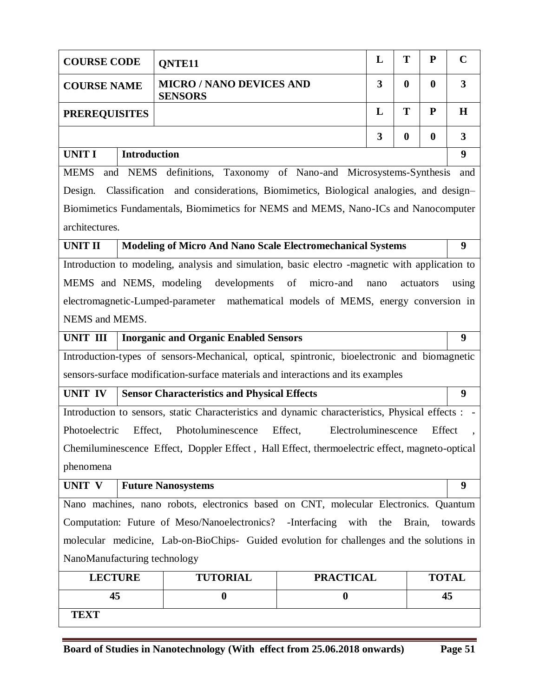| <b>COURSE CODE</b>                                                   | T<br>P<br>L<br>QNTE11 |                                                                                                 |                                |                         |                  |          |                         |
|----------------------------------------------------------------------|-----------------------|-------------------------------------------------------------------------------------------------|--------------------------------|-------------------------|------------------|----------|-------------------------|
| <b>COURSE NAME</b>                                                   |                       | <b>MICRO / NANO DEVICES AND</b><br><b>SENSORS</b>                                               |                                | 3                       | $\bf{0}$         | $\bf{0}$ | $\overline{\mathbf{3}}$ |
| <b>PREREQUISITES</b>                                                 |                       |                                                                                                 |                                | L                       | T                | P        | H                       |
|                                                                      |                       |                                                                                                 |                                | $\overline{\mathbf{3}}$ | $\boldsymbol{0}$ | $\bf{0}$ | $\overline{3}$          |
| <b>UNIT I</b>                                                        | <b>Introduction</b>   |                                                                                                 |                                |                         |                  |          | 9                       |
| <b>MEMS</b>                                                          |                       | and NEMS definitions, Taxonomy of Nano-and Microsystems-Synthesis                               |                                |                         |                  |          | and                     |
| Design.                                                              |                       | Classification and considerations, Biomimetics, Biological analogies, and design-               |                                |                         |                  |          |                         |
|                                                                      |                       | Biomimetics Fundamentals, Biomimetics for NEMS and MEMS, Nano-ICs and Nanocomputer              |                                |                         |                  |          |                         |
| architectures.                                                       |                       |                                                                                                 |                                |                         |                  |          |                         |
| <b>UNIT II</b>                                                       |                       | <b>Modeling of Micro And Nano Scale Electromechanical Systems</b>                               |                                |                         |                  |          | 9                       |
|                                                                      |                       | Introduction to modeling, analysis and simulation, basic electro -magnetic with application to  |                                |                         |                  |          |                         |
|                                                                      |                       | MEMS and NEMS, modeling developments                                                            | of micro-and                   | nano                    | actuators        |          | using                   |
|                                                                      |                       | electromagnetic-Lumped-parameter mathematical models of MEMS, energy conversion in              |                                |                         |                  |          |                         |
| NEMS and MEMS.                                                       |                       |                                                                                                 |                                |                         |                  |          |                         |
| UNIT III                                                             |                       | <b>Inorganic and Organic Enabled Sensors</b>                                                    |                                |                         |                  |          | 9                       |
|                                                                      |                       | Introduction-types of sensors-Mechanical, optical, spintronic, bioelectronic and biomagnetic    |                                |                         |                  |          |                         |
|                                                                      |                       | sensors-surface modification-surface materials and interactions and its examples                |                                |                         |                  |          |                         |
| <b>UNIT IV</b><br><b>Sensor Characteristics and Physical Effects</b> |                       |                                                                                                 |                                | 9                       |                  |          |                         |
|                                                                      |                       |                                                                                                 |                                |                         |                  |          |                         |
|                                                                      |                       | Introduction to sensors, static Characteristics and dynamic characteristics, Physical effects : |                                |                         |                  |          |                         |
| Photoelectric                                                        | Effect,               | Photoluminescence                                                                               | Effect,<br>Electroluminescence |                         |                  | Effect   |                         |
|                                                                      |                       | Chemiluminescence Effect, Doppler Effect, Hall Effect, thermoelectric effect, magneto-optical   |                                |                         |                  |          |                         |
| phenomena                                                            |                       |                                                                                                 |                                |                         |                  |          |                         |
| UNIT V                                                               |                       | <b>Future Nanosystems</b>                                                                       |                                |                         |                  |          | 9                       |
|                                                                      |                       | Nano machines, nano robots, electronics based on CNT, molecular Electronics. Quantum            |                                |                         |                  |          |                         |
|                                                                      |                       | Computation: Future of Meso/Nanoelectronics?                                                    | -Interfacing<br>with the       |                         | Brain,           |          | towards                 |
|                                                                      |                       | molecular medicine, Lab-on-BioChips- Guided evolution for challenges and the solutions in       |                                |                         |                  |          |                         |
| NanoManufacturing technology                                         |                       |                                                                                                 |                                |                         |                  |          |                         |
| <b>LECTURE</b>                                                       |                       | <b>TUTORIAL</b>                                                                                 | <b>PRACTICAL</b>               |                         |                  |          | <b>TOTAL</b>            |
| 45                                                                   |                       | $\boldsymbol{0}$                                                                                | $\boldsymbol{0}$               |                         |                  |          | 45                      |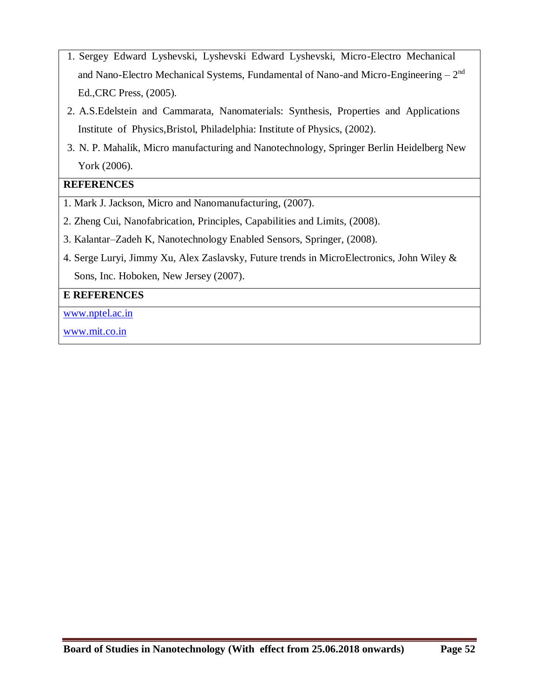- 1. Sergey Edward Lyshevski, Lyshevski Edward Lyshevski, Micro-Electro Mechanical and Nano-Electro Mechanical Systems, Fundamental of Nano-and Micro-Engineering  $-2<sup>nd</sup>$ Ed.,CRC Press, (2005).
- 2. A.S.Edelstein and Cammarata, Nanomaterials: Synthesis, Properties and Applications Institute of Physics,Bristol, Philadelphia: Institute of Physics, (2002).
- 3. N. P. Mahalik, Micro manufacturing and Nanotechnology, Springer Berlin Heidelberg New York (2006).

### **REFERENCES**

- 1. Mark J. Jackson, Micro and Nanomanufacturing, (2007).
- 2. Zheng Cui, Nanofabrication, Principles, Capabilities and Limits, (2008).
- 3. Kalantar–Zadeh K, Nanotechnology Enabled Sensors, Springer, (2008).
- 4. Serge Luryi, Jimmy Xu, Alex Zaslavsky, Future trends in MicroElectronics, John Wiley & Sons, Inc. Hoboken, New Jersey (2007).

### **E REFERENCES**

www.nptel.ac.in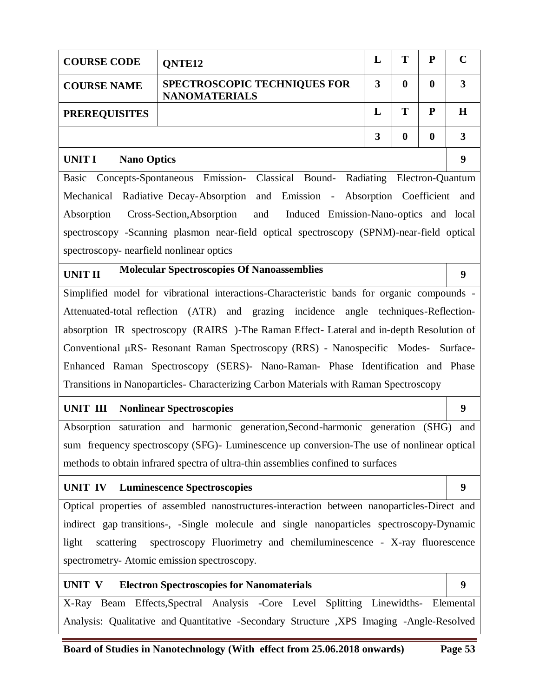|                                             | T<br>L<br>${\bf P}$<br><b>COURSE CODE</b><br><b>ONTE12</b>                                                                     |                                                                                             |   |                  |                  |                         |
|---------------------------------------------|--------------------------------------------------------------------------------------------------------------------------------|---------------------------------------------------------------------------------------------|---|------------------|------------------|-------------------------|
|                                             | $\boldsymbol{0}$<br><b>SPECTROSCOPIC TECHNIQUES FOR</b><br>3<br>$\boldsymbol{0}$<br><b>COURSE NAME</b><br><b>NANOMATERIALS</b> |                                                                                             |   |                  |                  |                         |
| L<br>T<br>${\bf P}$<br><b>PREREQUISITES</b> |                                                                                                                                |                                                                                             |   |                  | H                |                         |
|                                             |                                                                                                                                |                                                                                             | 3 | $\boldsymbol{0}$ | $\boldsymbol{0}$ | $\overline{\mathbf{3}}$ |
| <b>UNIT I</b>                               | <b>Nano Optics</b>                                                                                                             |                                                                                             |   |                  |                  | $\boldsymbol{9}$        |
| <b>Basic</b>                                |                                                                                                                                | Concepts-Spontaneous Emission- Classical Bound- Radiating Electron-Quantum                  |   |                  |                  |                         |
|                                             |                                                                                                                                | Mechanical Radiative Decay-Absorption and Emission - Absorption Coefficient                 |   |                  |                  | and                     |
| Absorption                                  |                                                                                                                                | Cross-Section, Absorption<br>and<br>Induced Emission-Nano-optics and local                  |   |                  |                  |                         |
|                                             |                                                                                                                                | spectroscopy -Scanning plasmon near-field optical spectroscopy (SPNM)-near-field optical    |   |                  |                  |                         |
|                                             |                                                                                                                                | spectroscopy- nearfield nonlinear optics                                                    |   |                  |                  |                         |
| <b>UNIT II</b>                              |                                                                                                                                | <b>Molecular Spectroscopies Of Nanoassemblies</b>                                           |   |                  |                  | $\boldsymbol{9}$        |
|                                             |                                                                                                                                | Simplified model for vibrational interactions-Characteristic bands for organic compounds -  |   |                  |                  |                         |
|                                             |                                                                                                                                | Attenuated-total reflection (ATR) and grazing incidence angle techniques-Reflection-        |   |                  |                  |                         |
|                                             |                                                                                                                                | absorption IR spectroscopy (RAIRS)-The Raman Effect- Lateral and in-depth Resolution of     |   |                  |                  |                         |
|                                             |                                                                                                                                | Conventional µRS- Resonant Raman Spectroscopy (RRS) - Nanospecific Modes- Surface-          |   |                  |                  |                         |
|                                             |                                                                                                                                | Enhanced Raman Spectroscopy (SERS)- Nano-Raman- Phase Identification and Phase              |   |                  |                  |                         |
|                                             |                                                                                                                                | Transitions in Nanoparticles- Characterizing Carbon Materials with Raman Spectroscopy       |   |                  |                  |                         |
| <b>UNIT III</b>                             |                                                                                                                                | <b>Nonlinear Spectroscopies</b>                                                             |   |                  |                  | $\boldsymbol{9}$        |
|                                             |                                                                                                                                | Absorption saturation and harmonic generation, Second-harmonic generation (SHG)             |   |                  |                  | and                     |
|                                             |                                                                                                                                | sum frequency spectroscopy (SFG)- Luminescence up conversion-The use of nonlinear optical   |   |                  |                  |                         |
|                                             |                                                                                                                                | methods to obtain infrared spectra of ultra-thin assemblies confined to surfaces            |   |                  |                  |                         |
| <b>UNIT IV</b>                              |                                                                                                                                | <b>Luminescence Spectroscopies</b>                                                          |   |                  |                  | 9                       |
|                                             |                                                                                                                                | Optical properties of assembled nanostructures-interaction between nanoparticles-Direct and |   |                  |                  |                         |
|                                             |                                                                                                                                | indirect gap transitions-, -Single molecule and single nanoparticles spectroscopy-Dynamic   |   |                  |                  |                         |
| light                                       | scattering                                                                                                                     | spectroscopy Fluorimetry and chemiluminescence - X-ray fluorescence                         |   |                  |                  |                         |
|                                             |                                                                                                                                | spectrometry-Atomic emission spectroscopy.                                                  |   |                  |                  |                         |
| UNIT V                                      |                                                                                                                                | <b>Electron Spectroscopies for Nanomaterials</b>                                            |   |                  |                  | 9                       |
|                                             |                                                                                                                                | X-Ray Beam Effects, Spectral Analysis -Core Level Splitting Linewidths- Elemental           |   |                  |                  |                         |
|                                             |                                                                                                                                | Analysis: Qualitative and Quantitative -Secondary Structure ,XPS Imaging -Angle-Resolved    |   |                  |                  |                         |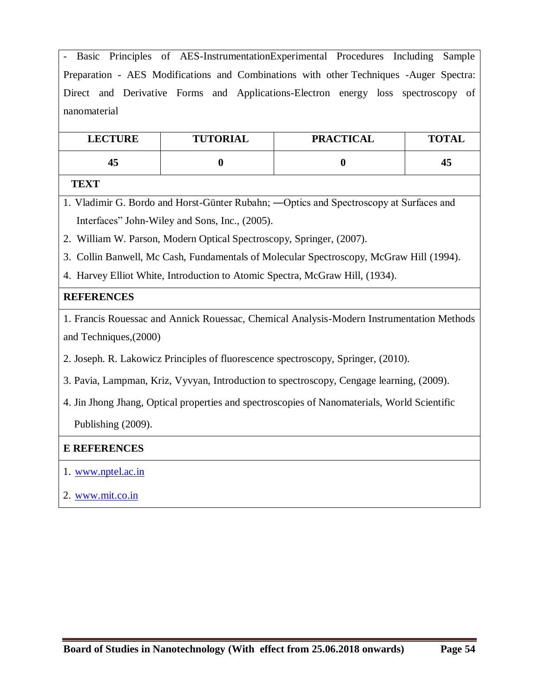- Basic Principles of AES-InstrumentationExperimental Procedures Including Sample Preparation - AES Modifications and Combinations with other Techniques -Auger Spectra: Direct and Derivative Forms and Applications-Electron energy loss spectroscopy of nanomaterial

| <b>LECTURE</b> | <b>TUTORIAL</b> | <b>PRACTICAL</b> | <b>TOTAL</b> |
|----------------|-----------------|------------------|--------------|
| 45             |                 |                  | 45           |

#### **TEXT**

1. Vladimir G. Bordo and Horst-Günter Rubahn; ―Optics and Spectroscopy at Surfaces and Interfaces" John-Wiley and Sons, Inc., (2005).

2. William W. Parson, Modern Optical Spectroscopy, Springer, (2007).

3. Collin Banwell, Mc Cash, Fundamentals of Molecular Spectroscopy, McGraw Hill (1994).

4. Harvey Elliot White, Introduction to Atomic Spectra, McGraw Hill, (1934).

### **REFERENCES**

1. Francis Rouessac and Annick Rouessac, Chemical Analysis-Modern Instrumentation Methods and Techniques,(2000)

2. Joseph. R. Lakowicz Principles of fluorescence spectroscopy, Springer, (2010).

3. Pavia, Lampman, Kriz, Vyvyan, Introduction to spectroscopy, Cengage learning, (2009).

4. Jin Jhong Jhang, Optical properties and spectroscopies of Nanomaterials, World Scientific Publishing (2009).

### **E REFERENCES**

### 1. www.nptel.ac.in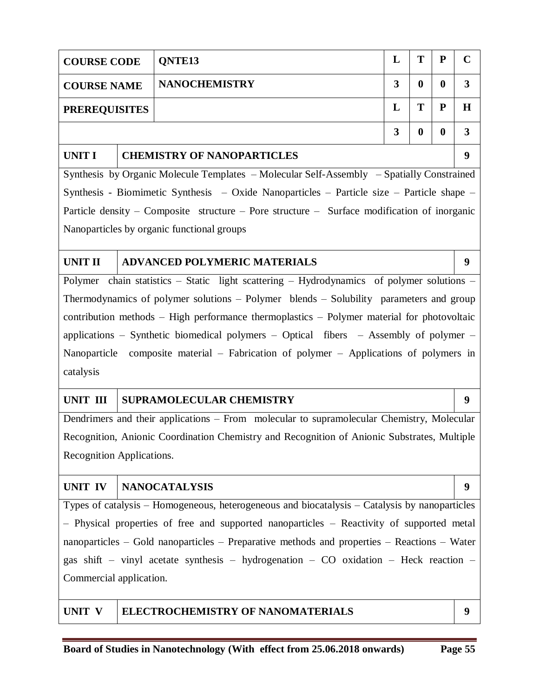| <b>COURSE CODE</b>                                                                        |  | <b>ONTE13</b>        | L | т | P                | $\mathcal{C}$ |
|-------------------------------------------------------------------------------------------|--|----------------------|---|---|------------------|---------------|
| <b>COURSE NAME</b>                                                                        |  | <b>NANOCHEMISTRY</b> | 3 | 0 | $\boldsymbol{0}$ | 3             |
| <b>PREREQUISITES</b>                                                                      |  |                      | L | Т | P                | Н             |
|                                                                                           |  |                      | 3 | 0 | $\boldsymbol{0}$ | 3             |
| <b>UNIT I</b><br><b>CHEMISTRY OF NANOPARTICLES</b>                                        |  |                      |   |   | 9                |               |
| Synthesis by Organic Molecule Templates – Molecular Self-Assembly – Spatially Constrained |  |                      |   |   |                  |               |

Synthesis - Biomimetic Synthesis – Oxide Nanoparticles – Particle size – Particle shape – Particle density – Composite structure – Pore structure – Surface modification of inorganic Nanoparticles by organic functional groups

### **UNIT II ADVANCED POLYMERIC MATERIALS 9**

Polymer chain statistics – Static light scattering – Hydrodynamics of polymer solutions -Thermodynamics of polymer solutions – Polymer blends – Solubility parameters and group contribution methods – High performance thermoplastics – Polymer material for photovoltaic applications – Synthetic biomedical polymers – Optical fibers – Assembly of polymer – Nanoparticle composite material – Fabrication of polymer – Applications of polymers in catalysis

### UNIT III SUPRAMOLECULAR CHEMISTRY 9

Dendrimers and their applications – From molecular to supramolecular Chemistry, Molecular Recognition, Anionic Coordination Chemistry and Recognition of Anionic Substrates, Multiple Recognition Applications.

### **UNIT IV NANOCATALYSIS 9**

Types of catalysis – Homogeneous, heterogeneous and biocatalysis – Catalysis by nanoparticles – Physical properties of free and supported nanoparticles – Reactivity of supported metal nanoparticles – Gold nanoparticles – Preparative methods and properties – Reactions – Water gas shift – vinyl acetate synthesis – hydrogenation – CO oxidation – Heck reaction – Commercial application.

### **UNIT V ELECTROCHEMISTRY OF NANOMATERIALS 9**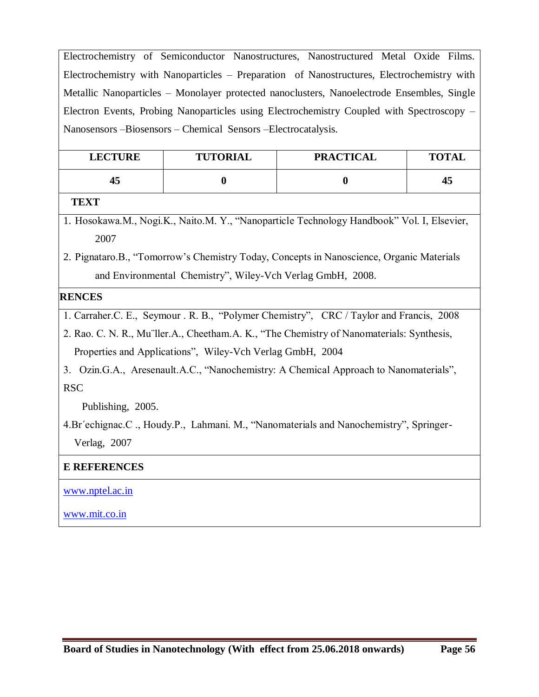Electrochemistry of Semiconductor Nanostructures, Nanostructured Metal Oxide Films. Electrochemistry with Nanoparticles – Preparation of Nanostructures, Electrochemistry with Metallic Nanoparticles – Monolayer protected nanoclusters, Nanoelectrode Ensembles, Single Electron Events, Probing Nanoparticles using Electrochemistry Coupled with Spectroscopy – Nanosensors –Biosensors – Chemical Sensors –Electrocatalysis.

| <b>LECTURE</b> | <b>TUTORIAL</b> | <b>PRACTICAL</b> | <b>TOTAL</b> |
|----------------|-----------------|------------------|--------------|
|                |                 |                  | 45           |

#### **TEXT**

1. Hosokawa.M., Nogi.K., Naito.M. Y., "Nanoparticle Technology Handbook" Vol. I, Elsevier, 2007

2. Pignataro.B., "Tomorrow's Chemistry Today, Concepts in Nanoscience, Organic Materials and Environmental Chemistry", Wiley-Vch Verlag GmbH, 2008.

### **REFERENCES**

1. Carraher.C. E., Seymour . R. B., "Polymer Chemistry", CRC / Taylor and Francis, 2008

2. Rao. C. N. R., Mu¨ller.A., Cheetham.A. K., "The Chemistry of Nanomaterials: Synthesis, Properties and Applications", Wiley-Vch Verlag GmbH, 2004

3. Ozin.G.A., Aresenault.A.C., "Nanochemistry: A Chemical Approach to Nanomaterials", RSC

Publishing, 2005.

4.Br´echignac.C ., Houdy.P., Lahmani. M., "Nanomaterials and Nanochemistry", Springer- Verlag, 2007

### **E REFERENCES**

www.nptel.ac.in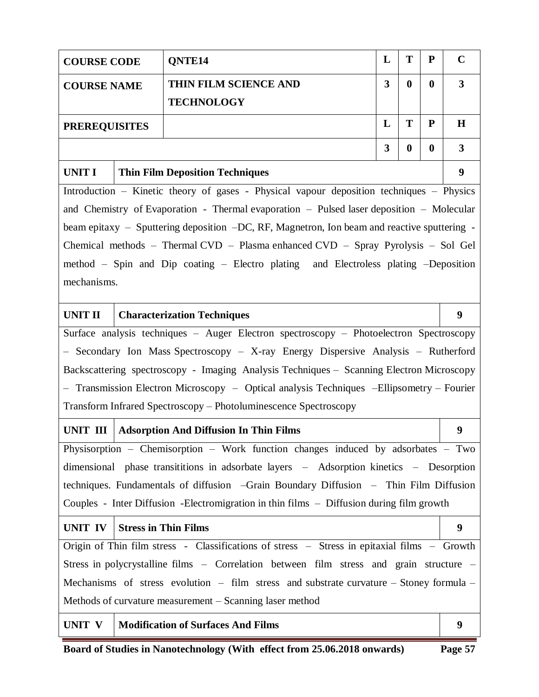| T<br>L<br>P<br>QNTE14<br><b>COURSE CODE</b> |  |                                                                                               |   |          |           |                         |  |
|---------------------------------------------|--|-----------------------------------------------------------------------------------------------|---|----------|-----------|-------------------------|--|
| <b>COURSE NAME</b>                          |  | THIN FILM SCIENCE AND                                                                         | 3 | $\bf{0}$ | $\bf{0}$  | $\overline{\mathbf{3}}$ |  |
|                                             |  | <b>TECHNOLOGY</b>                                                                             |   |          |           |                         |  |
| <b>PREREQUISITES</b>                        |  |                                                                                               | L | T        | ${\bf P}$ | $\mathbf H$             |  |
| 3<br>$\boldsymbol{0}$<br>$\boldsymbol{0}$   |  |                                                                                               |   |          |           |                         |  |
| <b>UNIT I</b>                               |  | <b>Thin Film Deposition Techniques</b>                                                        |   |          |           | 9                       |  |
|                                             |  | Introduction – Kinetic theory of gases - Physical vapour deposition techniques – Physics      |   |          |           |                         |  |
|                                             |  | and Chemistry of Evaporation - Thermal evaporation - Pulsed laser deposition - Molecular      |   |          |           |                         |  |
|                                             |  | beam epitaxy – Sputtering deposition –DC, RF, Magnetron, Ion beam and reactive sputtering -   |   |          |           |                         |  |
|                                             |  | Chemical methods - Thermal CVD - Plasma enhanced CVD - Spray Pyrolysis - Sol Gel              |   |          |           |                         |  |
|                                             |  | method – Spin and Dip coating – Electro plating and Electroless plating –Deposition           |   |          |           |                         |  |
| mechanisms.                                 |  |                                                                                               |   |          |           |                         |  |
|                                             |  |                                                                                               |   |          |           |                         |  |
| <b>UNIT II</b>                              |  | <b>Characterization Techniques</b>                                                            |   |          |           | 9                       |  |
|                                             |  | Surface analysis techniques - Auger Electron spectroscopy - Photoelectron Spectroscopy        |   |          |           |                         |  |
|                                             |  | - Secondary Ion Mass Spectroscopy - X-ray Energy Dispersive Analysis - Rutherford             |   |          |           |                         |  |
|                                             |  | Backscattering spectroscopy - Imaging Analysis Techniques - Scanning Electron Microscopy      |   |          |           |                         |  |
|                                             |  | - Transmission Electron Microscopy - Optical analysis Techniques -Ellipsometry - Fourier      |   |          |           |                         |  |
|                                             |  | Transform Infrared Spectroscopy - Photoluminescence Spectroscopy                              |   |          |           |                         |  |
| UNIT III                                    |  | <b>Adsorption And Diffusion In Thin Films</b>                                                 |   |          |           | 9                       |  |
|                                             |  | Physisorption - Chemisorption - Work function changes induced by adsorbates - Two             |   |          |           |                         |  |
|                                             |  | dimensional phase transititions in adsorbate layers - Adsorption kinetics - Desorption        |   |          |           |                         |  |
|                                             |  | techniques. Fundamentals of diffusion -Grain Boundary Diffusion - Thin Film Diffusion         |   |          |           |                         |  |
|                                             |  | Couples - Inter Diffusion - Electromigration in thin films – Diffusion during film growth     |   |          |           |                         |  |
| UNIT IV                                     |  | <b>Stress in Thin Films</b>                                                                   |   |          |           | 9                       |  |
|                                             |  | Origin of Thin film stress - Classifications of stress - Stress in epitaxial films - Growth   |   |          |           |                         |  |
|                                             |  | Stress in polycrystalline films - Correlation between film stress and grain structure -       |   |          |           |                         |  |
|                                             |  | Mechanisms of stress evolution $-$ film stress and substrate curvature $-$ Stoney formula $-$ |   |          |           |                         |  |
|                                             |  | Methods of curvature measurement – Scanning laser method                                      |   |          |           |                         |  |
| UNIT V                                      |  | <b>Modification of Surfaces And Films</b>                                                     |   |          |           | 9                       |  |

**Board of Studies in Nanotechnology (With effect from 25.06.2018 onwards) Page 57**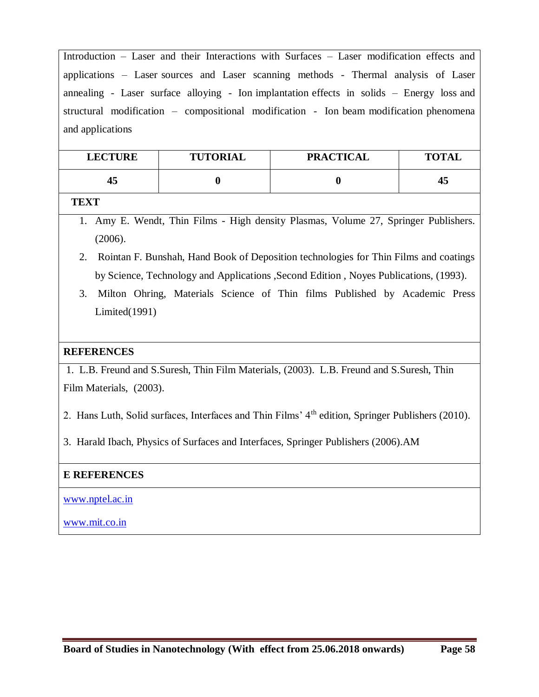Introduction – Laser and their Interactions with Surfaces – Laser modification effects and applications – Laser sources and Laser scanning methods - Thermal analysis of Laser annealing - Laser surface alloying - Ion implantation effects in solids – Energy loss and structural modification – compositional modification - Ion beam modification phenomena and applications

| <b>LECTURE</b> | <b>TUTORIAL</b> | <b>PRACTICAL</b> | <b>TOTAL</b> |
|----------------|-----------------|------------------|--------------|
| 45             |                 |                  | 45           |

### **TEXT**

- 1. Amy E. Wendt, Thin Films High density Plasmas, Volume 27, Springer Publishers. (2006).
- 2. Rointan F. Bunshah, Hand Book of Deposition technologies for Thin Films and coatings by Science, Technology and Applications ,Second Edition , Noyes Publications, (1993).
- 3. Milton Ohring, Materials Science of Thin films Published by Academic Press Limited(1991)

### **REFERENCES**

1. L.B. Freund and S.Suresh, Thin Film Materials, (2003). L.B. Freund and S.Suresh, Thin Film Materials, (2003).

- 2. Hans Luth, Solid surfaces, Interfaces and Thin Films' 4<sup>th</sup> edition, Springer Publishers (2010).
- 3. Harald Ibach, Physics of Surfaces and Interfaces, Springer Publishers (2006).AM

### **E REFERENCES**

www.nptel.ac.in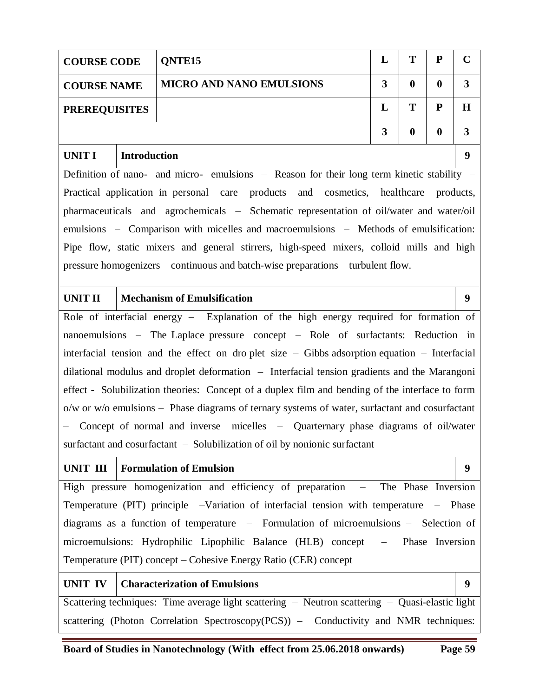| <b>COURSE CODE</b>                          | T<br>${\bf P}$<br>L<br>QNTE <sub>15</sub> |                                                                                                  |                         |                  |                     |              |  |  |
|---------------------------------------------|-------------------------------------------|--------------------------------------------------------------------------------------------------|-------------------------|------------------|---------------------|--------------|--|--|
| <b>COURSE NAME</b>                          |                                           | <b>MICRO AND NANO EMULSIONS</b>                                                                  | $\overline{\mathbf{3}}$ | $\bf{0}$         | $\bf{0}$            | $\mathbf{3}$ |  |  |
| T<br>${\bf P}$<br>L<br><b>PREREQUISITES</b> |                                           |                                                                                                  |                         |                  |                     | $\bf H$      |  |  |
|                                             |                                           |                                                                                                  | 3                       | $\boldsymbol{0}$ | $\boldsymbol{0}$    | $\mathbf{3}$ |  |  |
| <b>UNIT I</b>                               | <b>Introduction</b>                       |                                                                                                  |                         |                  |                     | 9            |  |  |
|                                             |                                           | Definition of nano- and micro- emulsions - Reason for their long term kinetic stability -        |                         |                  |                     |              |  |  |
|                                             |                                           | Practical application in personal care products and cosmetics, healthcare products,              |                         |                  |                     |              |  |  |
|                                             |                                           | pharmaceuticals and agrochemicals - Schematic representation of oil/water and water/oil          |                         |                  |                     |              |  |  |
|                                             |                                           | emulsions – Comparison with micelles and macroemulsions – Methods of emulsification:             |                         |                  |                     |              |  |  |
|                                             |                                           | Pipe flow, static mixers and general stirrers, high-speed mixers, colloid mills and high         |                         |                  |                     |              |  |  |
|                                             |                                           | pressure homogenizers – continuous and batch-wise preparations – turbulent flow.                 |                         |                  |                     |              |  |  |
|                                             |                                           |                                                                                                  |                         |                  |                     |              |  |  |
| <b>UNIT II</b>                              |                                           | <b>Mechanism of Emulsification</b>                                                               |                         |                  |                     | 9            |  |  |
|                                             |                                           | Role of interfacial energy - Explanation of the high energy required for formation of            |                         |                  |                     |              |  |  |
|                                             |                                           | nanoemulsions – The Laplace pressure concept – Role of surfactants: Reduction in                 |                         |                  |                     |              |  |  |
|                                             |                                           | interfacial tension and the effect on droplet size $-$ Gibbs adsorption equation $-$ Interfacial |                         |                  |                     |              |  |  |
|                                             |                                           | dilational modulus and droplet deformation - Interfacial tension gradients and the Marangoni     |                         |                  |                     |              |  |  |
|                                             |                                           | effect - Solubilization theories: Concept of a duplex film and bending of the interface to form  |                         |                  |                     |              |  |  |
|                                             |                                           | o/w or w/o emulsions – Phase diagrams of ternary systems of water, surfactant and cosurfactant   |                         |                  |                     |              |  |  |
|                                             |                                           | Concept of normal and inverse micelles – Quarternary phase diagrams of oil/water                 |                         |                  |                     |              |  |  |
|                                             |                                           | surfactant and cosurfactant - Solubilization of oil by nonionic surfactant                       |                         |                  |                     |              |  |  |
| UNIT III                                    |                                           | <b>Formulation of Emulsion</b>                                                                   |                         |                  |                     | 9            |  |  |
|                                             |                                           | High pressure homogenization and efficiency of preparation<br>$\frac{1}{2}$                      |                         |                  | The Phase Inversion |              |  |  |
|                                             |                                           | Temperature (PIT) principle -Variation of interfacial tension with temperature - Phase           |                         |                  |                     |              |  |  |
|                                             |                                           | diagrams as a function of temperature – Formulation of microemulsions – Selection of             |                         |                  |                     |              |  |  |
|                                             |                                           | microemulsions: Hydrophilic Lipophilic Balance (HLB) concept –                                   |                         |                  | Phase Inversion     |              |  |  |
|                                             |                                           | Temperature (PIT) concept – Cohesive Energy Ratio (CER) concept                                  |                         |                  |                     |              |  |  |
| <b>UNIT IV</b>                              |                                           | <b>Characterization of Emulsions</b>                                                             |                         |                  |                     | 9            |  |  |
|                                             |                                           | Scattering techniques: Time average light scattering - Neutron scattering - Quasi-elastic light  |                         |                  |                     |              |  |  |
|                                             |                                           | scattering (Photon Correlation Spectroscopy(PCS)) – Conductivity and NMR techniques:             |                         |                  |                     |              |  |  |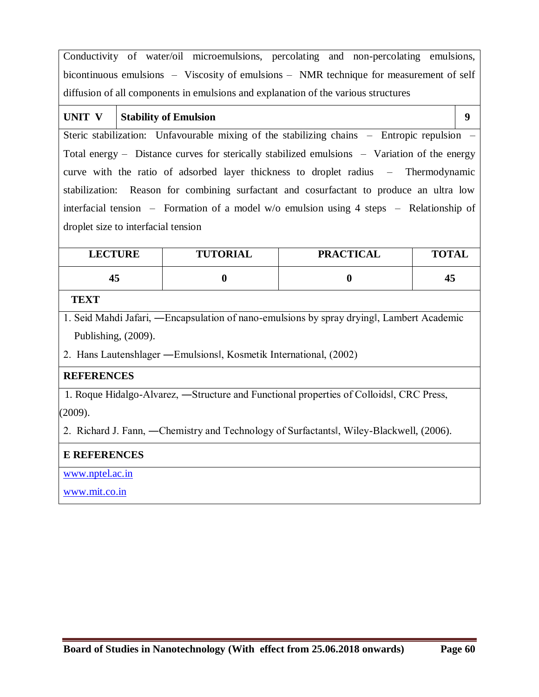Conductivity of water/oil microemulsions, percolating and non-percolating emulsions, bicontinuous emulsions – Viscosity of emulsions – NMR technique for measurement of self diffusion of all components in emulsions and explanation of the various structures

# UNIT V **Stability of Emulsion 9**

Steric stabilization: Unfavourable mixing of the stabilizing chains – Entropic repulsion – Total energy – Distance curves for sterically stabilized emulsions – Variation of the energy curve with the ratio of adsorbed layer thickness to droplet radius – Thermodynamic stabilization: Reason for combining surfactant and cosurfactant to produce an ultra low interfacial tension – Formation of a model w/o emulsion using 4 steps – Relationship of droplet size to interfacial tension

| <b>LECTURE</b> | <b>TUTORIAL</b> | <b>PRACTICAL</b> | <b>TOTAL</b> |
|----------------|-----------------|------------------|--------------|
|                |                 |                  | 45           |

### **TEXT**

1. Seid Mahdi Jafari, ―Encapsulation of nano-emulsions by spray drying‖, Lambert Academic Publishing, (2009).

2. Hans Lautenshlager ―Emulsions‖, Kosmetik International, (2002)

# **REFERENCES**

 1. Roque Hidalgo-Alvarez, ―Structure and Functional properties of Colloids‖, CRC Press, (2009).

2. Richard J. Fann, ―Chemistry and Technology of Surfactants‖, Wiley-Blackwell, (2006).

# **E REFERENCES**

www.nptel.ac.in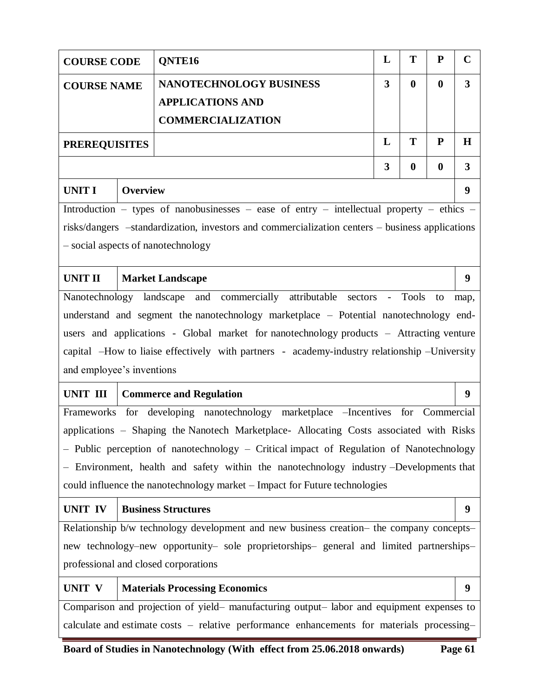|                                                                                 | ${\bf P}$<br>T<br>L<br>QNTE16<br><b>COURSE CODE</b>                                       |                                                                                                 |   |                  | $\mathbf C$      |                         |
|---------------------------------------------------------------------------------|-------------------------------------------------------------------------------------------|-------------------------------------------------------------------------------------------------|---|------------------|------------------|-------------------------|
| <b>COURSE NAME</b>                                                              |                                                                                           | <b>NANOTECHNOLOGY BUSINESS</b>                                                                  | 3 | $\boldsymbol{0}$ | $\boldsymbol{0}$ | $\overline{\mathbf{3}}$ |
|                                                                                 |                                                                                           | <b>APPLICATIONS AND</b>                                                                         |   |                  |                  |                         |
|                                                                                 |                                                                                           | <b>COMMERCIALIZATION</b>                                                                        |   |                  |                  |                         |
| <b>PREREQUISITES</b>                                                            |                                                                                           |                                                                                                 | L | T                | ${\bf P}$        | H                       |
|                                                                                 |                                                                                           |                                                                                                 | 3 | $\boldsymbol{0}$ | $\boldsymbol{0}$ | 3                       |
| <b>UNIT I</b>                                                                   | <b>Overview</b>                                                                           |                                                                                                 |   |                  |                  | 9                       |
|                                                                                 |                                                                                           | Introduction – types of nanobusinesses – ease of entry – intellectual property – ethics –       |   |                  |                  |                         |
|                                                                                 |                                                                                           | risks/dangers -standardization, investors and commercialization centers - business applications |   |                  |                  |                         |
|                                                                                 |                                                                                           | - social aspects of nanotechnology                                                              |   |                  |                  |                         |
| <b>UNIT II</b>                                                                  |                                                                                           | <b>Market Landscape</b>                                                                         |   |                  |                  | 9                       |
|                                                                                 |                                                                                           | commercially attributable sectors<br>Nanotechnology landscape and                               |   | - Tools          | to               | map,                    |
|                                                                                 |                                                                                           | understand and segment the nanotechnology marketplace - Potential nanotechnology end-           |   |                  |                  |                         |
|                                                                                 |                                                                                           | users and applications - Global market for nanotechnology products – Attracting venture         |   |                  |                  |                         |
|                                                                                 |                                                                                           | capital -How to liaise effectively with partners - academy-industry relationship -University    |   |                  |                  |                         |
| and employee's inventions                                                       |                                                                                           |                                                                                                 |   |                  |                  |                         |
| <b>UNIT III</b>                                                                 |                                                                                           | <b>Commerce and Regulation</b>                                                                  |   |                  |                  | 9                       |
| Frameworks for developing nanotechnology marketplace -Incentives for Commercial |                                                                                           |                                                                                                 |   |                  |                  |                         |
|                                                                                 |                                                                                           | applications - Shaping the Nanotech Marketplace- Allocating Costs associated with Risks         |   |                  |                  |                         |
|                                                                                 |                                                                                           | - Public perception of nanotechnology - Critical impact of Regulation of Nanotechnology         |   |                  |                  |                         |
|                                                                                 |                                                                                           | - Environment, health and safety within the nanotechnology industry -Developments that          |   |                  |                  |                         |
| could influence the nanotechnology market – Impact for Future technologies      |                                                                                           |                                                                                                 |   |                  |                  |                         |
| <b>UNIT IV</b>                                                                  | <b>Business Structures</b>                                                                |                                                                                                 |   |                  | 9                |                         |
|                                                                                 |                                                                                           | Relationship b/w technology development and new business creation- the company concepts-        |   |                  |                  |                         |
|                                                                                 |                                                                                           | new technology–new opportunity– sole proprietorships– general and limited partnerships–         |   |                  |                  |                         |
| professional and closed corporations                                            |                                                                                           |                                                                                                 |   |                  |                  |                         |
| UNIT V                                                                          |                                                                                           | <b>Materials Processing Economics</b>                                                           |   |                  |                  | 9                       |
|                                                                                 | Comparison and projection of yield- manufacturing output- labor and equipment expenses to |                                                                                                 |   |                  |                  |                         |
|                                                                                 |                                                                                           | calculate and estimate costs - relative performance enhancements for materials processing-      |   |                  |                  |                         |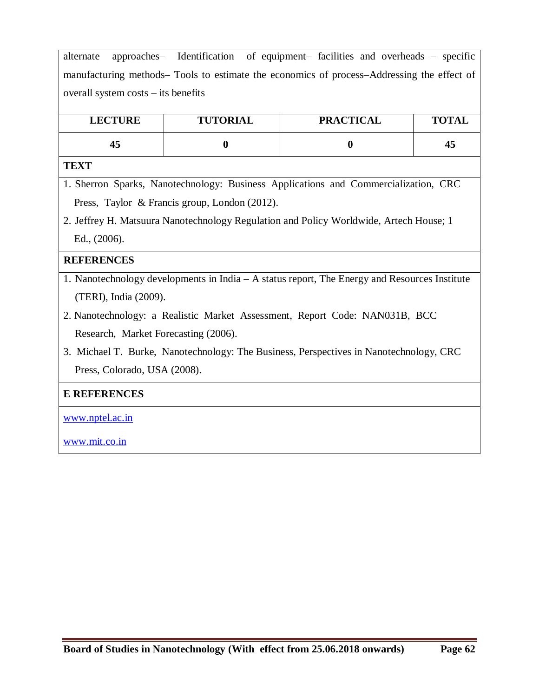alternate approaches– Identification of equipment– facilities and overheads – specific manufacturing methods– Tools to estimate the economics of process–Addressing the effect of overall system costs – its benefits

| <b>LECTURE</b> | <b>TUTORIAL</b> | <b>PRACTICAL</b> | <b>TOTAL</b> |
|----------------|-----------------|------------------|--------------|
| 45             |                 |                  | 45           |

#### **TEXT**

1. Sherron Sparks, Nanotechnology: Business Applications and Commercialization, CRC Press, Taylor & Francis group, London (2012).

2. Jeffrey H. Matsuura Nanotechnology Regulation and Policy Worldwide, Artech House; 1 Ed., (2006).

### **REFERENCES**

- 1. Nanotechnology developments in India A status report, The Energy and Resources Institute (TERI), India (2009).
- 2. Nanotechnology: a Realistic Market Assessment, Report Code: NAN031B, BCC Research, Market Forecasting (2006).
- 3. Michael T. Burke, Nanotechnology: The Business, Perspectives in Nanotechnology, CRC Press, Colorado, USA (2008).

### **E REFERENCES**

www.nptel.ac.in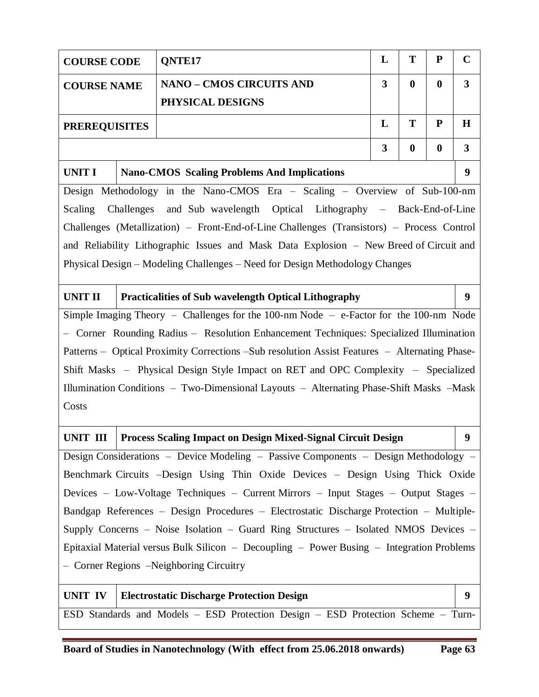| <b>COURSE CODE</b>                                                                            |                                                                                         | QNTE17                                                                                    | L | T                | ${\bf P}$        | $\mathbf C$      |
|-----------------------------------------------------------------------------------------------|-----------------------------------------------------------------------------------------|-------------------------------------------------------------------------------------------|---|------------------|------------------|------------------|
| <b>COURSE NAME</b>                                                                            |                                                                                         | <b>NANO - CMOS CIRCUITS AND</b>                                                           | 3 | $\mathbf{0}$     | $\bf{0}$         | $\mathbf{3}$     |
|                                                                                               |                                                                                         | PHYSICAL DESIGNS                                                                          |   |                  |                  |                  |
| <b>PREREQUISITES</b>                                                                          |                                                                                         |                                                                                           | L | T                | ${\bf P}$        | $\bf H$          |
|                                                                                               |                                                                                         |                                                                                           | 3 | $\boldsymbol{0}$ | $\boldsymbol{0}$ | $\mathbf{3}$     |
| <b>UNIT I</b>                                                                                 |                                                                                         | <b>Nano-CMOS Scaling Problems And Implications</b>                                        |   |                  |                  | 9                |
|                                                                                               |                                                                                         | Design Methodology in the Nano-CMOS Era - Scaling - Overview of Sub-100-nm                |   |                  |                  |                  |
| Scaling                                                                                       | Challenges                                                                              | and Sub wavelength Optical Lithography – Back-End-of-Line                                 |   |                  |                  |                  |
|                                                                                               |                                                                                         | Challenges (Metallization) – Front-End-of-Line Challenges (Transistors) – Process Control |   |                  |                  |                  |
|                                                                                               |                                                                                         | and Reliability Lithographic Issues and Mask Data Explosion - New Breed of Circuit and    |   |                  |                  |                  |
|                                                                                               |                                                                                         | Physical Design – Modeling Challenges – Need for Design Methodology Changes               |   |                  |                  |                  |
| <b>UNIT II</b>                                                                                |                                                                                         | <b>Practicalities of Sub wavelength Optical Lithography</b>                               |   |                  |                  | 9 <sup>°</sup>   |
| Simple Imaging Theory - Challenges for the 100-nm Node - e-Factor for the 100-nm Node         |                                                                                         |                                                                                           |   |                  |                  |                  |
|                                                                                               |                                                                                         | - Corner Rounding Radius - Resolution Enhancement Techniques: Specialized Illumination    |   |                  |                  |                  |
| Patterns – Optical Proximity Corrections –Sub resolution Assist Features – Alternating Phase- |                                                                                         |                                                                                           |   |                  |                  |                  |
| Shift Masks – Physical Design Style Impact on RET and OPC Complexity – Specialized            |                                                                                         |                                                                                           |   |                  |                  |                  |
|                                                                                               | Illumination Conditions - Two-Dimensional Layouts - Alternating Phase-Shift Masks -Mask |                                                                                           |   |                  |                  |                  |
| Costs                                                                                         |                                                                                         |                                                                                           |   |                  |                  |                  |
| UNIT III                                                                                      |                                                                                         | <b>Process Scaling Impact on Design Mixed-Signal Circuit Design</b>                       |   |                  |                  | $\boldsymbol{9}$ |
| Design Considerations – Device Modeling – Passive Components – Design Methodology –           |                                                                                         |                                                                                           |   |                  |                  |                  |
| Benchmark Circuits -Design Using Thin Oxide Devices - Design Using Thick Oxide                |                                                                                         |                                                                                           |   |                  |                  |                  |
| Devices - Low-Voltage Techniques - Current Mirrors - Input Stages - Output Stages -           |                                                                                         |                                                                                           |   |                  |                  |                  |
| Bandgap References – Design Procedures – Electrostatic Discharge Protection – Multiple-       |                                                                                         |                                                                                           |   |                  |                  |                  |
|                                                                                               |                                                                                         | Supply Concerns – Noise Isolation – Guard Ring Structures – Isolated NMOS Devices –       |   |                  |                  |                  |
|                                                                                               |                                                                                         | Epitaxial Material versus Bulk Silicon - Decoupling - Power Busing - Integration Problems |   |                  |                  |                  |
| - Corner Regions -Neighboring Circuitry                                                       |                                                                                         |                                                                                           |   |                  |                  |                  |
| <b>UNIT IV</b>                                                                                |                                                                                         | <b>Electrostatic Discharge Protection Design</b>                                          |   |                  |                  | 9                |
|                                                                                               |                                                                                         | ESD Standards and Models - ESD Protection Design - ESD Protection Scheme - Turn-          |   |                  |                  |                  |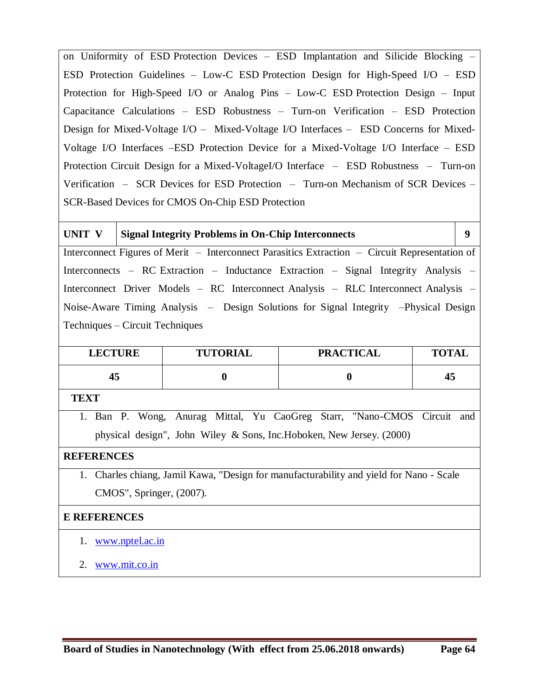on Uniformity of ESD Protection Devices – ESD Implantation and Silicide Blocking – ESD Protection Guidelines – Low-C ESD Protection Design for High-Speed I/O – ESD Protection for High-Speed I/O or Analog Pins – Low-C ESD Protection Design – Input Capacitance Calculations – ESD Robustness – Turn-on Verification – ESD Protection Design for Mixed-Voltage I/O – Mixed-Voltage I/O Interfaces – ESD Concerns for Mixed-Voltage I/O Interfaces –ESD Protection Device for a Mixed-Voltage I/O Interface – ESD Protection Circuit Design for a Mixed-VoltageI/O Interface – ESD Robustness – Turn-on Verification – SCR Devices for ESD Protection – Turn-on Mechanism of SCR Devices – SCR-Based Devices for CMOS On-Chip ESD Protection

**UNIT V Signal Integrity Problems in On-Chip Interconnects 9** Interconnect Figures of Merit – Interconnect Parasitics Extraction – Circuit Representation of Interconnects – RC Extraction – Inductance Extraction – Signal Integrity Analysis – Interconnect Driver Models – RC Interconnect Analysis – RLC Interconnect Analysis – Noise-Aware Timing Analysis – Design Solutions for Signal Integrity –Physical Design Techniques – Circuit Techniques

| <b>LECTURE</b> | <b>TUTORIAL</b> | <b>PRACTICAL</b> | <b>TOTAL</b> |
|----------------|-----------------|------------------|--------------|
| 43             |                 |                  | 45           |

### **TEXT**

1. Ban P. Wong, Anurag Mittal, Yu CaoGreg Starr, "Nano-CMOS Circuit and physical design", John Wiley & Sons, Inc.Hoboken, New Jersey. (2000)

#### **REFERENCES**

1. Charles chiang, Jamil Kawa, "Design for manufacturability and yield for Nano - Scale CMOS", Springer, (2007).

- 1. www.nptel.ac.in
- 2. www.mit.co.in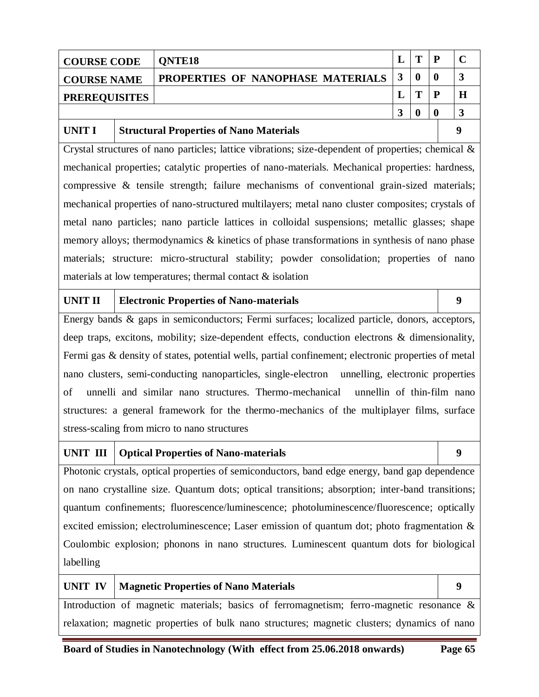| <b>COURSE CODE</b>   | <b>ONTE18</b>                     | m | D |  |
|----------------------|-----------------------------------|---|---|--|
| <b>COURSE NAME</b>   | PROPERTIES OF NANOPHASE MATERIALS |   |   |  |
| <b>PREREQUISITES</b> |                                   |   |   |  |
|                      |                                   |   |   |  |

### **UNIT I Structural Properties of Nano Materials 9**

Crystal structures of nano particles; lattice vibrations; size-dependent of properties; chemical & mechanical properties; catalytic properties of nano-materials. Mechanical properties: hardness, compressive & tensile strength; failure mechanisms of conventional grain-sized materials; mechanical properties of nano-structured multilayers; metal nano cluster composites; crystals of metal nano particles; nano particle lattices in colloidal suspensions; metallic glasses; shape memory alloys; thermodynamics & kinetics of phase transformations in synthesis of nano phase materials; structure: micro-structural stability; powder consolidation; properties of nano materials at low temperatures; thermal contact & isolation

### **UNIT II Electronic Properties of Nano-materials 9**

Energy bands & gaps in semiconductors; Fermi surfaces; localized particle, donors, acceptors, deep traps, excitons, mobility; size-dependent effects, conduction electrons & dimensionality, Fermi gas & density of states, potential wells, partial confinement; electronic properties of metal nano clusters, semi-conducting nanoparticles, single-electron unnelling, electronic properties of unnelli and similar nano structures. Thermo-mechanical unnellin of thin-film nano structures: a general framework for the thermo-mechanics of the multiplayer films, surface stress-scaling from micro to nano structures

### **UNIT III Optical Properties of Nano-materials 9**

Photonic crystals, optical properties of semiconductors, band edge energy, band gap dependence on nano crystalline size. Quantum dots; optical transitions; absorption; inter-band transitions; quantum confinements; fluorescence/luminescence; photoluminescence/fluorescence; optically excited emission; electroluminescence; Laser emission of quantum dot; photo fragmentation & Coulombic explosion; phonons in nano structures. Luminescent quantum dots for biological labelling

# UNIT IV | Magnetic Properties of Nano Materials | 9 Introduction of magnetic materials; basics of ferromagnetism; ferro-magnetic resonance & relaxation; magnetic properties of bulk nano structures; magnetic clusters; dynamics of nano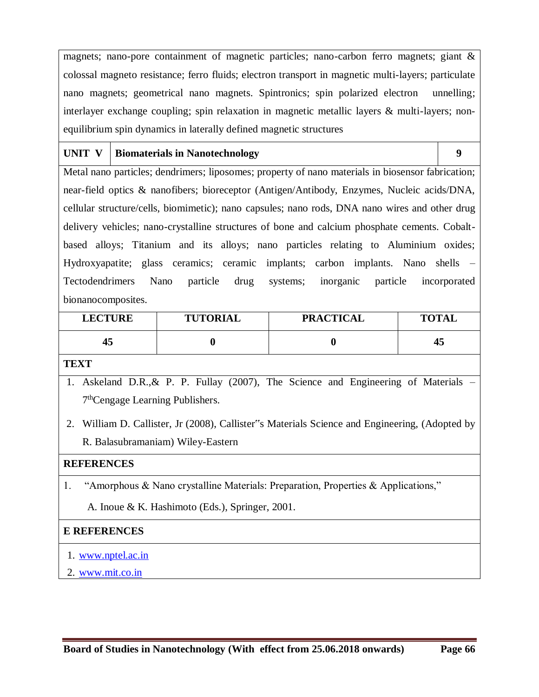magnets; nano-pore containment of magnetic particles; nano-carbon ferro magnets; giant & colossal magneto resistance; ferro fluids; electron transport in magnetic multi-layers; particulate nano magnets; geometrical nano magnets. Spintronics; spin polarized electron unnelling; interlayer exchange coupling; spin relaxation in magnetic metallic layers & multi-layers; nonequilibrium spin dynamics in laterally defined magnetic structures

#### UNIT V **Biomaterials in Nanotechnology 9**

Metal nano particles; dendrimers; liposomes; property of nano materials in biosensor fabrication; near-field optics & nanofibers; bioreceptor (Antigen/Antibody, Enzymes, Nucleic acids/DNA, cellular structure/cells, biomimetic); nano capsules; nano rods, DNA nano wires and other drug delivery vehicles; nano-crystalline structures of bone and calcium phosphate cements. Cobaltbased alloys; Titanium and its alloys; nano particles relating to Aluminium oxides; Hydroxyapatite; glass ceramics; ceramic implants; carbon implants. Nano shells – Tectodendrimers Nano particle drug systems; inorganic particle incorporated bionanocomposites.

| <b>LECTURE</b> | <b>TUTORIAL</b> | <b>PRACTICAL</b> | <b>TOTAL</b> |
|----------------|-----------------|------------------|--------------|
| 45             |                 |                  | 45           |

# **TEXT**

- 1. Askeland D.R.,& P. P. Fullay (2007), The Science and Engineering of Materials 7<sup>th</sup>Cengage Learning Publishers.
- 2. William D. Callister, Jr (2008), Callister"s Materials Science and Engineering, (Adopted by R. Balasubramaniam) Wiley-Eastern

### **REFERENCES**

1. "Amorphous & Nano crystalline Materials: Preparation, Properties & Applications,"

A. Inoue & K. Hashimoto (Eds.), Springer, 2001.

- 1. www.nptel.ac.in
- 2. www.mit.co.in